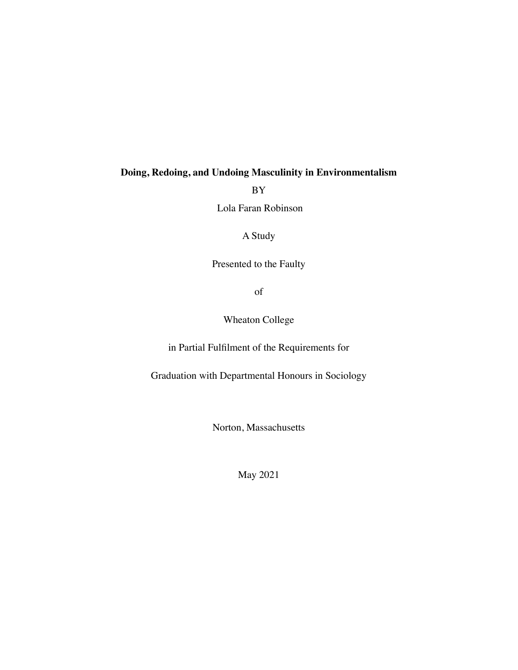# **Doing, Redoing, and Undoing Masculinity in Environmentalism**

BY

Lola Faran Robinson

A Study

Presented to the Faulty

of

Wheaton College

in Partial Fulfilment of the Requirements for

Graduation with Departmental Honours in Sociology

Norton, Massachusetts

May 2021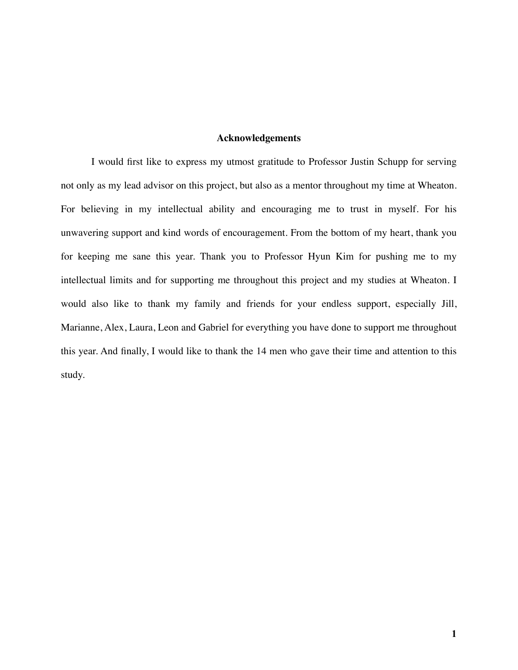## **Acknowledgements**

I would first like to express my utmost gratitude to Professor Justin Schupp for serving not only as my lead advisor on this project, but also as a mentor throughout my time at Wheaton. For believing in my intellectual ability and encouraging me to trust in myself. For his unwavering support and kind words of encouragement. From the bottom of my heart, thank you for keeping me sane this year. Thank you to Professor Hyun Kim for pushing me to my intellectual limits and for supporting me throughout this project and my studies at Wheaton. I would also like to thank my family and friends for your endless support, especially Jill, Marianne, Alex, Laura, Leon and Gabriel for everything you have done to support me throughout this year. And finally, I would like to thank the 14 men who gave their time and attention to this study.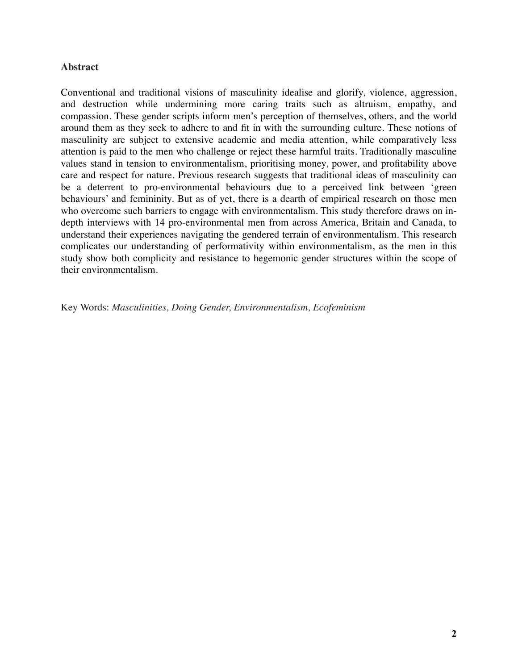# **Abstract**

Conventional and traditional visions of masculinity idealise and glorify, violence, aggression, and destruction while undermining more caring traits such as altruism, empathy, and compassion. These gender scripts inform men's perception of themselves, others, and the world around them as they seek to adhere to and fit in with the surrounding culture. These notions of masculinity are subject to extensive academic and media attention, while comparatively less attention is paid to the men who challenge or reject these harmful traits. Traditionally masculine values stand in tension to environmentalism, prioritising money, power, and profitability above care and respect for nature. Previous research suggests that traditional ideas of masculinity can be a deterrent to pro-environmental behaviours due to a perceived link between 'green behaviours' and femininity. But as of yet, there is a dearth of empirical research on those men who overcome such barriers to engage with environmentalism. This study therefore draws on indepth interviews with 14 pro-environmental men from across America, Britain and Canada, to understand their experiences navigating the gendered terrain of environmentalism. This research complicates our understanding of performativity within environmentalism, as the men in this study show both complicity and resistance to hegemonic gender structures within the scope of their environmentalism.

Key Words: *Masculinities, Doing Gender, Environmentalism, Ecofeminism*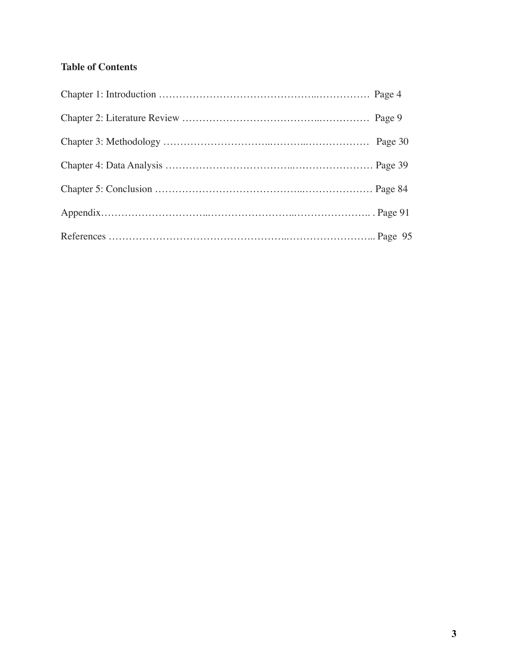# **Table of Contents**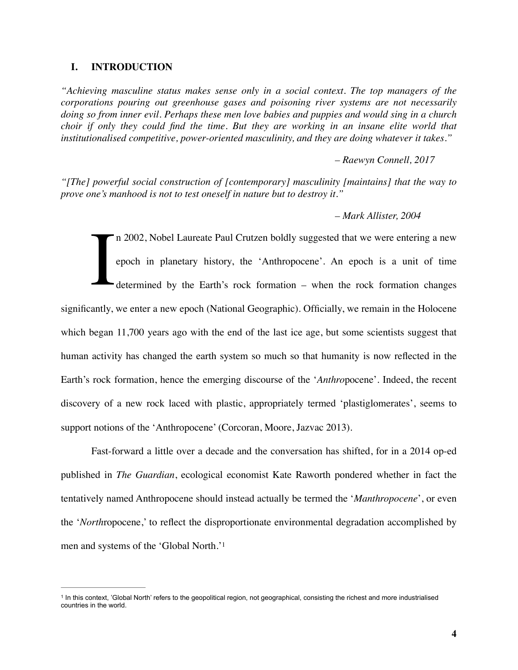### **I. INTRODUCTION**

*"Achieving masculine status makes sense only in a social context. The top managers of the corporations pouring out greenhouse gases and poisoning river systems are not necessarily doing so from inner evil. Perhaps these men love babies and puppies and would sing in a church choir if only they could find the time. But they are working in an insane elite world that institutionalised competitive, power-oriented masculinity, and they are doing whatever it takes."* 

*– Raewyn Connell, 2017* 

*"[The] powerful social construction of [contemporary] masculinity [maintains] that the way to prove one's manhood is not to test oneself in nature but to destroy it."*

*– Mark Allister, 2004*

I n 2002, Nobel Laureate Paul Crutzen boldly suggested that we were entering a new epoch in planetary history, the 'Anthropocene'. An epoch is a unit of time determined by the Earth's rock formation – when the rock formation changes significantly, we enter a new epoch (National Geographic). Officially, we remain in the Holocene which began 11,700 years ago with the end of the last ice age, but some scientists suggest that human activity has changed the earth system so much so that humanity is now reflected in the Earth's rock formation, hence the emerging discourse of the '*Anthro*pocene'. Indeed, the recent discovery of a new rock laced with plastic, appropriately termed 'plastiglomerates', seems to support notions of the 'Anthropocene' (Corcoran, Moore, Jazvac 2013).

Fast-forward a little over a decade and the conversation has shifted, for in a 2014 op-ed published in *The Guardian*, ecological economist Kate Raworth pondered whether in fact the tentatively named Anthropocene should instead actually be termed the '*Manthropocene*', or even the '*North*ropocene,' to reflect the disproportionate environmental degradation accomplished by men and systems of the 'Global North.['1](#page-4-0)

<span id="page-4-1"></span><span id="page-4-0"></span>In this context, 'Global North' refers to the geopolitical region, not geographical, consisting the richest and more industrialised [1](#page-4-1) countries in the world.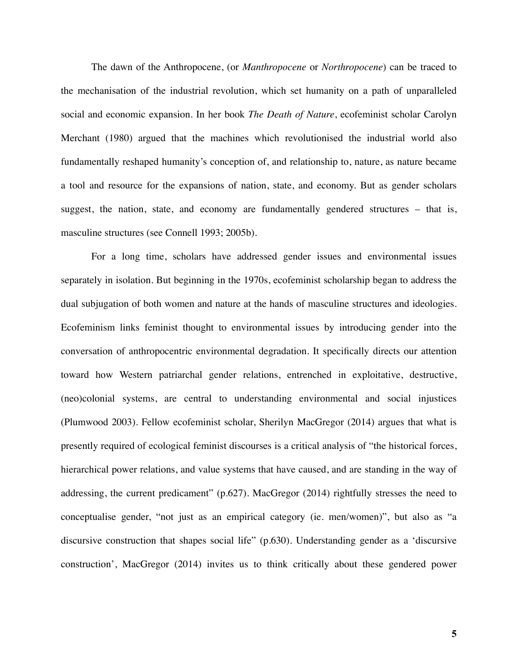The dawn of the Anthropocene, (or *Manthropocene* or *Northropocene*) can be traced to the mechanisation of the industrial revolution, which set humanity on a path of unparalleled social and economic expansion. In her book *The Death of Nature*, ecofeminist scholar Carolyn Merchant (1980) argued that the machines which revolutionised the industrial world also fundamentally reshaped humanity's conception of, and relationship to, nature, as nature became a tool and resource for the expansions of nation, state, and economy. But as gender scholars suggest, the nation, state, and economy are fundamentally gendered structures – that is, masculine structures (see Connell 1993; 2005b).

For a long time, scholars have addressed gender issues and environmental issues separately in isolation. But beginning in the 1970s, ecofeminist scholarship began to address the dual subjugation of both women and nature at the hands of masculine structures and ideologies. Ecofeminism links feminist thought to environmental issues by introducing gender into the conversation of anthropocentric environmental degradation. It specifically directs our attention toward how Western patriarchal gender relations, entrenched in exploitative, destructive, (neo)colonial systems, are central to understanding environmental and social injustices (Plumwood 2003). Fellow ecofeminist scholar, Sherilyn MacGregor (2014) argues that what is presently required of ecological feminist discourses is a critical analysis of "the historical forces, hierarchical power relations, and value systems that have caused, and are standing in the way of addressing, the current predicament" (p.627). MacGregor (2014) rightfully stresses the need to conceptualise gender, "not just as an empirical category (ie. men/women)", but also as "a discursive construction that shapes social life" (p.630). Understanding gender as a 'discursive construction', MacGregor (2014) invites us to think critically about these gendered power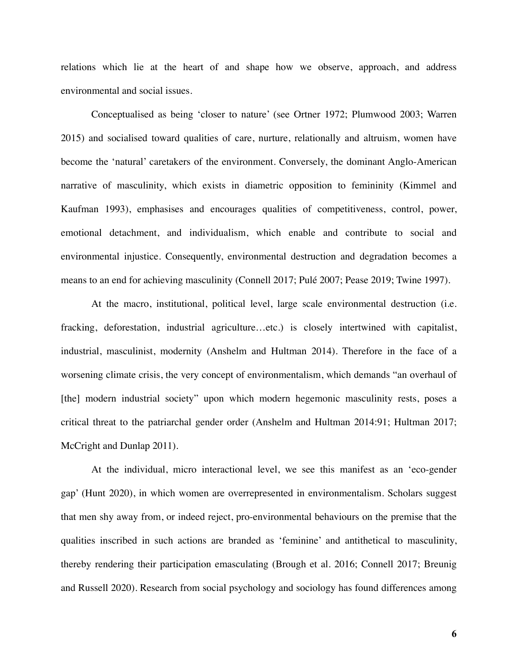relations which lie at the heart of and shape how we observe, approach, and address environmental and social issues.

Conceptualised as being 'closer to nature' (see Ortner 1972; Plumwood 2003; Warren 2015) and socialised toward qualities of care, nurture, relationally and altruism, women have become the 'natural' caretakers of the environment. Conversely, the dominant Anglo-American narrative of masculinity, which exists in diametric opposition to femininity (Kimmel and Kaufman 1993), emphasises and encourages qualities of competitiveness, control, power, emotional detachment, and individualism, which enable and contribute to social and environmental injustice. Consequently, environmental destruction and degradation becomes a means to an end for achieving masculinity (Connell 2017; Pulé 2007; Pease 2019; Twine 1997).

At the macro, institutional, political level, large scale environmental destruction (i.e. fracking, deforestation, industrial agriculture…etc.) is closely intertwined with capitalist, industrial, masculinist, modernity (Anshelm and Hultman 2014). Therefore in the face of a worsening climate crisis, the very concept of environmentalism, which demands "an overhaul of [the] modern industrial society" upon which modern hegemonic masculinity rests, poses a critical threat to the patriarchal gender order (Anshelm and Hultman 2014:91; Hultman 2017; McCright and Dunlap 2011).

At the individual, micro interactional level, we see this manifest as an 'eco-gender gap' (Hunt 2020), in which women are overrepresented in environmentalism. Scholars suggest that men shy away from, or indeed reject, pro-environmental behaviours on the premise that the qualities inscribed in such actions are branded as 'feminine' and antithetical to masculinity, thereby rendering their participation emasculating (Brough et al. 2016; Connell 2017; Breunig and Russell 2020). Research from social psychology and sociology has found differences among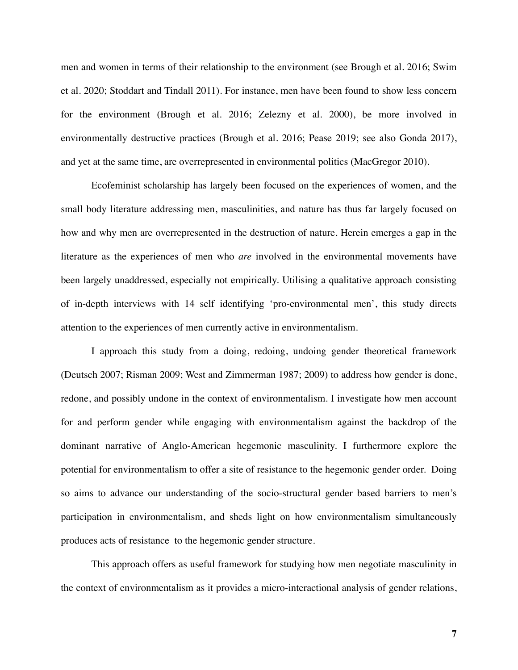men and women in terms of their relationship to the environment (see Brough et al. 2016; Swim et al. 2020; Stoddart and Tindall 2011). For instance, men have been found to show less concern for the environment (Brough et al. 2016; Zelezny et al. 2000), be more involved in environmentally destructive practices (Brough et al. 2016; Pease 2019; see also Gonda 2017), and yet at the same time, are overrepresented in environmental politics (MacGregor 2010).

Ecofeminist scholarship has largely been focused on the experiences of women, and the small body literature addressing men, masculinities, and nature has thus far largely focused on how and why men are overrepresented in the destruction of nature. Herein emerges a gap in the literature as the experiences of men who *are* involved in the environmental movements have been largely unaddressed, especially not empirically. Utilising a qualitative approach consisting of in-depth interviews with 14 self identifying 'pro-environmental men', this study directs attention to the experiences of men currently active in environmentalism.

I approach this study from a doing, redoing, undoing gender theoretical framework (Deutsch 2007; Risman 2009; West and Zimmerman 1987; 2009) to address how gender is done, redone, and possibly undone in the context of environmentalism. I investigate how men account for and perform gender while engaging with environmentalism against the backdrop of the dominant narrative of Anglo-American hegemonic masculinity. I furthermore explore the potential for environmentalism to offer a site of resistance to the hegemonic gender order. Doing so aims to advance our understanding of the socio-structural gender based barriers to men's participation in environmentalism, and sheds light on how environmentalism simultaneously produces acts of resistance to the hegemonic gender structure.

This approach offers as useful framework for studying how men negotiate masculinity in the context of environmentalism as it provides a micro-interactional analysis of gender relations,

**7**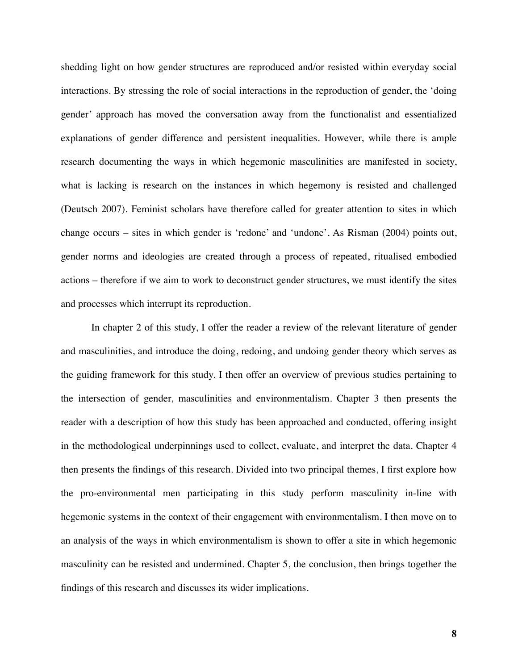shedding light on how gender structures are reproduced and/or resisted within everyday social interactions. By stressing the role of social interactions in the reproduction of gender, the 'doing gender' approach has moved the conversation away from the functionalist and essentialized explanations of gender difference and persistent inequalities. However, while there is ample research documenting the ways in which hegemonic masculinities are manifested in society, what is lacking is research on the instances in which hegemony is resisted and challenged (Deutsch 2007). Feminist scholars have therefore called for greater attention to sites in which change occurs – sites in which gender is 'redone' and 'undone'. As Risman (2004) points out, gender norms and ideologies are created through a process of repeated, ritualised embodied actions – therefore if we aim to work to deconstruct gender structures, we must identify the sites and processes which interrupt its reproduction.

In chapter 2 of this study, I offer the reader a review of the relevant literature of gender and masculinities, and introduce the doing, redoing, and undoing gender theory which serves as the guiding framework for this study. I then offer an overview of previous studies pertaining to the intersection of gender, masculinities and environmentalism. Chapter 3 then presents the reader with a description of how this study has been approached and conducted, offering insight in the methodological underpinnings used to collect, evaluate, and interpret the data. Chapter 4 then presents the findings of this research. Divided into two principal themes, I first explore how the pro-environmental men participating in this study perform masculinity in-line with hegemonic systems in the context of their engagement with environmentalism. I then move on to an analysis of the ways in which environmentalism is shown to offer a site in which hegemonic masculinity can be resisted and undermined. Chapter 5, the conclusion, then brings together the findings of this research and discusses its wider implications.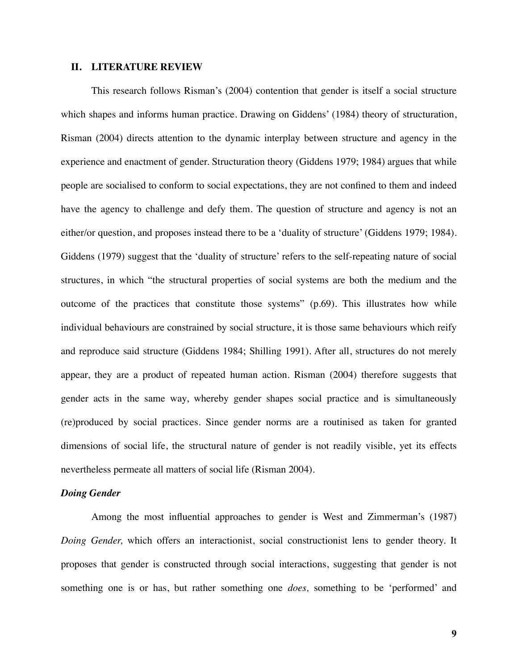#### **II. LITERATURE REVIEW**

This research follows Risman's (2004) contention that gender is itself a social structure which shapes and informs human practice. Drawing on Giddens' (1984) theory of structuration, Risman (2004) directs attention to the dynamic interplay between structure and agency in the experience and enactment of gender. Structuration theory (Giddens 1979; 1984) argues that while people are socialised to conform to social expectations, they are not confined to them and indeed have the agency to challenge and defy them. The question of structure and agency is not an either/or question, and proposes instead there to be a 'duality of structure' (Giddens 1979; 1984). Giddens (1979) suggest that the 'duality of structure' refers to the self-repeating nature of social structures, in which "the structural properties of social systems are both the medium and the outcome of the practices that constitute those systems" (p.69). This illustrates how while individual behaviours are constrained by social structure, it is those same behaviours which reify and reproduce said structure (Giddens 1984; Shilling 1991). After all, structures do not merely appear, they are a product of repeated human action. Risman (2004) therefore suggests that gender acts in the same way, whereby gender shapes social practice and is simultaneously (re)produced by social practices. Since gender norms are a routinised as taken for granted dimensions of social life, the structural nature of gender is not readily visible, yet its effects nevertheless permeate all matters of social life (Risman 2004).

# *Doing Gender*

Among the most influential approaches to gender is West and Zimmerman's (1987) *Doing Gender,* which offers an interactionist, social constructionist lens to gender theory. It proposes that gender is constructed through social interactions, suggesting that gender is not something one is or has, but rather something one *does,* something to be 'performed' and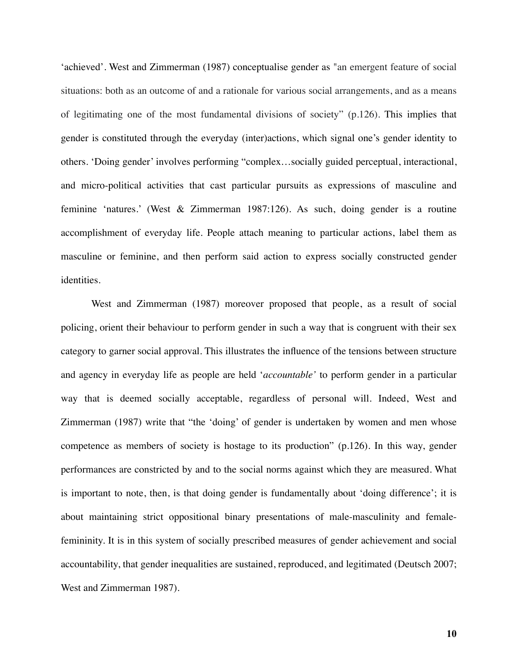'achieved'. West and Zimmerman (1987) conceptualise gender as "an emergent feature of social situations: both as an outcome of and a rationale for various social arrangements, and as a means of legitimating one of the most fundamental divisions of society" (p.126). This implies that gender is constituted through the everyday (inter)actions, which signal one's gender identity to others. 'Doing gender' involves performing "complex…socially guided perceptual, interactional, and micro-political activities that cast particular pursuits as expressions of masculine and feminine 'natures.' (West & Zimmerman 1987:126). As such, doing gender is a routine accomplishment of everyday life. People attach meaning to particular actions, label them as masculine or feminine, and then perform said action to express socially constructed gender identities.

West and Zimmerman (1987) moreover proposed that people, as a result of social policing, orient their behaviour to perform gender in such a way that is congruent with their sex category to garner social approval. This illustrates the influence of the tensions between structure and agency in everyday life as people are held '*accountable'* to perform gender in a particular way that is deemed socially acceptable, regardless of personal will. Indeed, West and Zimmerman (1987) write that "the 'doing' of gender is undertaken by women and men whose competence as members of society is hostage to its production" (p.126). In this way, gender performances are constricted by and to the social norms against which they are measured. What is important to note, then, is that doing gender is fundamentally about 'doing difference'; it is about maintaining strict oppositional binary presentations of male-masculinity and femalefemininity. It is in this system of socially prescribed measures of gender achievement and social accountability, that gender inequalities are sustained, reproduced, and legitimated (Deutsch 2007; West and Zimmerman 1987).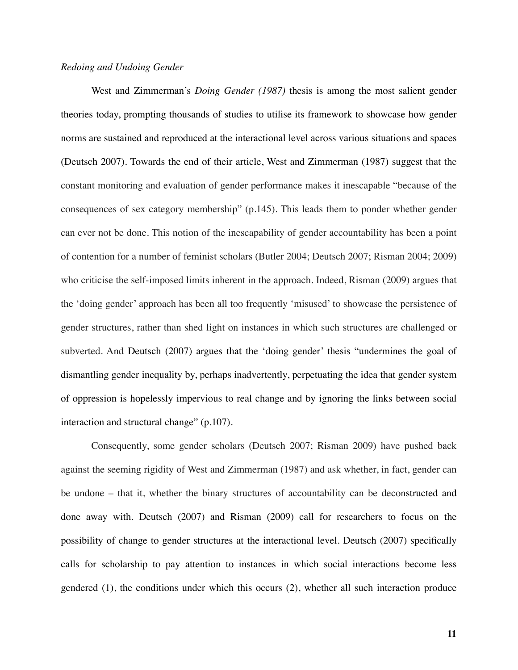#### *Redoing and Undoing Gender*

West and Zimmerman's *Doing Gender (1987)* thesis is among the most salient gender theories today, prompting thousands of studies to utilise its framework to showcase how gender norms are sustained and reproduced at the interactional level across various situations and spaces (Deutsch 2007). Towards the end of their article, West and Zimmerman (1987) suggest that the constant monitoring and evaluation of gender performance makes it inescapable "because of the consequences of sex category membership" (p.145). This leads them to ponder whether gender can ever not be done. This notion of the inescapability of gender accountability has been a point of contention for a number of feminist scholars (Butler 2004; Deutsch 2007; Risman 2004; 2009) who criticise the self-imposed limits inherent in the approach. Indeed, Risman (2009) argues that the 'doing gender' approach has been all too frequently 'misused' to showcase the persistence of gender structures, rather than shed light on instances in which such structures are challenged or subverted. And Deutsch (2007) argues that the 'doing gender' thesis "undermines the goal of dismantling gender inequality by, perhaps inadvertently, perpetuating the idea that gender system of oppression is hopelessly impervious to real change and by ignoring the links between social interaction and structural change" (p.107).

Consequently, some gender scholars (Deutsch 2007; Risman 2009) have pushed back against the seeming rigidity of West and Zimmerman (1987) and ask whether, in fact, gender can be undone – that it, whether the binary structures of accountability can be deconstructed and done away with. Deutsch (2007) and Risman (2009) call for researchers to focus on the possibility of change to gender structures at the interactional level. Deutsch (2007) specifically calls for scholarship to pay attention to instances in which social interactions become less gendered (1), the conditions under which this occurs (2), whether all such interaction produce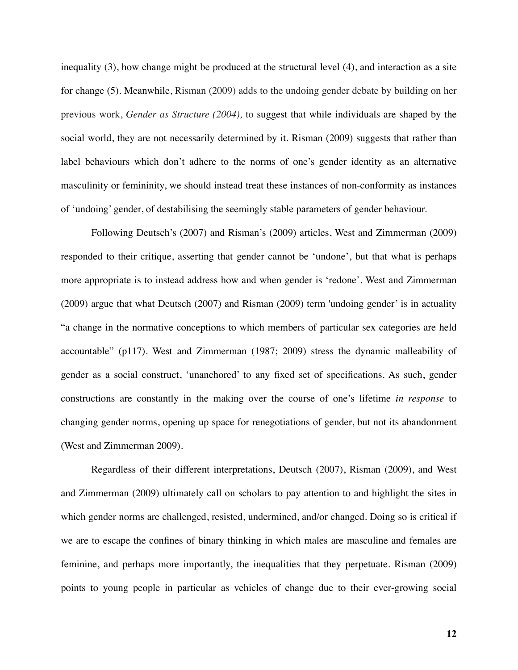inequality (3), how change might be produced at the structural level (4), and interaction as a site for change (5). Meanwhile, Risman (2009) adds to the undoing gender debate by building on her previous work, *Gender as Structure (2004),* to suggest that while individuals are shaped by the social world, they are not necessarily determined by it. Risman (2009) suggests that rather than label behaviours which don't adhere to the norms of one's gender identity as an alternative masculinity or femininity, we should instead treat these instances of non-conformity as instances of 'undoing' gender, of destabilising the seemingly stable parameters of gender behaviour.

Following Deutsch's (2007) and Risman's (2009) articles, West and Zimmerman (2009) responded to their critique, asserting that gender cannot be 'undone', but that what is perhaps more appropriate is to instead address how and when gender is 'redone'. West and Zimmerman (2009) argue that what Deutsch (2007) and Risman (2009) term 'undoing gender' is in actuality "a change in the normative conceptions to which members of particular sex categories are held accountable" (p117). West and Zimmerman (1987; 2009) stress the dynamic malleability of gender as a social construct, 'unanchored' to any fixed set of specifications. As such, gender constructions are constantly in the making over the course of one's lifetime *in response* to changing gender norms, opening up space for renegotiations of gender, but not its abandonment (West and Zimmerman 2009).

Regardless of their different interpretations, Deutsch (2007), Risman (2009), and West and Zimmerman (2009) ultimately call on scholars to pay attention to and highlight the sites in which gender norms are challenged, resisted, undermined, and/or changed. Doing so is critical if we are to escape the confines of binary thinking in which males are masculine and females are feminine, and perhaps more importantly, the inequalities that they perpetuate. Risman (2009) points to young people in particular as vehicles of change due to their ever-growing social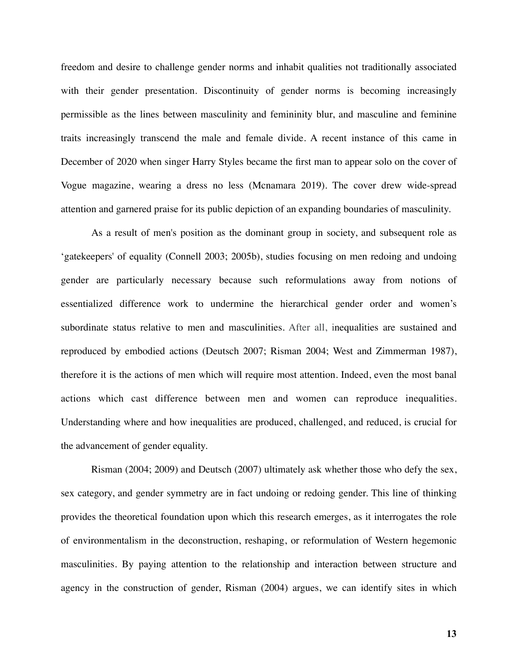freedom and desire to challenge gender norms and inhabit qualities not traditionally associated with their gender presentation. Discontinuity of gender norms is becoming increasingly permissible as the lines between masculinity and femininity blur, and masculine and feminine traits increasingly transcend the male and female divide. A recent instance of this came in December of 2020 when singer Harry Styles became the first man to appear solo on the cover of Vogue magazine, wearing a dress no less (Mcnamara 2019). The cover drew wide-spread attention and garnered praise for its public depiction of an expanding boundaries of masculinity.

As a result of men's position as the dominant group in society, and subsequent role as 'gatekeepers' of equality (Connell 2003; 2005b), studies focusing on men redoing and undoing gender are particularly necessary because such reformulations away from notions of essentialized difference work to undermine the hierarchical gender order and women's subordinate status relative to men and masculinities. After all, inequalities are sustained and reproduced by embodied actions (Deutsch 2007; Risman 2004; West and Zimmerman 1987), therefore it is the actions of men which will require most attention. Indeed, even the most banal actions which cast difference between men and women can reproduce inequalities. Understanding where and how inequalities are produced, challenged, and reduced, is crucial for the advancement of gender equality.

Risman (2004; 2009) and Deutsch (2007) ultimately ask whether those who defy the sex, sex category, and gender symmetry are in fact undoing or redoing gender. This line of thinking provides the theoretical foundation upon which this research emerges, as it interrogates the role of environmentalism in the deconstruction, reshaping, or reformulation of Western hegemonic masculinities. By paying attention to the relationship and interaction between structure and agency in the construction of gender, Risman (2004) argues, we can identify sites in which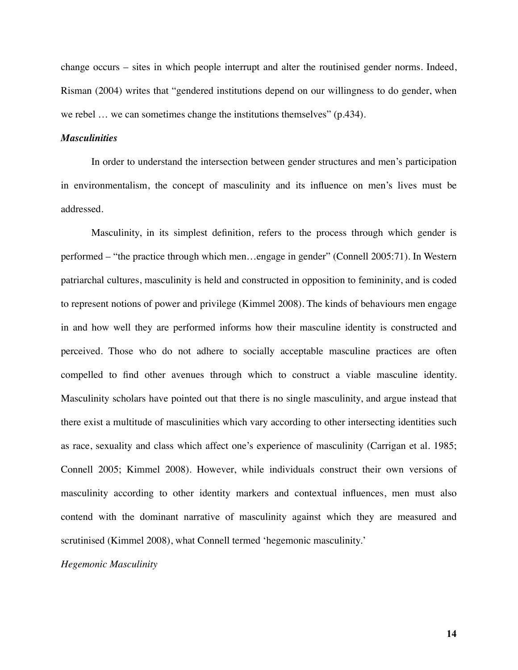change occurs – sites in which people interrupt and alter the routinised gender norms. Indeed, Risman (2004) writes that "gendered institutions depend on our willingness to do gender, when we rebel ... we can sometimes change the institutions themselves" (p.434).

#### *Masculinities*

In order to understand the intersection between gender structures and men's participation in environmentalism, the concept of masculinity and its influence on men's lives must be addressed.

Masculinity, in its simplest definition, refers to the process through which gender is performed – "the practice through which men…engage in gender" (Connell 2005:71). In Western patriarchal cultures, masculinity is held and constructed in opposition to femininity, and is coded to represent notions of power and privilege (Kimmel 2008). The kinds of behaviours men engage in and how well they are performed informs how their masculine identity is constructed and perceived. Those who do not adhere to socially acceptable masculine practices are often compelled to find other avenues through which to construct a viable masculine identity. Masculinity scholars have pointed out that there is no single masculinity, and argue instead that there exist a multitude of masculinities which vary according to other intersecting identities such as race, sexuality and class which affect one's experience of masculinity (Carrigan et al. 1985; Connell 2005; Kimmel 2008). However, while individuals construct their own versions of masculinity according to other identity markers and contextual influences, men must also contend with the dominant narrative of masculinity against which they are measured and scrutinised (Kimmel 2008), what Connell termed 'hegemonic masculinity.'

#### *Hegemonic Masculinity*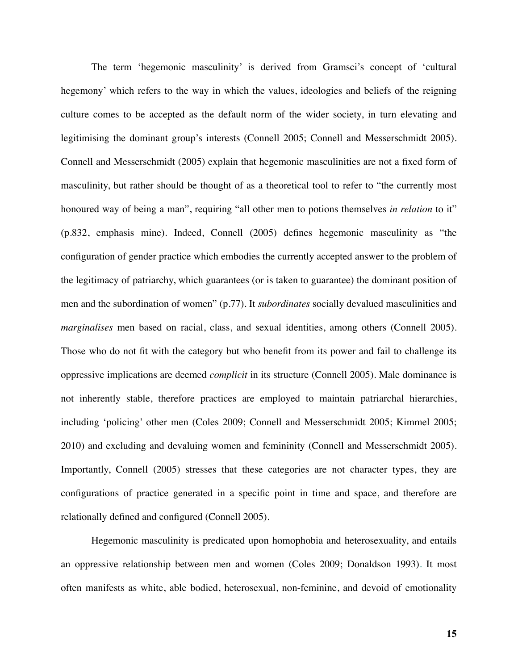The term 'hegemonic masculinity' is derived from Gramsci's concept of 'cultural hegemony' which refers to the way in which the values, ideologies and beliefs of the reigning culture comes to be accepted as the default norm of the wider society, in turn elevating and legitimising the dominant group's interests (Connell 2005; Connell and Messerschmidt 2005). Connell and Messerschmidt (2005) explain that hegemonic masculinities are not a fixed form of masculinity, but rather should be thought of as a theoretical tool to refer to "the currently most honoured way of being a man", requiring "all other men to potions themselves *in relation* to it" (p.832, emphasis mine). Indeed, Connell (2005) defines hegemonic masculinity as "the configuration of gender practice which embodies the currently accepted answer to the problem of the legitimacy of patriarchy, which guarantees (or is taken to guarantee) the dominant position of men and the subordination of women" (p.77). It *subordinates* socially devalued masculinities and *marginalises* men based on racial, class, and sexual identities, among others (Connell 2005). Those who do not fit with the category but who benefit from its power and fail to challenge its oppressive implications are deemed *complicit* in its structure (Connell 2005). Male dominance is not inherently stable, therefore practices are employed to maintain patriarchal hierarchies, including 'policing' other men (Coles 2009; Connell and Messerschmidt 2005; Kimmel 2005; 2010) and excluding and devaluing women and femininity (Connell and Messerschmidt 2005). Importantly, Connell (2005) stresses that these categories are not character types, they are configurations of practice generated in a specific point in time and space, and therefore are relationally defined and configured (Connell 2005).

Hegemonic masculinity is predicated upon homophobia and heterosexuality, and entails an oppressive relationship between men and women (Coles 2009; Donaldson 1993). It most often manifests as white, able bodied, heterosexual, non-feminine, and devoid of emotionality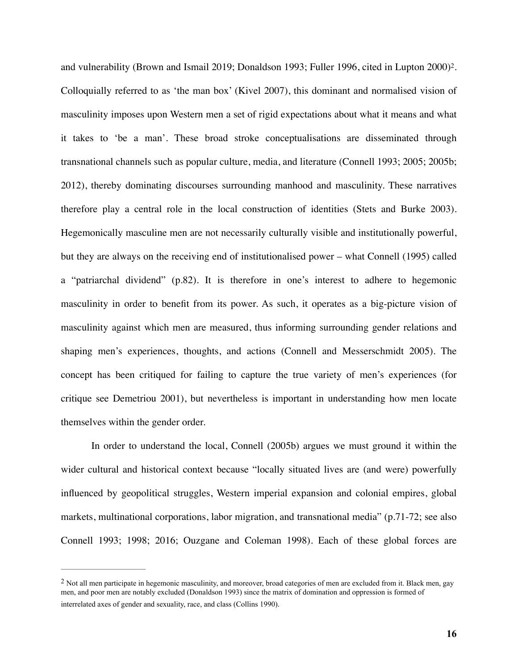<span id="page-16-1"></span>and vulnerability (Brown and Ismail [2](#page-16-0)019; Donaldson 1993; Fuller 1996, cited in Lupton 2000)<sup>2</sup>. Colloquially referred to as 'the man box' (Kivel 2007), this dominant and normalised vision of masculinity imposes upon Western men a set of rigid expectations about what it means and what it takes to 'be a man'. These broad stroke conceptualisations are disseminated through transnational channels such as popular culture, media, and literature (Connell 1993; 2005; 2005b; 2012), thereby dominating discourses surrounding manhood and masculinity. These narratives therefore play a central role in the local construction of identities (Stets and Burke 2003). Hegemonically masculine men are not necessarily culturally visible and institutionally powerful, but they are always on the receiving end of institutionalised power – what Connell (1995) called a "patriarchal dividend" (p.82). It is therefore in one's interest to adhere to hegemonic masculinity in order to benefit from its power. As such, it operates as a big-picture vision of masculinity against which men are measured, thus informing surrounding gender relations and shaping men's experiences, thoughts, and actions (Connell and Messerschmidt 2005). The concept has been critiqued for failing to capture the true variety of men's experiences (for critique see Demetriou 2001), but nevertheless is important in understanding how men locate themselves within the gender order.

In order to understand the local, Connell (2005b) argues we must ground it within the wider cultural and historical context because "locally situated lives are (and were) powerfully influenced by geopolitical struggles, Western imperial expansion and colonial empires, global markets, multinational corporations, labor migration, and transnational media" (p.71-72; see also Connell 1993; 1998; 2016; Ouzgane and Coleman 1998). Each of these global forces are

<span id="page-16-0"></span> $<sup>2</sup>$  $<sup>2</sup>$  $<sup>2</sup>$  Not all men participate in hegemonic masculinity, and moreover, broad categories of men are excluded from it. Black men, gay</sup> men, and poor men are notably excluded (Donaldson 1993) since the matrix of domination and oppression is formed of interrelated axes of gender and sexuality, race, and class (Collins 1990).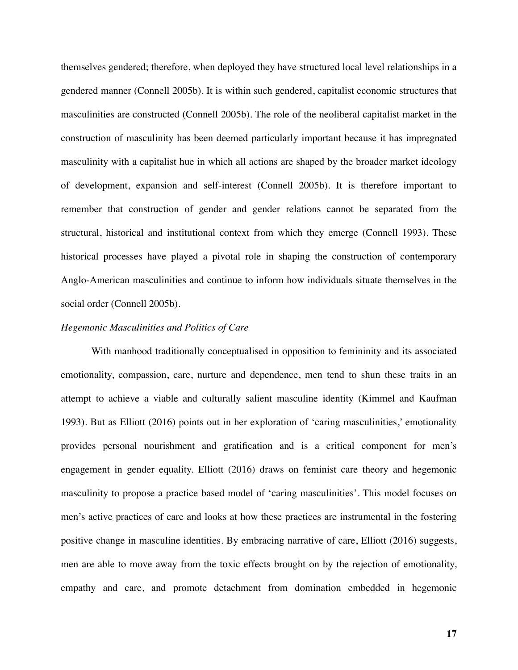themselves gendered; therefore, when deployed they have structured local level relationships in a gendered manner (Connell 2005b). It is within such gendered, capitalist economic structures that masculinities are constructed (Connell 2005b). The role of the neoliberal capitalist market in the construction of masculinity has been deemed particularly important because it has impregnated masculinity with a capitalist hue in which all actions are shaped by the broader market ideology of development, expansion and self-interest (Connell 2005b). It is therefore important to remember that construction of gender and gender relations cannot be separated from the structural, historical and institutional context from which they emerge (Connell 1993). These historical processes have played a pivotal role in shaping the construction of contemporary Anglo-American masculinities and continue to inform how individuals situate themselves in the social order (Connell 2005b).

#### *Hegemonic Masculinities and Politics of Care*

With manhood traditionally conceptualised in opposition to femininity and its associated emotionality, compassion, care, nurture and dependence, men tend to shun these traits in an attempt to achieve a viable and culturally salient masculine identity (Kimmel and Kaufman 1993). But as Elliott (2016) points out in her exploration of 'caring masculinities,' emotionality provides personal nourishment and gratification and is a critical component for men's engagement in gender equality. Elliott (2016) draws on feminist care theory and hegemonic masculinity to propose a practice based model of 'caring masculinities'. This model focuses on men's active practices of care and looks at how these practices are instrumental in the fostering positive change in masculine identities. By embracing narrative of care, Elliott (2016) suggests, men are able to move away from the toxic effects brought on by the rejection of emotionality, empathy and care, and promote detachment from domination embedded in hegemonic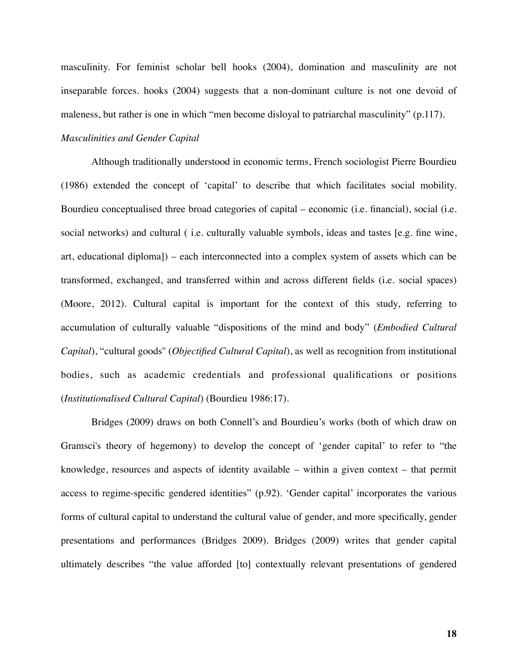masculinity. For feminist scholar bell hooks (2004), domination and masculinity are not inseparable forces. hooks (2004) suggests that a non-dominant culture is not one devoid of maleness, but rather is one in which "men become disloyal to patriarchal masculinity" (p.117).

# *Masculinities and Gender Capital*

Although traditionally understood in economic terms, French sociologist Pierre Bourdieu (1986) extended the concept of 'capital' to describe that which facilitates social mobility. Bourdieu conceptualised three broad categories of capital – economic (i.e. financial), social (i.e. social networks) and cultural ( i.e. culturally valuable symbols, ideas and tastes [e.g. fine wine, art, educational diploma]) – each interconnected into a complex system of assets which can be transformed, exchanged, and transferred within and across different fields (i.e. social spaces) (Moore, 2012). Cultural capital is important for the context of this study, referring to accumulation of culturally valuable "dispositions of the mind and body" (*Embodied Cultural Capital*), "cultural goods'' (*Objectified Cultural Capital*), as well as recognition from institutional bodies, such as academic credentials and professional qualifications or positions (*Institutionalised Cultural Capital*) (Bourdieu 1986:17).

Bridges (2009) draws on both Connell's and Bourdieu's works (both of which draw on Gramsci's theory of hegemony) to develop the concept of 'gender capital' to refer to "the knowledge, resources and aspects of identity available – within a given context – that permit access to regime-specific gendered identities" (p.92). 'Gender capital' incorporates the various forms of cultural capital to understand the cultural value of gender, and more specifically, gender presentations and performances (Bridges 2009). Bridges (2009) writes that gender capital ultimately describes "the value afforded [to] contextually relevant presentations of gendered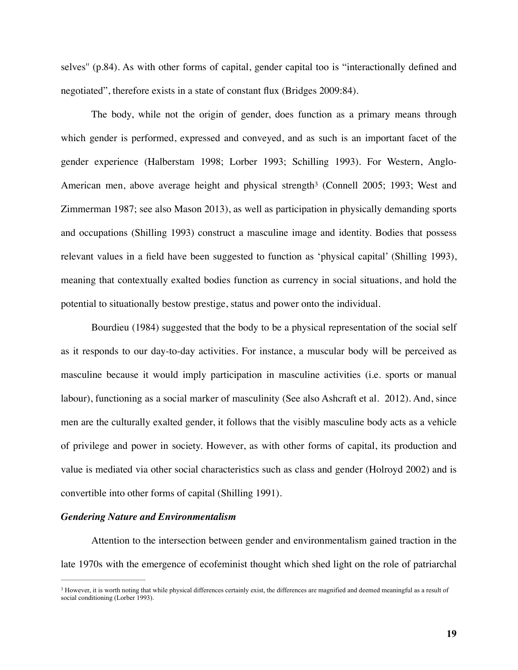selves'' (p.84). As with other forms of capital, gender capital too is "interactionally defined and negotiated", therefore exists in a state of constant flux (Bridges 2009:84).

<span id="page-19-1"></span>The body, while not the origin of gender, does function as a primary means through which gender is performed, expressed and conveyed, and as such is an important facet of the gender experience (Halberstam 1998; Lorber 1993; Schilling 1993). For Western, AngloAmerican men, above average [h](#page-19-0)eight and physical strength<sup>[3](#page-19-0)</sup> (Connell 2005; 1993; West and Zimmerman 1987; see also Mason 2013), as well as participation in physically demanding sports and occupations (Shilling 1993) construct a masculine image and identity. Bodies that possess relevant values in a field have been suggested to function as 'physical capital' (Shilling 1993), meaning that contextually exalted bodies function as currency in social situations, and hold the potential to situationally bestow prestige, status and power onto the individual.

Bourdieu (1984) suggested that the body to be a physical representation of the social self as it responds to our day-to-day activities. For instance, a muscular body will be perceived as masculine because it would imply participation in masculine activities (i.e. sports or manual labour), functioning as a social marker of masculinity (See also Ashcraft et al. 2012). And, since men are the culturally exalted gender, it follows that the visibly masculine body acts as a vehicle of privilege and power in society. However, as with other forms of capital, its production and value is mediated via other social characteristics such as class and gender (Holroyd 2002) and is convertible into other forms of capital (Shilling 1991).

#### *Gendering Nature and Environmentalism*

Attention to the intersection between gender and environmentalism gained traction in the late 1970s with the emergence of ecofeminist thought which shed light on the role of patriarchal

<span id="page-19-0"></span><sup>&</sup>lt;sup>3</sup>However, it is worth noting that while physical differences certainly exist, the differences are magnified and deemed meaningful as a result of social conditioning (Lorber 1993).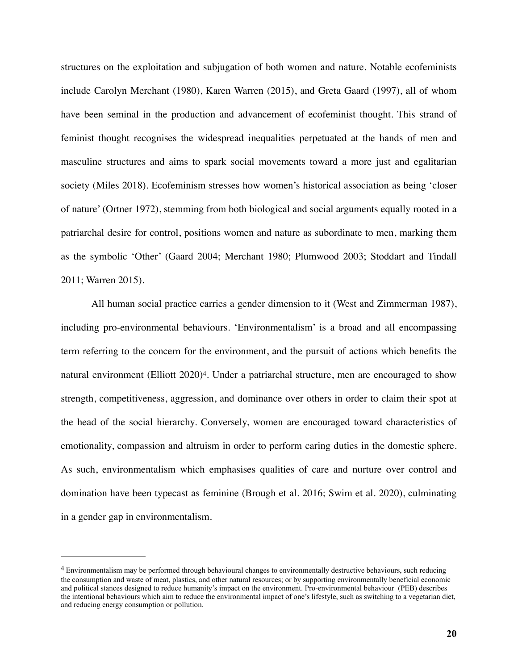structures on the exploitation and subjugation of both women and nature. Notable ecofeminists include Carolyn Merchant (1980), Karen Warren (2015), and Greta Gaard (1997), all of whom have been seminal in the production and advancement of ecofeminist thought. This strand of feminist thought recognises the widespread inequalities perpetuated at the hands of men and masculine structures and aims to spark social movements toward a more just and egalitarian society (Miles 2018). Ecofeminism stresses how women's historical association as being 'closer of nature' (Ortner 1972), stemming from both biological and social arguments equally rooted in a patriarchal desire for control, positions women and nature as subordinate to men, marking them as the symbolic 'Other' (Gaard 2004; Merchant 1980; Plumwood 2003; Stoddart and Tindall 2011; Warren 2015).

<span id="page-20-1"></span>All human social practice carries a gender dimension to it (West and Zimmerman 1987), including pro-environmental behaviours. 'Environmentalism' is a broad and all encompassing term referring to the concern for the environment, and the pursuit of actions which benefits the natural environment (Elliott  $2020$ <sup>[4](#page-20-0)</sup>. Under a patriarchal structure, men are encouraged to show strength, competitiveness, aggression, and dominance over others in order to claim their spot at the head of the social hierarchy. Conversely, women are encouraged toward characteristics of emotionality, compassion and altruism in order to perform caring duties in the domestic sphere. As such, environmentalism which emphasises qualities of care and nurture over control and domination have been typecast as feminine (Brough et al. 2016; Swim et al. 2020), culminating in a gender gap in environmentalism.

<span id="page-20-0"></span>Environmentalism may be performed through behavioural changes to environmentally destructive behaviours, such reducing [4](#page-20-1) the consumption and waste of meat, plastics, and other natural resources; or by supporting environmentally beneficial economic and political stances designed to reduce humanity's impact on the environment. Pro-environmental behaviour (PEB) describes the intentional behaviours which aim to reduce the environmental impact of one's lifestyle, such as switching to a vegetarian diet, and reducing energy consumption or pollution.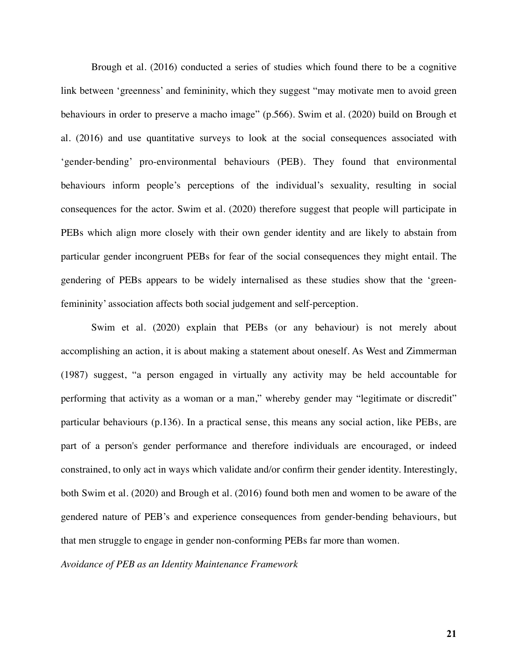Brough et al. (2016) conducted a series of studies which found there to be a cognitive link between 'greenness' and femininity, which they suggest "may motivate men to avoid green behaviours in order to preserve a macho image" (p.566). Swim et al. (2020) build on Brough et al. (2016) and use quantitative surveys to look at the social consequences associated with 'gender-bending' pro-environmental behaviours (PEB). They found that environmental behaviours inform people's perceptions of the individual's sexuality, resulting in social consequences for the actor. Swim et al. (2020) therefore suggest that people will participate in PEBs which align more closely with their own gender identity and are likely to abstain from particular gender incongruent PEBs for fear of the social consequences they might entail. The gendering of PEBs appears to be widely internalised as these studies show that the 'greenfemininity' association affects both social judgement and self-perception.

Swim et al. (2020) explain that PEBs (or any behaviour) is not merely about accomplishing an action, it is about making a statement about oneself. As West and Zimmerman (1987) suggest, "a person engaged in virtually any activity may be held accountable for performing that activity as a woman or a man," whereby gender may "legitimate or discredit" particular behaviours (p.136). In a practical sense, this means any social action, like PEBs, are part of a person's gender performance and therefore individuals are encouraged, or indeed constrained, to only act in ways which validate and/or confirm their gender identity. Interestingly, both Swim et al. (2020) and Brough et al. (2016) found both men and women to be aware of the gendered nature of PEB's and experience consequences from gender-bending behaviours, but that men struggle to engage in gender non-conforming PEBs far more than women.

*Avoidance of PEB as an Identity Maintenance Framework*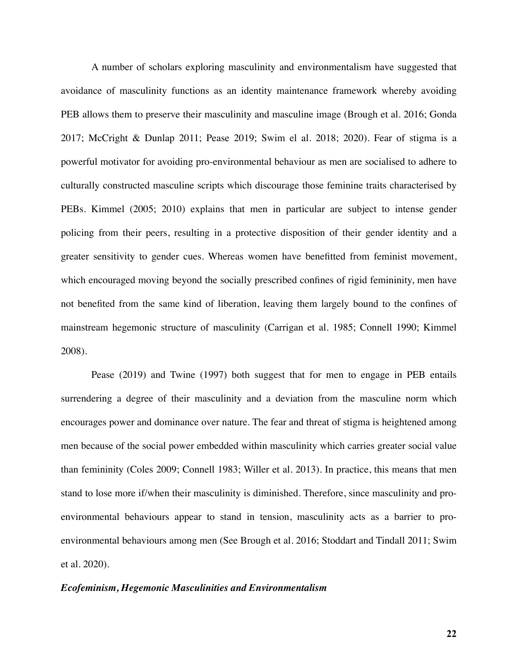A number of scholars exploring masculinity and environmentalism have suggested that avoidance of masculinity functions as an identity maintenance framework whereby avoiding PEB allows them to preserve their masculinity and masculine image (Brough et al. 2016; Gonda 2017; McCright & Dunlap 2011; Pease 2019; Swim el al. 2018; 2020). Fear of stigma is a powerful motivator for avoiding pro-environmental behaviour as men are socialised to adhere to culturally constructed masculine scripts which discourage those feminine traits characterised by PEBs. Kimmel (2005; 2010) explains that men in particular are subject to intense gender policing from their peers, resulting in a protective disposition of their gender identity and a greater sensitivity to gender cues. Whereas women have benefitted from feminist movement, which encouraged moving beyond the socially prescribed confines of rigid femininity, men have not benefited from the same kind of liberation, leaving them largely bound to the confines of mainstream hegemonic structure of masculinity (Carrigan et al. 1985; Connell 1990; Kimmel 2008).

Pease (2019) and Twine (1997) both suggest that for men to engage in PEB entails surrendering a degree of their masculinity and a deviation from the masculine norm which encourages power and dominance over nature. The fear and threat of stigma is heightened among men because of the social power embedded within masculinity which carries greater social value than femininity (Coles 2009; Connell 1983; Willer et al. 2013). In practice, this means that men stand to lose more if/when their masculinity is diminished. Therefore, since masculinity and proenvironmental behaviours appear to stand in tension, masculinity acts as a barrier to proenvironmental behaviours among men (See Brough et al. 2016; Stoddart and Tindall 2011; Swim et al. 2020).

#### *Ecofeminism, Hegemonic Masculinities and Environmentalism*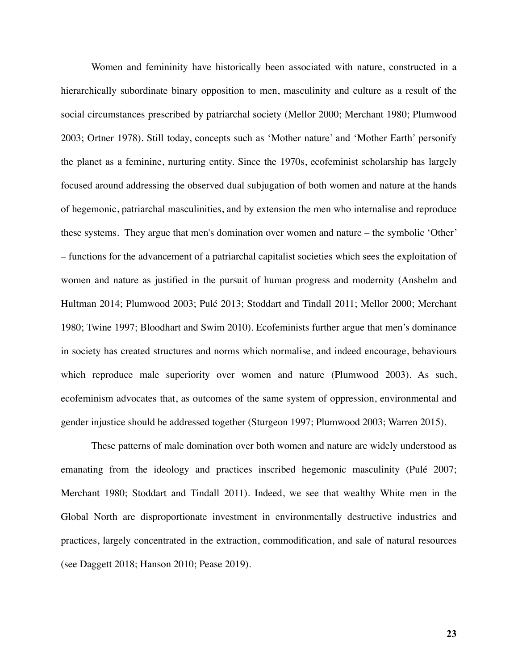Women and femininity have historically been associated with nature, constructed in a hierarchically subordinate binary opposition to men, masculinity and culture as a result of the social circumstances prescribed by patriarchal society (Mellor 2000; Merchant 1980; Plumwood 2003; Ortner 1978). Still today, concepts such as 'Mother nature' and 'Mother Earth' personify the planet as a feminine, nurturing entity. Since the 1970s, ecofeminist scholarship has largely focused around addressing the observed dual subjugation of both women and nature at the hands of hegemonic, patriarchal masculinities, and by extension the men who internalise and reproduce these systems. They argue that men's domination over women and nature – the symbolic 'Other' – functions for the advancement of a patriarchal capitalist societies which sees the exploitation of women and nature as justified in the pursuit of human progress and modernity (Anshelm and Hultman 2014; Plumwood 2003; Pulé 2013; Stoddart and Tindall 2011; Mellor 2000; Merchant 1980; Twine 1997; Bloodhart and Swim 2010). Ecofeminists further argue that men's dominance in society has created structures and norms which normalise, and indeed encourage, behaviours which reproduce male superiority over women and nature (Plumwood 2003). As such, ecofeminism advocates that, as outcomes of the same system of oppression, environmental and gender injustice should be addressed together (Sturgeon 1997; Plumwood 2003; Warren 2015).

These patterns of male domination over both women and nature are widely understood as emanating from the ideology and practices inscribed hegemonic masculinity (Pulé 2007; Merchant 1980; Stoddart and Tindall 2011). Indeed, we see that wealthy White men in the Global North are disproportionate investment in environmentally destructive industries and practices, largely concentrated in the extraction, commodification, and sale of natural resources (see Daggett 2018; Hanson 2010; Pease 2019).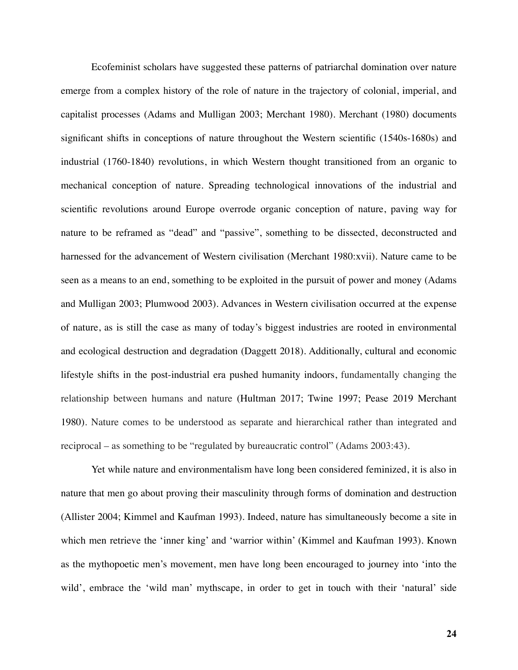Ecofeminist scholars have suggested these patterns of patriarchal domination over nature emerge from a complex history of the role of nature in the trajectory of colonial, imperial, and capitalist processes (Adams and Mulligan 2003; Merchant 1980). Merchant (1980) documents significant shifts in conceptions of nature throughout the Western scientific (1540s-1680s) and industrial (1760-1840) revolutions, in which Western thought transitioned from an organic to mechanical conception of nature. Spreading technological innovations of the industrial and scientific revolutions around Europe overrode organic conception of nature, paving way for nature to be reframed as "dead" and "passive", something to be dissected, deconstructed and harnessed for the advancement of Western civilisation (Merchant 1980:xvii). Nature came to be seen as a means to an end, something to be exploited in the pursuit of power and money (Adams and Mulligan 2003; Plumwood 2003). Advances in Western civilisation occurred at the expense of nature, as is still the case as many of today's biggest industries are rooted in environmental and ecological destruction and degradation (Daggett 2018). Additionally, cultural and economic lifestyle shifts in the post-industrial era pushed humanity indoors, fundamentally changing the relationship between humans and nature (Hultman 2017; Twine 1997; Pease 2019 Merchant 1980). Nature comes to be understood as separate and hierarchical rather than integrated and reciprocal – as something to be "regulated by bureaucratic control" (Adams 2003:43).

Yet while nature and environmentalism have long been considered feminized, it is also in nature that men go about proving their masculinity through forms of domination and destruction (Allister 2004; Kimmel and Kaufman 1993). Indeed, nature has simultaneously become a site in which men retrieve the 'inner king' and 'warrior within' (Kimmel and Kaufman 1993). Known as the mythopoetic men's movement, men have long been encouraged to journey into 'into the wild', embrace the 'wild man' mythscape, in order to get in touch with their 'natural' side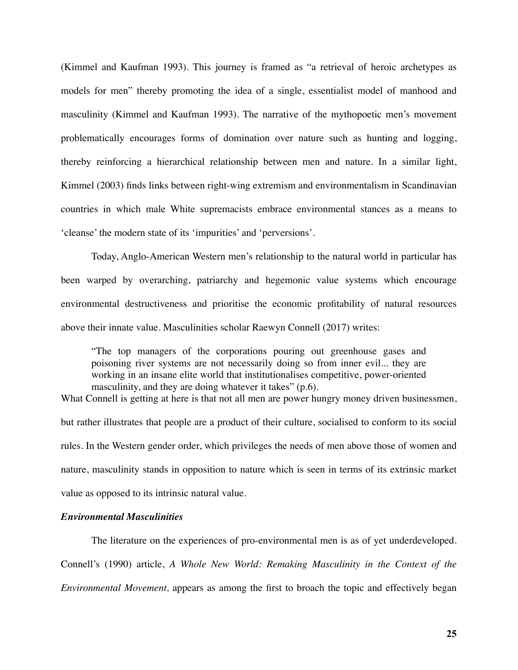(Kimmel and Kaufman 1993). This journey is framed as "a retrieval of heroic archetypes as models for men" thereby promoting the idea of a single, essentialist model of manhood and masculinity (Kimmel and Kaufman 1993). The narrative of the mythopoetic men's movement problematically encourages forms of domination over nature such as hunting and logging, thereby reinforcing a hierarchical relationship between men and nature. In a similar light, Kimmel (2003) finds links between right-wing extremism and environmentalism in Scandinavian countries in which male White supremacists embrace environmental stances as a means to 'cleanse' the modern state of its 'impurities' and 'perversions'.

Today, Anglo-American Western men's relationship to the natural world in particular has been warped by overarching, patriarchy and hegemonic value systems which encourage environmental destructiveness and prioritise the economic profitability of natural resources above their innate value. Masculinities scholar Raewyn Connell (2017) writes:

"The top managers of the corporations pouring out greenhouse gases and poisoning river systems are not necessarily doing so from inner evil... they are working in an insane elite world that institutionalises competitive, power-oriented masculinity, and they are doing whatever it takes" (p.6).

What Connell is getting at here is that not all men are power hungry money driven businessmen, but rather illustrates that people are a product of their culture, socialised to conform to its social rules. In the Western gender order, which privileges the needs of men above those of women and nature, masculinity stands in opposition to nature which is seen in terms of its extrinsic market value as opposed to its intrinsic natural value.

# *Environmental Masculinities*

The literature on the experiences of pro-environmental men is as of yet underdeveloped. Connell's (1990) article, *A Whole New World: Remaking Masculinity in the Context of the Environmental Movement,* appears as among the first to broach the topic and effectively began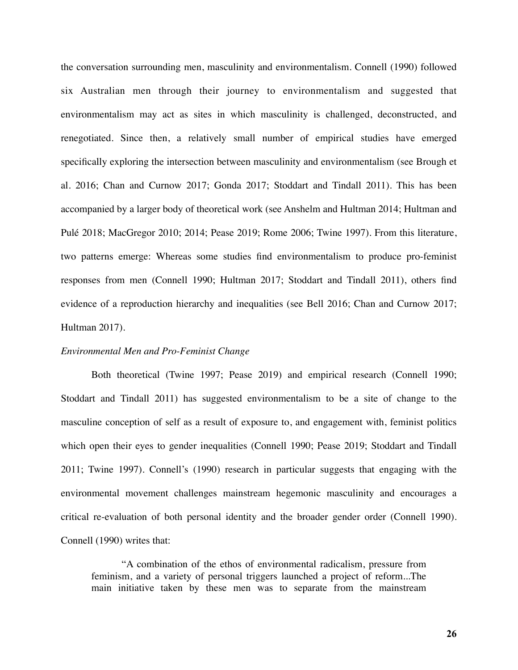the conversation surrounding men, masculinity and environmentalism. Connell (1990) followed six Australian men through their journey to environmentalism and suggested that environmentalism may act as sites in which masculinity is challenged, deconstructed, and renegotiated. Since then, a relatively small number of empirical studies have emerged specifically exploring the intersection between masculinity and environmentalism (see Brough et al. 2016; Chan and Curnow 2017; Gonda 2017; Stoddart and Tindall 2011). This has been accompanied by a larger body of theoretical work (see Anshelm and Hultman 2014; Hultman and Pulé 2018; MacGregor 2010; 2014; Pease 2019; Rome 2006; Twine 1997). From this literature, two patterns emerge: Whereas some studies find environmentalism to produce pro-feminist responses from men (Connell 1990; Hultman 2017; Stoddart and Tindall 2011), others find evidence of a reproduction hierarchy and inequalities (see Bell 2016; Chan and Curnow 2017; Hultman 2017).

#### *Environmental Men and Pro-Feminist Change*

Both theoretical (Twine 1997; Pease 2019) and empirical research (Connell 1990; Stoddart and Tindall 2011) has suggested environmentalism to be a site of change to the masculine conception of self as a result of exposure to, and engagement with, feminist politics which open their eyes to gender inequalities (Connell 1990; Pease 2019; Stoddart and Tindall 2011; Twine 1997). Connell's (1990) research in particular suggests that engaging with the environmental movement challenges mainstream hegemonic masculinity and encourages a critical re-evaluation of both personal identity and the broader gender order (Connell 1990). Connell (1990) writes that:

"A combination of the ethos of environmental radicalism, pressure from feminism, and a variety of personal triggers launched a project of reform...The main initiative taken by these men was to separate from the mainstream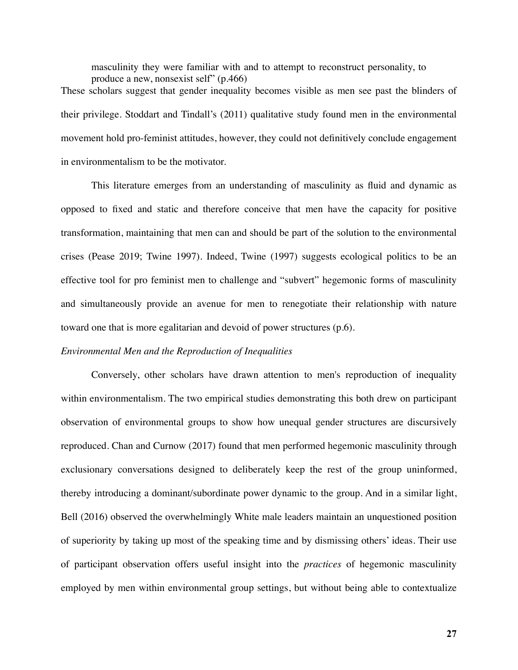masculinity they were familiar with and to attempt to reconstruct personality, to produce a new, nonsexist self" (p.466) These scholars suggest that gender inequality becomes visible as men see past the blinders of their privilege. Stoddart and Tindall's (2011) qualitative study found men in the environmental movement hold pro-feminist attitudes, however, they could not definitively conclude engagement in environmentalism to be the motivator.

This literature emerges from an understanding of masculinity as fluid and dynamic as opposed to fixed and static and therefore conceive that men have the capacity for positive transformation, maintaining that men can and should be part of the solution to the environmental crises (Pease 2019; Twine 1997). Indeed, Twine (1997) suggests ecological politics to be an effective tool for pro feminist men to challenge and "subvert" hegemonic forms of masculinity and simultaneously provide an avenue for men to renegotiate their relationship with nature toward one that is more egalitarian and devoid of power structures (p.6).

#### *Environmental Men and the Reproduction of Inequalities*

Conversely, other scholars have drawn attention to men's reproduction of inequality within environmentalism. The two empirical studies demonstrating this both drew on participant observation of environmental groups to show how unequal gender structures are discursively reproduced. Chan and Curnow (2017) found that men performed hegemonic masculinity through exclusionary conversations designed to deliberately keep the rest of the group uninformed, thereby introducing a dominant/subordinate power dynamic to the group. And in a similar light, Bell (2016) observed the overwhelmingly White male leaders maintain an unquestioned position of superiority by taking up most of the speaking time and by dismissing others' ideas. Their use of participant observation offers useful insight into the *practices* of hegemonic masculinity employed by men within environmental group settings, but without being able to contextualize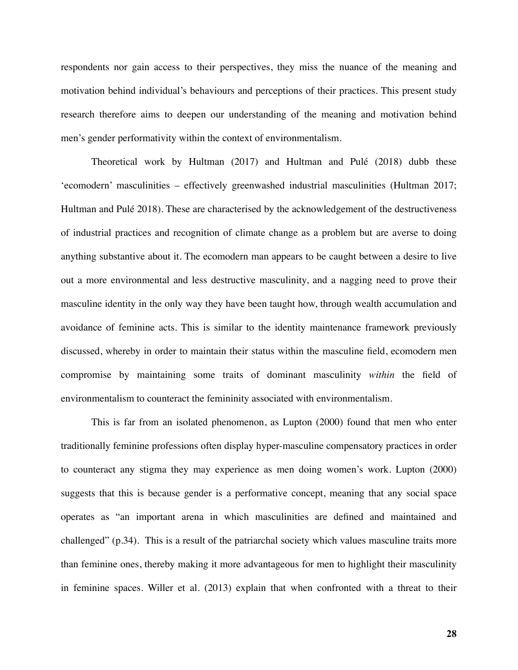respondents nor gain access to their perspectives, they miss the nuance of the meaning and motivation behind individual's behaviours and perceptions of their practices. This present study research therefore aims to deepen our understanding of the meaning and motivation behind men's gender performativity within the context of environmentalism.

Theoretical work by Hultman (2017) and Hultman and Pulé (2018) dubb these 'ecomodern' masculinities – effectively greenwashed industrial masculinities (Hultman 2017; Hultman and Pulé 2018). These are characterised by the acknowledgement of the destructiveness of industrial practices and recognition of climate change as a problem but are averse to doing anything substantive about it. The ecomodern man appears to be caught between a desire to live out a more environmental and less destructive masculinity, and a nagging need to prove their masculine identity in the only way they have been taught how, through wealth accumulation and avoidance of feminine acts. This is similar to the identity maintenance framework previously discussed, whereby in order to maintain their status within the masculine field, ecomodern men compromise by maintaining some traits of dominant masculinity *within* the field of environmentalism to counteract the femininity associated with environmentalism.

This is far from an isolated phenomenon, as Lupton (2000) found that men who enter traditionally feminine professions often display hyper-masculine compensatory practices in order to counteract any stigma they may experience as men doing women's work. Lupton (2000) suggests that this is because gender is a performative concept, meaning that any social space operates as "an important arena in which masculinities are defined and maintained and challenged" (p.34). This is a result of the patriarchal society which values masculine traits more than feminine ones, thereby making it more advantageous for men to highlight their masculinity in feminine spaces. Willer et al. (2013) explain that when confronted with a threat to their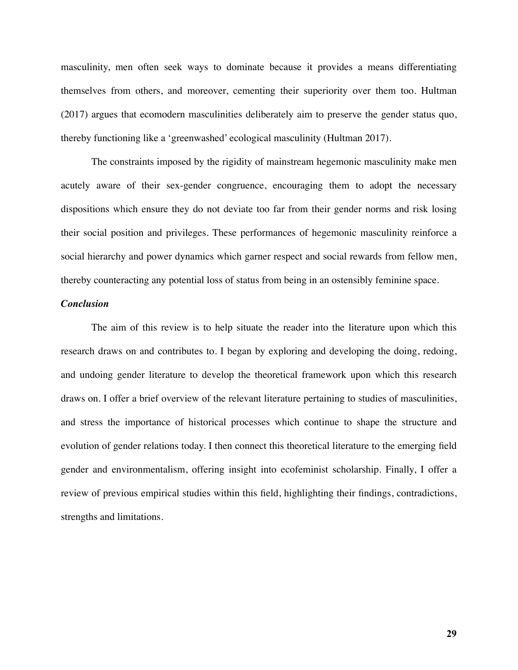masculinity, men often seek ways to dominate because it provides a means differentiating themselves from others, and moreover, cementing their superiority over them too. Hultman (2017) argues that ecomodern masculinities deliberately aim to preserve the gender status quo, thereby functioning like a 'greenwashed' ecological masculinity (Hultman 2017).

The constraints imposed by the rigidity of mainstream hegemonic masculinity make men acutely aware of their sex-gender congruence, encouraging them to adopt the necessary dispositions which ensure they do not deviate too far from their gender norms and risk losing their social position and privileges. These performances of hegemonic masculinity reinforce a social hierarchy and power dynamics which garner respect and social rewards from fellow men, thereby counteracting any potential loss of status from being in an ostensibly feminine space.

## *Conclusion*

The aim of this review is to help situate the reader into the literature upon which this research draws on and contributes to. I began by exploring and developing the doing, redoing, and undoing gender literature to develop the theoretical framework upon which this research draws on. I offer a brief overview of the relevant literature pertaining to studies of masculinities, and stress the importance of historical processes which continue to shape the structure and evolution of gender relations today. I then connect this theoretical literature to the emerging field gender and environmentalism, offering insight into ecofeminist scholarship. Finally, I offer a review of previous empirical studies within this field, highlighting their findings, contradictions, strengths and limitations.

**29**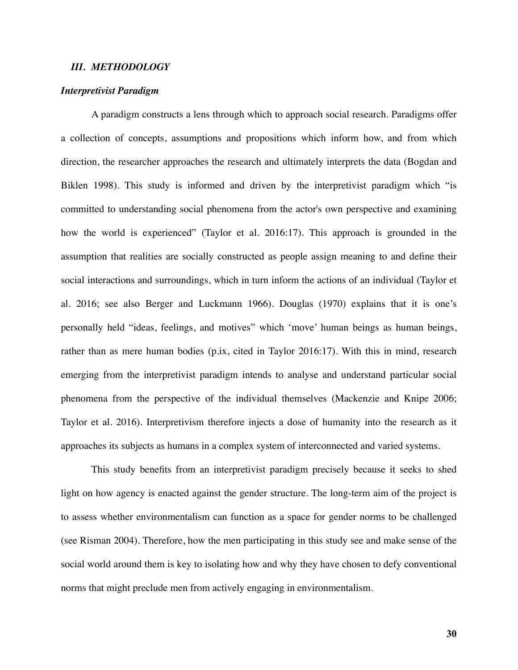#### *III. METHODOLOGY*

#### *Interpretivist Paradigm*

A paradigm constructs a lens through which to approach social research. Paradigms offer a collection of concepts, assumptions and propositions which inform how, and from which direction, the researcher approaches the research and ultimately interprets the data (Bogdan and Biklen 1998). This study is informed and driven by the interpretivist paradigm which "is committed to understanding social phenomena from the actor's own perspective and examining how the world is experienced" (Taylor et al. 2016:17). This approach is grounded in the assumption that realities are socially constructed as people assign meaning to and define their social interactions and surroundings, which in turn inform the actions of an individual (Taylor et al. 2016; see also Berger and Luckmann 1966). Douglas (1970) explains that it is one's personally held "ideas, feelings, and motives" which 'move' human beings as human beings, rather than as mere human bodies (p.ix, cited in Taylor 2016:17). With this in mind, research emerging from the interpretivist paradigm intends to analyse and understand particular social phenomena from the perspective of the individual themselves (Mackenzie and Knipe 2006; Taylor et al. 2016). Interpretivism therefore injects a dose of humanity into the research as it approaches its subjects as humans in a complex system of interconnected and varied systems.

This study benefits from an interpretivist paradigm precisely because it seeks to shed light on how agency is enacted against the gender structure. The long-term aim of the project is to assess whether environmentalism can function as a space for gender norms to be challenged (see Risman 2004). Therefore, how the men participating in this study see and make sense of the social world around them is key to isolating how and why they have chosen to defy conventional norms that might preclude men from actively engaging in environmentalism.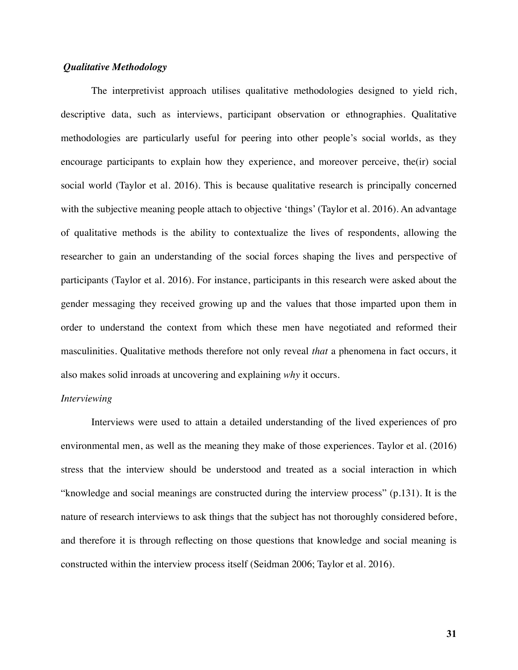# *Qualitative Methodology*

The interpretivist approach utilises qualitative methodologies designed to yield rich, descriptive data, such as interviews, participant observation or ethnographies. Qualitative methodologies are particularly useful for peering into other people's social worlds, as they encourage participants to explain how they experience, and moreover perceive, the(ir) social social world (Taylor et al. 2016). This is because qualitative research is principally concerned with the subjective meaning people attach to objective 'things' (Taylor et al. 2016). An advantage of qualitative methods is the ability to contextualize the lives of respondents, allowing the researcher to gain an understanding of the social forces shaping the lives and perspective of participants (Taylor et al. 2016). For instance, participants in this research were asked about the gender messaging they received growing up and the values that those imparted upon them in order to understand the context from which these men have negotiated and reformed their masculinities. Qualitative methods therefore not only reveal *that* a phenomena in fact occurs, it also makes solid inroads at uncovering and explaining *why* it occurs.

#### *Interviewing*

Interviews were used to attain a detailed understanding of the lived experiences of pro environmental men, as well as the meaning they make of those experiences. Taylor et al. (2016) stress that the interview should be understood and treated as a social interaction in which "knowledge and social meanings are constructed during the interview process" (p.131). It is the nature of research interviews to ask things that the subject has not thoroughly considered before, and therefore it is through reflecting on those questions that knowledge and social meaning is constructed within the interview process itself (Seidman 2006; Taylor et al. 2016).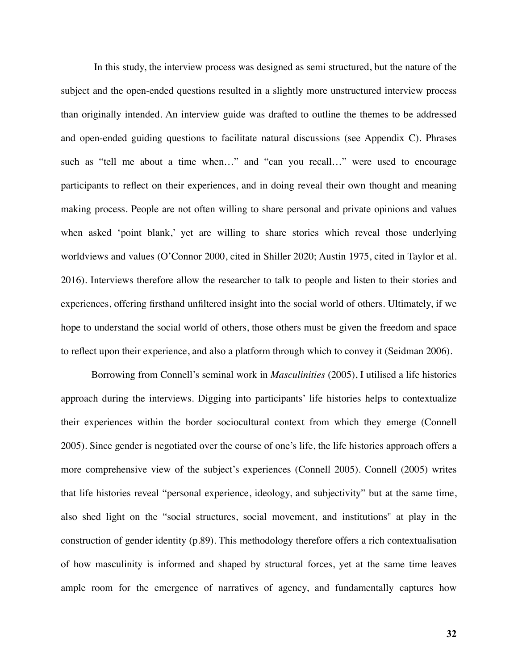In this study, the interview process was designed as semi structured, but the nature of the subject and the open-ended questions resulted in a slightly more unstructured interview process than originally intended. An interview guide was drafted to outline the themes to be addressed and open-ended guiding questions to facilitate natural discussions (see Appendix C). Phrases such as "tell me about a time when…" and "can you recall…" were used to encourage participants to reflect on their experiences, and in doing reveal their own thought and meaning making process. People are not often willing to share personal and private opinions and values when asked 'point blank,' yet are willing to share stories which reveal those underlying worldviews and values (O'Connor 2000, cited in Shiller 2020; Austin 1975, cited in Taylor et al. 2016). Interviews therefore allow the researcher to talk to people and listen to their stories and experiences, offering firsthand unfiltered insight into the social world of others. Ultimately, if we hope to understand the social world of others, those others must be given the freedom and space to reflect upon their experience, and also a platform through which to convey it (Seidman 2006).

Borrowing from Connell's seminal work in *Masculinities* (2005), I utilised a life histories approach during the interviews. Digging into participants' life histories helps to contextualize their experiences within the border sociocultural context from which they emerge (Connell 2005). Since gender is negotiated over the course of one's life, the life histories approach offers a more comprehensive view of the subject's experiences (Connell 2005). Connell (2005) writes that life histories reveal "personal experience, ideology, and subjectivity" but at the same time, also shed light on the "social structures, social movement, and institutions'' at play in the construction of gender identity (p.89). This methodology therefore offers a rich contextualisation of how masculinity is informed and shaped by structural forces, yet at the same time leaves ample room for the emergence of narratives of agency, and fundamentally captures how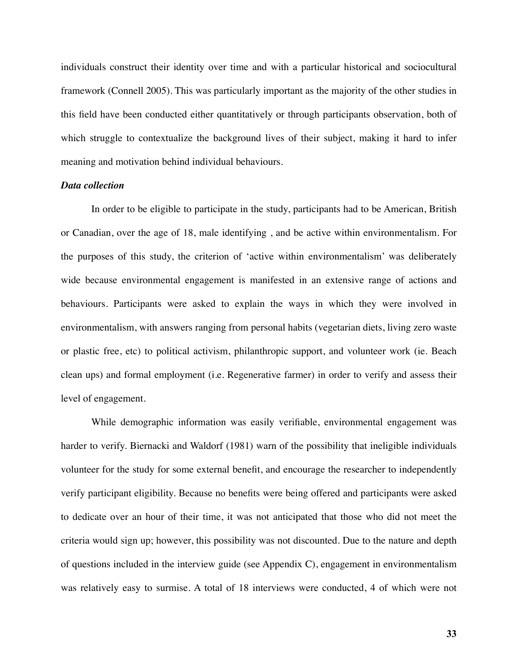individuals construct their identity over time and with a particular historical and sociocultural framework (Connell 2005). This was particularly important as the majority of the other studies in this field have been conducted either quantitatively or through participants observation, both of which struggle to contextualize the background lives of their subject, making it hard to infer meaning and motivation behind individual behaviours.

#### *Data collection*

In order to be eligible to participate in the study, participants had to be American, British or Canadian, over the age of 18, male identifying , and be active within environmentalism. For the purposes of this study, the criterion of 'active within environmentalism' was deliberately wide because environmental engagement is manifested in an extensive range of actions and behaviours. Participants were asked to explain the ways in which they were involved in environmentalism, with answers ranging from personal habits (vegetarian diets, living zero waste or plastic free, etc) to political activism, philanthropic support, and volunteer work (ie. Beach clean ups) and formal employment (i.e. Regenerative farmer) in order to verify and assess their level of engagement.

While demographic information was easily verifiable, environmental engagement was harder to verify. Biernacki and Waldorf (1981) warn of the possibility that ineligible individuals volunteer for the study for some external benefit, and encourage the researcher to independently verify participant eligibility. Because no benefits were being offered and participants were asked to dedicate over an hour of their time, it was not anticipated that those who did not meet the criteria would sign up; however, this possibility was not discounted. Due to the nature and depth of questions included in the interview guide (see Appendix C), engagement in environmentalism was relatively easy to surmise. A total of 18 interviews were conducted, 4 of which were not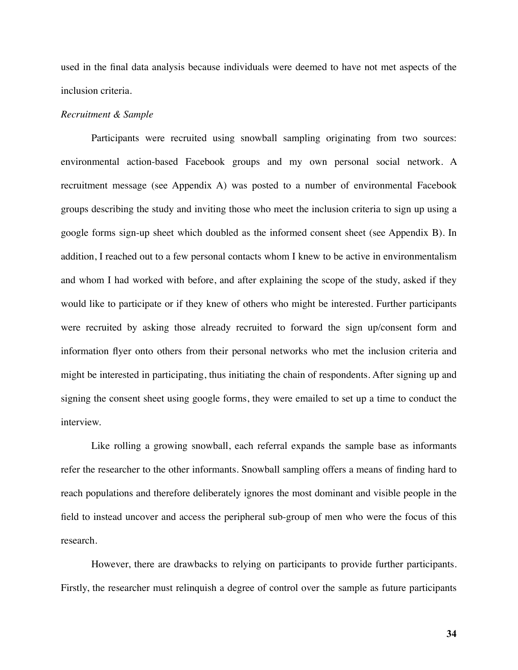used in the final data analysis because individuals were deemed to have not met aspects of the inclusion criteria.

#### *Recruitment & Sample*

Participants were recruited using snowball sampling originating from two sources: environmental action-based Facebook groups and my own personal social network. A recruitment message (see Appendix A) was posted to a number of environmental Facebook groups describing the study and inviting those who meet the inclusion criteria to sign up using a google forms sign-up sheet which doubled as the informed consent sheet (see Appendix B). In addition, I reached out to a few personal contacts whom I knew to be active in environmentalism and whom I had worked with before, and after explaining the scope of the study, asked if they would like to participate or if they knew of others who might be interested. Further participants were recruited by asking those already recruited to forward the sign up/consent form and information flyer onto others from their personal networks who met the inclusion criteria and might be interested in participating, thus initiating the chain of respondents. After signing up and signing the consent sheet using google forms, they were emailed to set up a time to conduct the interview.

Like rolling a growing snowball, each referral expands the sample base as informants refer the researcher to the other informants. Snowball sampling offers a means of finding hard to reach populations and therefore deliberately ignores the most dominant and visible people in the field to instead uncover and access the peripheral sub-group of men who were the focus of this research.

However, there are drawbacks to relying on participants to provide further participants. Firstly, the researcher must relinquish a degree of control over the sample as future participants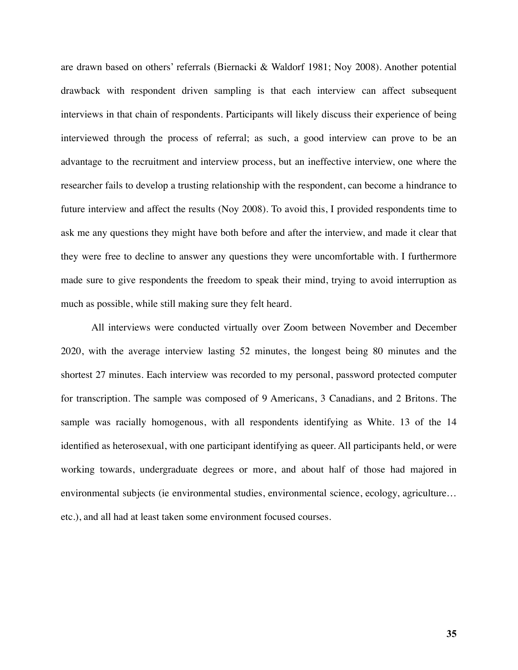are drawn based on others' referrals (Biernacki & Waldorf 1981; Noy 2008). Another potential drawback with respondent driven sampling is that each interview can affect subsequent interviews in that chain of respondents. Participants will likely discuss their experience of being interviewed through the process of referral; as such, a good interview can prove to be an advantage to the recruitment and interview process, but an ineffective interview, one where the researcher fails to develop a trusting relationship with the respondent, can become a hindrance to future interview and affect the results (Noy 2008). To avoid this, I provided respondents time to ask me any questions they might have both before and after the interview, and made it clear that they were free to decline to answer any questions they were uncomfortable with. I furthermore made sure to give respondents the freedom to speak their mind, trying to avoid interruption as much as possible, while still making sure they felt heard.

All interviews were conducted virtually over Zoom between November and December 2020, with the average interview lasting 52 minutes, the longest being 80 minutes and the shortest 27 minutes. Each interview was recorded to my personal, password protected computer for transcription. The sample was composed of 9 Americans, 3 Canadians, and 2 Britons. The sample was racially homogenous, with all respondents identifying as White. 13 of the 14 identified as heterosexual, with one participant identifying as queer. All participants held, or were working towards, undergraduate degrees or more, and about half of those had majored in environmental subjects (ie environmental studies, environmental science, ecology, agriculture… etc.), and all had at least taken some environment focused courses.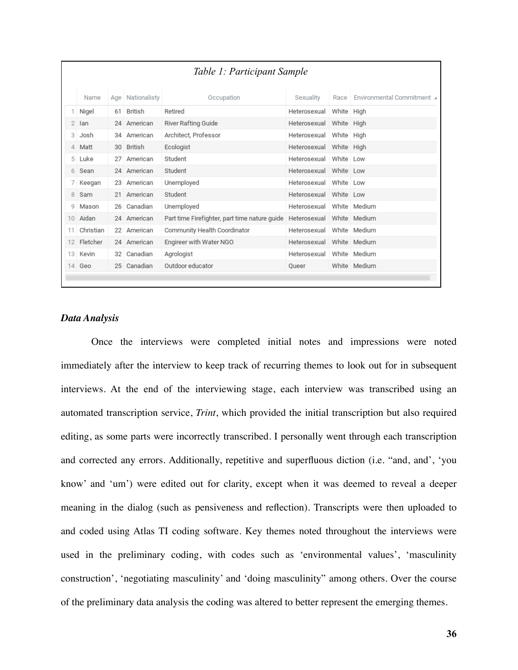| Table 1: Participant Sample |           |     |              |                                               |                           |      |                            |
|-----------------------------|-----------|-----|--------------|-----------------------------------------------|---------------------------|------|----------------------------|
|                             | Name      | Age | Nationalisty | Occupation                                    | Sexuality                 | Race | Environmental Commitment ⊿ |
|                             | Nigel     | 61  | British      | Retired                                       | Heterosexual White High   |      |                            |
| 2                           | lan       |     | 24 American  | River Rafting Guide                           | Heterosexual White High   |      |                            |
| З                           | Josh      |     | 34 American  | Architect, Professor                          | Heterosexual White High   |      |                            |
| 4                           | Matt      | 30  | British      | Ecologist                                     | Heterosexual White High   |      |                            |
| 5                           | Luke      | 27  | American     | Student                                       | Heterosexual White Low    |      |                            |
| 6                           | Sean      |     | 24 American  | Student                                       | Heterosexual White Low    |      |                            |
|                             | Keegan    | 23  | American     | Unemployed                                    | Heterosexual White Low    |      |                            |
| 8                           | Sam       |     | 21 American  | Student                                       | Heterosexual White Low    |      |                            |
| 9                           | Mason     |     | 26 Canadian  | Unemployed                                    | Heterosexual White Medium |      |                            |
| 10 <sup>1</sup>             | Aidan     |     | 24 American  | Part time Firefighter, part time nature guide | Heterosexual White Medium |      |                            |
| 11                          | Christian |     | 22 American  | Community Health Coordinator                  | Heterosexual White Medium |      |                            |
| 12                          | Fletcher  |     | 24 American  | Engireer with Water NGO                       | Heterosexual White Medium |      |                            |
| 13                          | Kevin     | 32  | Canadian     | Agrologist                                    | Heterosexual White Medium |      |                            |
| 14                          | Geo       |     | 25 Canadian  | Outdoor educator                              | Queer                     |      | White Medium               |
|                             |           |     |              |                                               |                           |      |                            |

# *Data Analysis*

Once the interviews were completed initial notes and impressions were noted immediately after the interview to keep track of recurring themes to look out for in subsequent interviews. At the end of the interviewing stage, each interview was transcribed using an automated transcription service, *Trint*, which provided the initial transcription but also required editing, as some parts were incorrectly transcribed. I personally went through each transcription and corrected any errors. Additionally, repetitive and superfluous diction (i.e. "and, and', 'you know' and 'um') were edited out for clarity, except when it was deemed to reveal a deeper meaning in the dialog (such as pensiveness and reflection). Transcripts were then uploaded to and coded using Atlas TI coding software. Key themes noted throughout the interviews were used in the preliminary coding, with codes such as 'environmental values', 'masculinity construction', 'negotiating masculinity' and 'doing masculinity" among others. Over the course of the preliminary data analysis the coding was altered to better represent the emerging themes.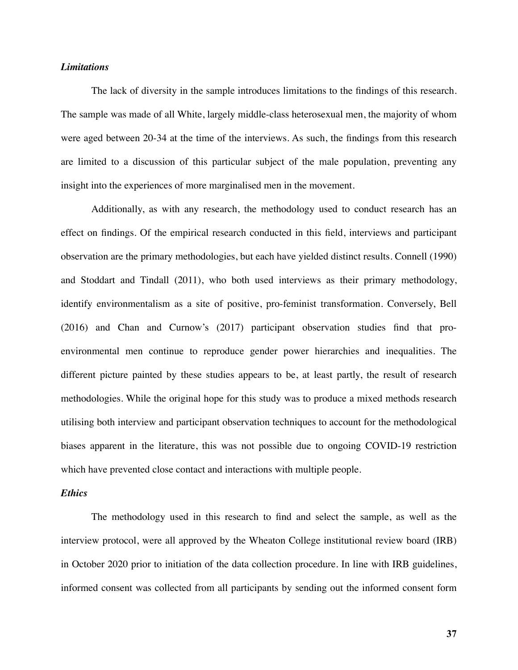## *Limitations*

The lack of diversity in the sample introduces limitations to the findings of this research. The sample was made of all White, largely middle-class heterosexual men, the majority of whom were aged between 20-34 at the time of the interviews. As such, the findings from this research are limited to a discussion of this particular subject of the male population, preventing any insight into the experiences of more marginalised men in the movement.

Additionally, as with any research, the methodology used to conduct research has an effect on findings. Of the empirical research conducted in this field, interviews and participant observation are the primary methodologies, but each have yielded distinct results. Connell (1990) and Stoddart and Tindall (2011), who both used interviews as their primary methodology, identify environmentalism as a site of positive, pro-feminist transformation. Conversely, Bell (2016) and Chan and Curnow's (2017) participant observation studies find that proenvironmental men continue to reproduce gender power hierarchies and inequalities. The different picture painted by these studies appears to be, at least partly, the result of research methodologies. While the original hope for this study was to produce a mixed methods research utilising both interview and participant observation techniques to account for the methodological biases apparent in the literature, this was not possible due to ongoing COVID-19 restriction which have prevented close contact and interactions with multiple people.

## *Ethics*

The methodology used in this research to find and select the sample, as well as the interview protocol, were all approved by the Wheaton College institutional review board (IRB) in October 2020 prior to initiation of the data collection procedure. In line with IRB guidelines, informed consent was collected from all participants by sending out the informed consent form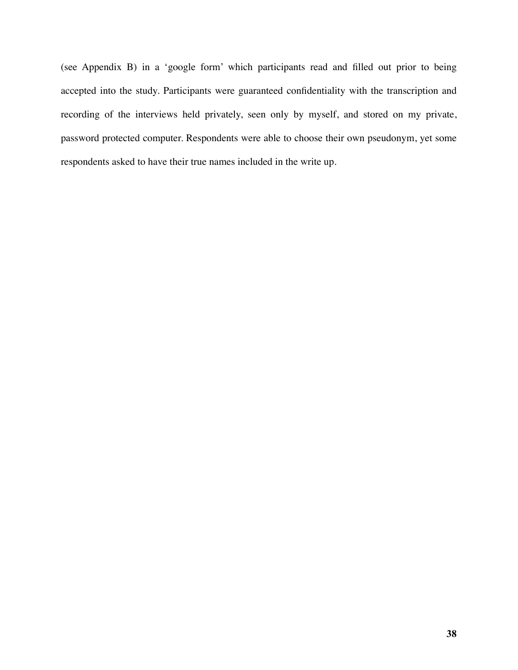(see Appendix B) in a 'google form' which participants read and filled out prior to being accepted into the study. Participants were guaranteed confidentiality with the transcription and recording of the interviews held privately, seen only by myself, and stored on my private, password protected computer. Respondents were able to choose their own pseudonym, yet some respondents asked to have their true names included in the write up.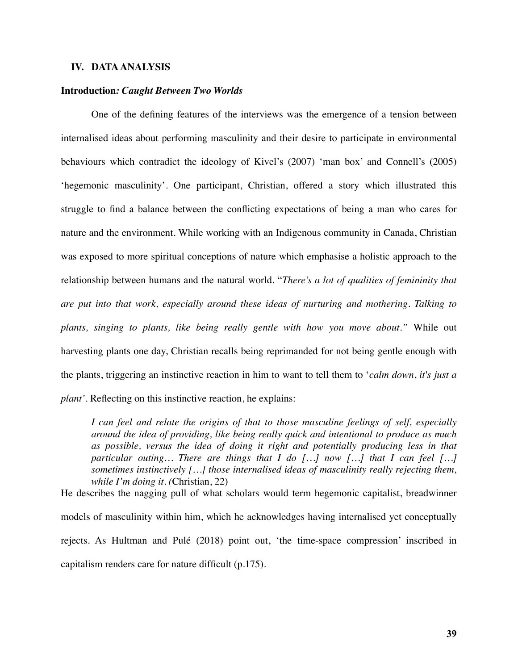## **IV. DATA ANALYSIS**

#### **Introduction***: Caught Between Two Worlds*

One of the defining features of the interviews was the emergence of a tension between internalised ideas about performing masculinity and their desire to participate in environmental behaviours which contradict the ideology of Kivel's (2007) 'man box' and Connell's (2005) 'hegemonic masculinity'. One participant, Christian, offered a story which illustrated this struggle to find a balance between the conflicting expectations of being a man who cares for nature and the environment. While working with an Indigenous community in Canada, Christian was exposed to more spiritual conceptions of nature which emphasise a holistic approach to the relationship between humans and the natural world. "*There's a lot of qualities of femininity that are put into that work, especially around these ideas of nurturing and mothering. Talking to plants, singing to plants, like being really gentle with how you move about."* While out harvesting plants one day, Christian recalls being reprimanded for not being gentle enough with the plants, triggering an instinctive reaction in him to want to tell them to '*calm down*, *it's just a plant'*. Reflecting on this instinctive reaction, he explains:

*I can feel and relate the origins of that to those masculine feelings of self, especially around the idea of providing, like being really quick and intentional to produce as much as possible, versus the idea of doing it right and potentially producing less in that particular outing… There are things that I do […] now […] that I can feel […] sometimes instinctively […] those internalised ideas of masculinity really rejecting them, while I'm doing it. (*Christian, 22)

He describes the nagging pull of what scholars would term hegemonic capitalist, breadwinner models of masculinity within him, which he acknowledges having internalised yet conceptually rejects. As Hultman and Pulé (2018) point out, 'the time-space compression' inscribed in capitalism renders care for nature difficult (p.175).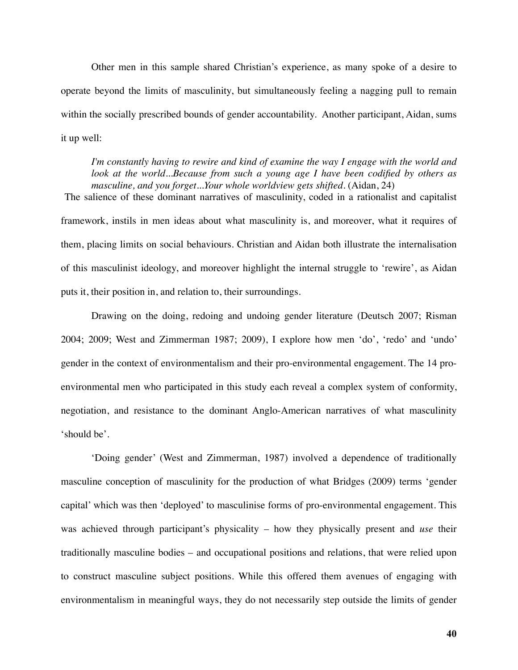Other men in this sample shared Christian's experience, as many spoke of a desire to operate beyond the limits of masculinity, but simultaneously feeling a nagging pull to remain within the socially prescribed bounds of gender accountability. Another participant, Aidan, sums it up well:

*I'm constantly having to rewire and kind of examine the way I engage with the world and*  look at the world...Because from such a young age I have been codified by others as *masculine, and you forget...Your whole worldview gets shifted.* (Aidan, 24) The salience of these dominant narratives of masculinity, coded in a rationalist and capitalist

framework, instils in men ideas about what masculinity is, and moreover, what it requires of them, placing limits on social behaviours. Christian and Aidan both illustrate the internalisation of this masculinist ideology, and moreover highlight the internal struggle to 'rewire', as Aidan puts it, their position in, and relation to, their surroundings.

Drawing on the doing, redoing and undoing gender literature (Deutsch 2007; Risman 2004; 2009; West and Zimmerman 1987; 2009), I explore how men 'do', 'redo' and 'undo' gender in the context of environmentalism and their pro-environmental engagement. The 14 proenvironmental men who participated in this study each reveal a complex system of conformity, negotiation, and resistance to the dominant Anglo-American narratives of what masculinity 'should be'.

'Doing gender' (West and Zimmerman, 1987) involved a dependence of traditionally masculine conception of masculinity for the production of what Bridges (2009) terms 'gender capital' which was then 'deployed' to masculinise forms of pro-environmental engagement. This was achieved through participant's physicality – how they physically present and *use* their traditionally masculine bodies – and occupational positions and relations, that were relied upon to construct masculine subject positions. While this offered them avenues of engaging with environmentalism in meaningful ways, they do not necessarily step outside the limits of gender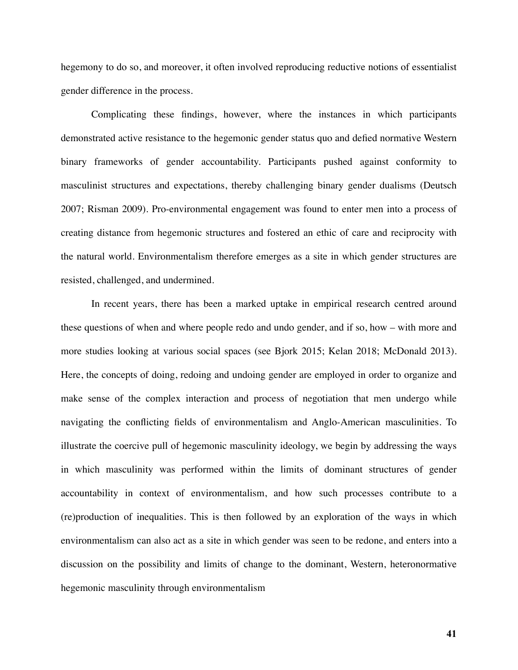hegemony to do so, and moreover, it often involved reproducing reductive notions of essentialist gender difference in the process.

Complicating these findings, however, where the instances in which participants demonstrated active resistance to the hegemonic gender status quo and defied normative Western binary frameworks of gender accountability. Participants pushed against conformity to masculinist structures and expectations, thereby challenging binary gender dualisms (Deutsch 2007; Risman 2009). Pro-environmental engagement was found to enter men into a process of creating distance from hegemonic structures and fostered an ethic of care and reciprocity with the natural world. Environmentalism therefore emerges as a site in which gender structures are resisted, challenged, and undermined.

In recent years, there has been a marked uptake in empirical research centred around these questions of when and where people redo and undo gender, and if so, how – with more and more studies looking at various social spaces (see Bjork 2015; Kelan 2018; McDonald 2013). Here, the concepts of doing, redoing and undoing gender are employed in order to organize and make sense of the complex interaction and process of negotiation that men undergo while navigating the conflicting fields of environmentalism and Anglo-American masculinities. To illustrate the coercive pull of hegemonic masculinity ideology, we begin by addressing the ways in which masculinity was performed within the limits of dominant structures of gender accountability in context of environmentalism, and how such processes contribute to a (re)production of inequalities. This is then followed by an exploration of the ways in which environmentalism can also act as a site in which gender was seen to be redone, and enters into a discussion on the possibility and limits of change to the dominant, Western, heteronormative hegemonic masculinity through environmentalism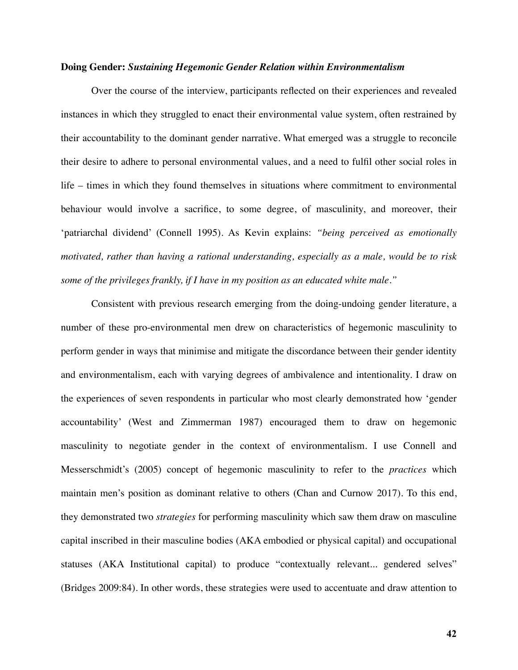#### **Doing Gender:** *Sustaining Hegemonic Gender Relation within Environmentalism*

Over the course of the interview, participants reflected on their experiences and revealed instances in which they struggled to enact their environmental value system, often restrained by their accountability to the dominant gender narrative. What emerged was a struggle to reconcile their desire to adhere to personal environmental values, and a need to fulfil other social roles in life – times in which they found themselves in situations where commitment to environmental behaviour would involve a sacrifice, to some degree, of masculinity, and moreover, their 'patriarchal dividend' (Connell 1995). As Kevin explains: *"being perceived as emotionally motivated, rather than having a rational understanding, especially as a male, would be to risk some of the privileges frankly, if I have in my position as an educated white male."*

Consistent with previous research emerging from the doing-undoing gender literature, a number of these pro-environmental men drew on characteristics of hegemonic masculinity to perform gender in ways that minimise and mitigate the discordance between their gender identity and environmentalism, each with varying degrees of ambivalence and intentionality. I draw on the experiences of seven respondents in particular who most clearly demonstrated how 'gender accountability' (West and Zimmerman 1987) encouraged them to draw on hegemonic masculinity to negotiate gender in the context of environmentalism. I use Connell and Messerschmidt's (2005) concept of hegemonic masculinity to refer to the *practices* which maintain men's position as dominant relative to others (Chan and Curnow 2017). To this end, they demonstrated two *strategies* for performing masculinity which saw them draw on masculine capital inscribed in their masculine bodies (AKA embodied or physical capital) and occupational statuses (AKA Institutional capital) to produce "contextually relevant... gendered selves" (Bridges 2009:84). In other words, these strategies were used to accentuate and draw attention to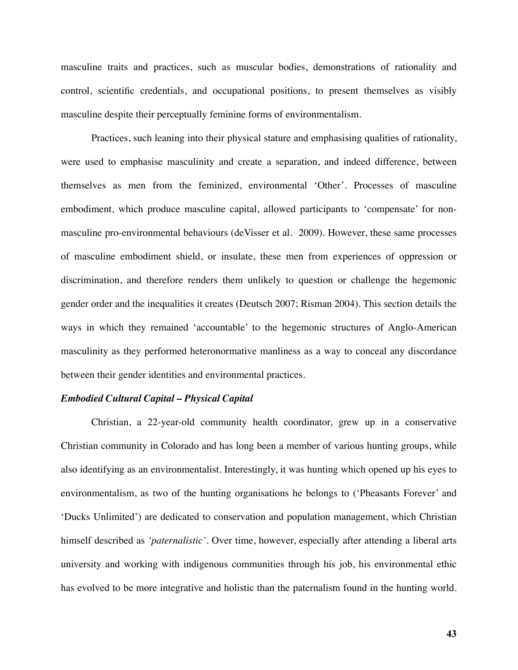masculine traits and practices, such as muscular bodies, demonstrations of rationality and control, scientific credentials, and occupational positions, to present themselves as visibly masculine despite their perceptually feminine forms of environmentalism.

Practices, such leaning into their physical stature and emphasising qualities of rationality, were used to emphasise masculinity and create a separation, and indeed difference, between themselves as men from the feminized, environmental 'Other'. Processes of masculine embodiment, which produce masculine capital, allowed participants to 'compensate' for nonmasculine pro-environmental behaviours (deVisser et al. 2009). However, these same processes of masculine embodiment shield, or insulate, these men from experiences of oppression or discrimination, and therefore renders them unlikely to question or challenge the hegemonic gender order and the inequalities it creates (Deutsch 2007; Risman 2004). This section details the ways in which they remained 'accountable' to the hegemonic structures of Anglo-American masculinity as they performed heteronormative manliness as a way to conceal any discordance between their gender identities and environmental practices.

#### *Embodied Cultural Capital – Physical Capital*

Christian, a 22-year-old community health coordinator, grew up in a conservative Christian community in Colorado and has long been a member of various hunting groups, while also identifying as an environmentalist. Interestingly, it was hunting which opened up his eyes to environmentalism, as two of the hunting organisations he belongs to ('Pheasants Forever' and 'Ducks Unlimited') are dedicated to conservation and population management, which Christian himself described as *'paternalistic'*. Over time, however, especially after attending a liberal arts university and working with indigenous communities through his job, his environmental ethic has evolved to be more integrative and holistic than the paternalism found in the hunting world.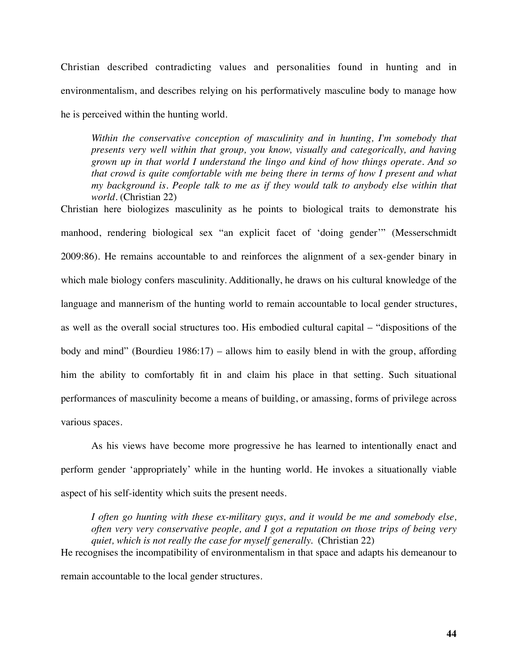Christian described contradicting values and personalities found in hunting and in environmentalism, and describes relying on his performatively masculine body to manage how he is perceived within the hunting world.

*Within the conservative conception of masculinity and in hunting, I'm somebody that presents very well within that group, you know, visually and categorically, and having grown up in that world I understand the lingo and kind of how things operate. And so that crowd is quite comfortable with me being there in terms of how I present and what my background is. People talk to me as if they would talk to anybody else within that world.* (Christian 22)

Christian here biologizes masculinity as he points to biological traits to demonstrate his manhood, rendering biological sex "an explicit facet of 'doing gender'" (Messerschmidt 2009:86). He remains accountable to and reinforces the alignment of a sex-gender binary in which male biology confers masculinity. Additionally, he draws on his cultural knowledge of the language and mannerism of the hunting world to remain accountable to local gender structures, as well as the overall social structures too. His embodied cultural capital – "dispositions of the body and mind" (Bourdieu 1986:17) – allows him to easily blend in with the group, affording him the ability to comfortably fit in and claim his place in that setting. Such situational performances of masculinity become a means of building, or amassing, forms of privilege across various spaces.

As his views have become more progressive he has learned to intentionally enact and perform gender 'appropriately' while in the hunting world. He invokes a situationally viable aspect of his self-identity which suits the present needs.

*I often go hunting with these ex-military guys, and it would be me and somebody else, often very very conservative people, and I got a reputation on those trips of being very quiet, which is not really the case for myself generally.* (Christian 22)

He recognises the incompatibility of environmentalism in that space and adapts his demeanour to

remain accountable to the local gender structures.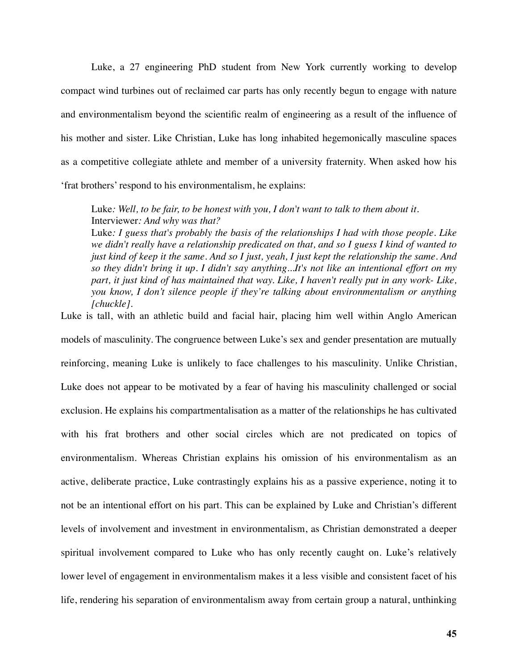Luke, a 27 engineering PhD student from New York currently working to develop compact wind turbines out of reclaimed car parts has only recently begun to engage with nature and environmentalism beyond the scientific realm of engineering as a result of the influence of his mother and sister. Like Christian, Luke has long inhabited hegemonically masculine spaces as a competitive collegiate athlete and member of a university fraternity. When asked how his 'frat brothers' respond to his environmentalism, he explains:

Luke: Well, to be fair, to be honest with you, I don't want to talk to them about it. Interviewer*: And why was that?* 

Luke*: I guess that's probably the basis of the relationships I had with those people. Like we didn't really have a relationship predicated on that, and so I guess I kind of wanted to just kind of keep it the same. And so I just, yeah, I just kept the relationship the same. And so they didn't bring it up. I didn't say anything...It's not like an intentional effort on my part, it just kind of has maintained that way. Like, I haven't really put in any work- Like, you know, I don't silence people if they're talking about environmentalism or anything [chuckle].* 

Luke is tall, with an athletic build and facial hair, placing him well within Anglo American models of masculinity. The congruence between Luke's sex and gender presentation are mutually reinforcing, meaning Luke is unlikely to face challenges to his masculinity. Unlike Christian, Luke does not appear to be motivated by a fear of having his masculinity challenged or social exclusion. He explains his compartmentalisation as a matter of the relationships he has cultivated with his frat brothers and other social circles which are not predicated on topics of environmentalism. Whereas Christian explains his omission of his environmentalism as an active, deliberate practice, Luke contrastingly explains his as a passive experience, noting it to not be an intentional effort on his part. This can be explained by Luke and Christian's different levels of involvement and investment in environmentalism, as Christian demonstrated a deeper spiritual involvement compared to Luke who has only recently caught on. Luke's relatively lower level of engagement in environmentalism makes it a less visible and consistent facet of his life, rendering his separation of environmentalism away from certain group a natural, unthinking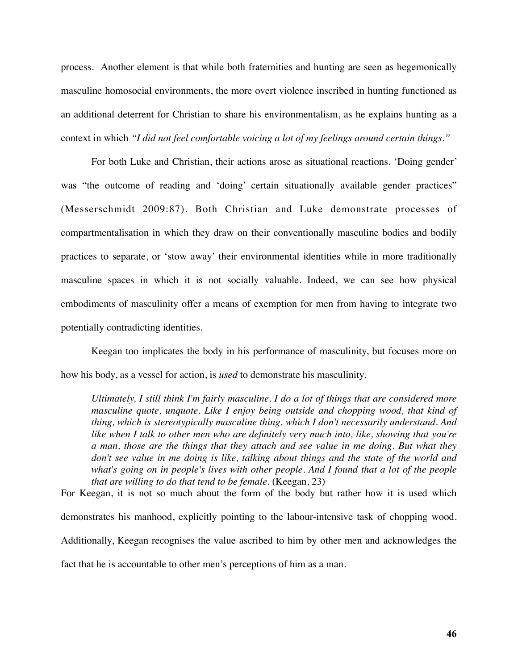process. Another element is that while both fraternities and hunting are seen as hegemonically masculine homosocial environments, the more overt violence inscribed in hunting functioned as an additional deterrent for Christian to share his environmentalism, as he explains hunting as a context in which *"I did not feel comfortable voicing a lot of my feelings around certain things."*

For both Luke and Christian, their actions arose as situational reactions. 'Doing gender' was "the outcome of reading and 'doing' certain situationally available gender practices" (Messerschmidt 2009:87). Both Christian and Luke demonstrate processes of compartmentalisation in which they draw on their conventionally masculine bodies and bodily practices to separate, or 'stow away' their environmental identities while in more traditionally masculine spaces in which it is not socially valuable. Indeed, we can see how physical embodiments of masculinity offer a means of exemption for men from having to integrate two potentially contradicting identities.

Keegan too implicates the body in his performance of masculinity, but focuses more on how his body, as a vessel for action, is *used* to demonstrate his masculinity.

*Ultimately, I still think I'm fairly masculine. I do a lot of things that are considered more masculine quote, unquote. Like I enjoy being outside and chopping wood, that kind of thing, which is stereotypically masculine thing, which I don't necessarily understand. And like when I talk to other men who are definitely very much into, like, showing that you're a man, those are the things that they attach and see value in me doing. But what they don't see value in me doing is like, talking about things and the state of the world and what's going on in people's lives with other people. And I found that a lot of the people that are willing to do that tend to be female.* (Keegan, 23)

For Keegan, it is not so much about the form of the body but rather how it is used which demonstrates his manhood, explicitly pointing to the labour-intensive task of chopping wood. Additionally, Keegan recognises the value ascribed to him by other men and acknowledges the fact that he is accountable to other men's perceptions of him as a man.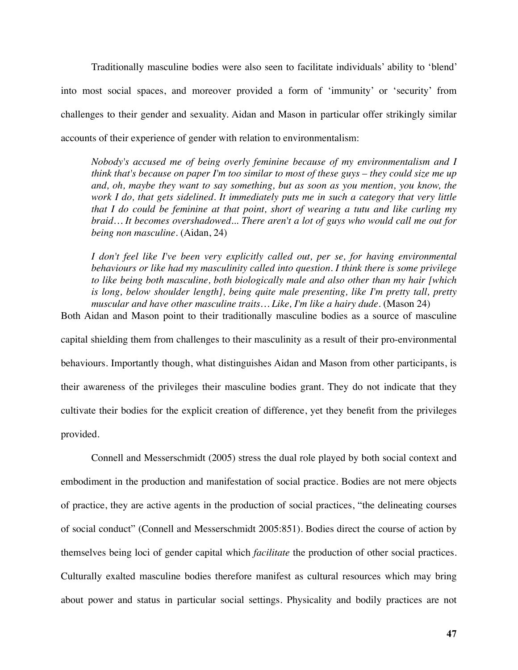Traditionally masculine bodies were also seen to facilitate individuals' ability to 'blend' into most social spaces, and moreover provided a form of 'immunity' or 'security' from challenges to their gender and sexuality. Aidan and Mason in particular offer strikingly similar accounts of their experience of gender with relation to environmentalism:

*Nobody's accused me of being overly feminine because of my environmentalism and I think that's because on paper I'm too similar to most of these guys – they could size me up*  and, oh, maybe they want to say something, but as soon as you mention, you know, the *work I do, that gets sidelined. It immediately puts me in such a category that very little that I do could be feminine at that point, short of wearing a tutu and like curling my braid… It becomes overshadowed... There aren't a lot of guys who would call me out for being non masculine.* (Aidan, 24)

*I don't feel like I've been very explicitly called out, per se, for having environmental behaviours or like had my masculinity called into question. I think there is some privilege to like being both masculine, both biologically male and also other than my hair [which is long, below shoulder length], being quite male presenting, like I'm pretty tall, pretty*  muscular and have other masculine traits... Like, I'm like a hairy dude. (Mason 24)

Both Aidan and Mason point to their traditionally masculine bodies as a source of masculine

capital shielding them from challenges to their masculinity as a result of their pro-environmental behaviours. Importantly though, what distinguishes Aidan and Mason from other participants, is their awareness of the privileges their masculine bodies grant. They do not indicate that they cultivate their bodies for the explicit creation of difference, yet they benefit from the privileges provided.

Connell and Messerschmidt (2005) stress the dual role played by both social context and embodiment in the production and manifestation of social practice. Bodies are not mere objects of practice, they are active agents in the production of social practices, "the delineating courses of social conduct" (Connell and Messerschmidt 2005:851). Bodies direct the course of action by themselves being loci of gender capital which *facilitate* the production of other social practices. Culturally exalted masculine bodies therefore manifest as cultural resources which may bring about power and status in particular social settings. Physicality and bodily practices are not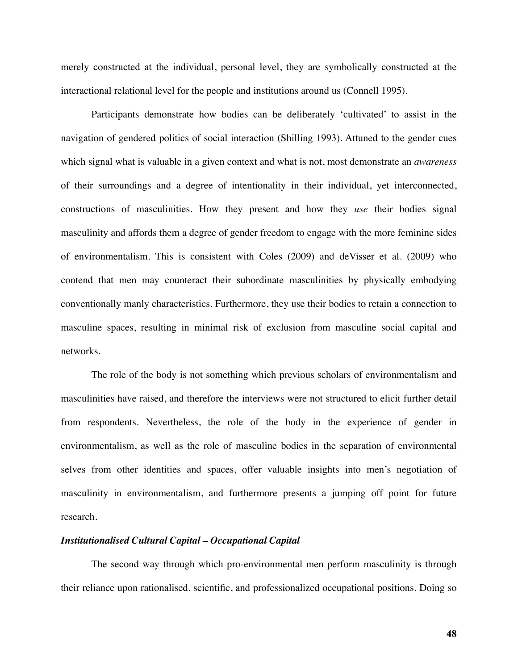merely constructed at the individual, personal level, they are symbolically constructed at the interactional relational level for the people and institutions around us (Connell 1995).

Participants demonstrate how bodies can be deliberately 'cultivated' to assist in the navigation of gendered politics of social interaction (Shilling 1993). Attuned to the gender cues which signal what is valuable in a given context and what is not, most demonstrate an *awareness* of their surroundings and a degree of intentionality in their individual, yet interconnected, constructions of masculinities. How they present and how they *use* their bodies signal masculinity and affords them a degree of gender freedom to engage with the more feminine sides of environmentalism. This is consistent with Coles (2009) and deVisser et al. (2009) who contend that men may counteract their subordinate masculinities by physically embodying conventionally manly characteristics. Furthermore, they use their bodies to retain a connection to masculine spaces, resulting in minimal risk of exclusion from masculine social capital and networks.

The role of the body is not something which previous scholars of environmentalism and masculinities have raised, and therefore the interviews were not structured to elicit further detail from respondents. Nevertheless, the role of the body in the experience of gender in environmentalism, as well as the role of masculine bodies in the separation of environmental selves from other identities and spaces, offer valuable insights into men's negotiation of masculinity in environmentalism, and furthermore presents a jumping off point for future research.

# *Institutionalised Cultural Capital – Occupational Capital*

The second way through which pro-environmental men perform masculinity is through their reliance upon rationalised, scientific, and professionalized occupational positions. Doing so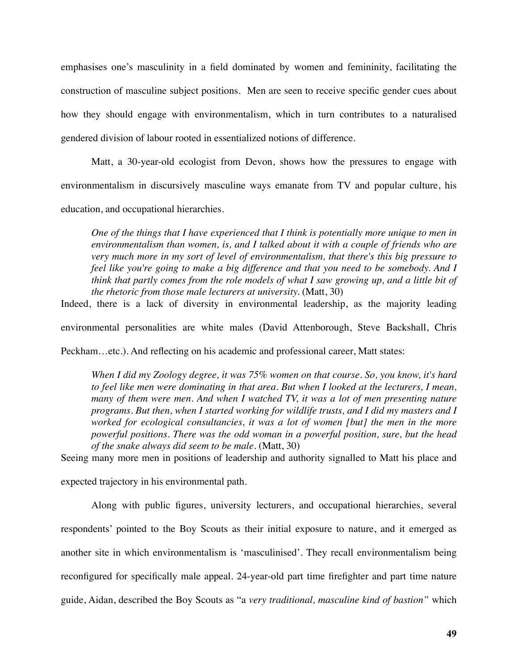emphasises one's masculinity in a field dominated by women and femininity, facilitating the construction of masculine subject positions. Men are seen to receive specific gender cues about how they should engage with environmentalism, which in turn contributes to a naturalised gendered division of labour rooted in essentialized notions of difference.

Matt, a 30-year-old ecologist from Devon, shows how the pressures to engage with environmentalism in discursively masculine ways emanate from TV and popular culture, his education, and occupational hierarchies.

*One of the things that I have experienced that I think is potentially more unique to men in environmentalism than women, is, and I talked about it with a couple of friends who are very much more in my sort of level of environmentalism, that there's this big pressure to feel like you're going to make a big difference and that you need to be somebody. And I think that partly comes from the role models of what I saw growing up, and a little bit of the rhetoric from those male lecturers at university.* (Matt, 30)

Indeed, there is a lack of diversity in environmental leadership, as the majority leading

environmental personalities are white males (David Attenborough, Steve Backshall, Chris

Peckham…etc.). And reflecting on his academic and professional career, Matt states:

*When I did my Zoology degree, it was 75% women on that course. So, you know, it's hard to feel like men were dominating in that area. But when I looked at the lecturers, I mean, many of them were men. And when I watched TV, it was a lot of men presenting nature programs. But then, when I started working for wildlife trusts, and I did my masters and I worked for ecological consultancies, it was a lot of women [but] the men in the more powerful positions. There was the odd woman in a powerful position, sure, but the head of the snake always did seem to be male.* (Matt, 30)

Seeing many more men in positions of leadership and authority signalled to Matt his place and

expected trajectory in his environmental path.

Along with public figures, university lecturers, and occupational hierarchies, several respondents' pointed to the Boy Scouts as their initial exposure to nature, and it emerged as another site in which environmentalism is 'masculinised'. They recall environmentalism being reconfigured for specifically male appeal. 24-year-old part time firefighter and part time nature guide, Aidan, described the Boy Scouts as "a *very traditional, masculine kind of bastion"* which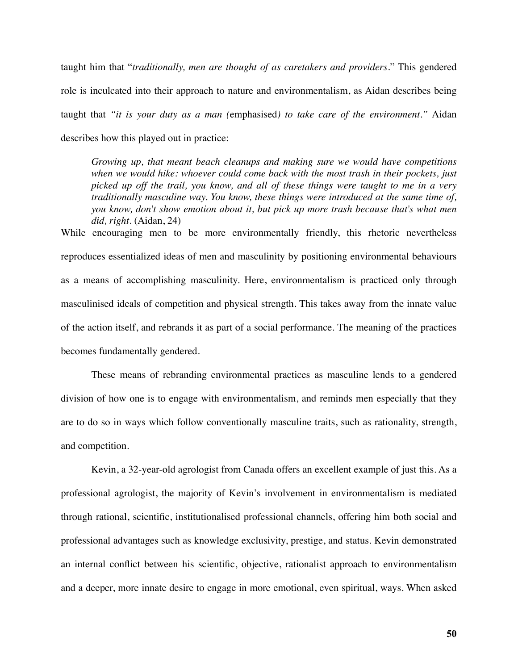taught him that "*traditionally, men are thought of as caretakers and providers*." This gendered role is inculcated into their approach to nature and environmentalism, as Aidan describes being taught that *"it is your duty as a man (*emphasised*) to take care of the environment."* Aidan describes how this played out in practice:

*Growing up, that meant beach cleanups and making sure we would have competitions when we would hike: whoever could come back with the most trash in their pockets, just picked up off the trail, you know, and all of these things were taught to me in a very traditionally masculine way. You know, these things were introduced at the same time of, you know, don't show emotion about it, but pick up more trash because that's what men did, right*. (Aidan, 24)

While encouraging men to be more environmentally friendly, this rhetoric nevertheless reproduces essentialized ideas of men and masculinity by positioning environmental behaviours as a means of accomplishing masculinity. Here, environmentalism is practiced only through masculinised ideals of competition and physical strength. This takes away from the innate value of the action itself, and rebrands it as part of a social performance. The meaning of the practices becomes fundamentally gendered.

These means of rebranding environmental practices as masculine lends to a gendered division of how one is to engage with environmentalism, and reminds men especially that they are to do so in ways which follow conventionally masculine traits, such as rationality, strength, and competition.

Kevin, a 32-year-old agrologist from Canada offers an excellent example of just this. As a professional agrologist, the majority of Kevin's involvement in environmentalism is mediated through rational, scientific, institutionalised professional channels, offering him both social and professional advantages such as knowledge exclusivity, prestige, and status. Kevin demonstrated an internal conflict between his scientific, objective, rationalist approach to environmentalism and a deeper, more innate desire to engage in more emotional, even spiritual, ways. When asked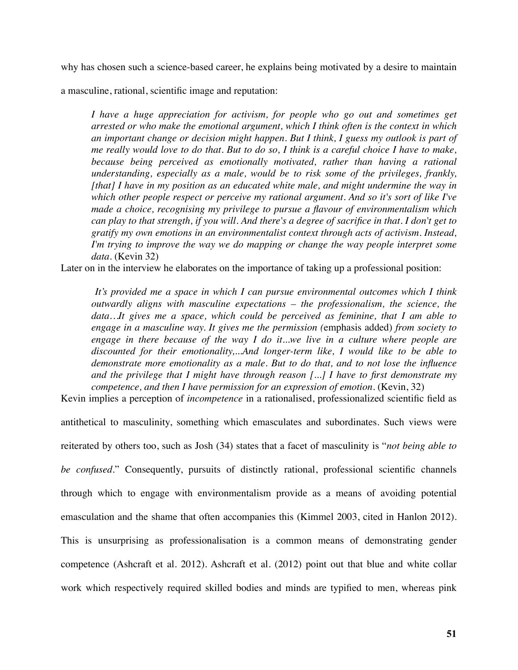why has chosen such a science-based career, he explains being motivated by a desire to maintain

a masculine, rational, scientific image and reputation:

*I have a huge appreciation for activism, for people who go out and sometimes get arrested or who make the emotional argument, which I think often is the context in which an important change or decision might happen. But I think, I guess my outlook is part of me really would love to do that. But to do so, I think is a careful choice I have to make,*  because being perceived as emotionally motivated, rather than having a rational *understanding, especially as a male, would be to risk some of the privileges, frankly, [that] I have in my position as an educated white male, and might undermine the way in which other people respect or perceive my rational argument. And so it's sort of like I've made a choice, recognising my privilege to pursue a flavour of environmentalism which can play to that strength, if you will. And there's a degree of sacrifice in that. I don't get to gratify my own emotions in an environmentalist context through acts of activism. Instead, I'm trying to improve the way we do mapping or change the way people interpret some data.* (Kevin 32)

Later on in the interview he elaborates on the importance of taking up a professional position:

*It's provided me a space in which I can pursue environmental outcomes which I think outwardly aligns with masculine expectations – the professionalism, the science, the data…It gives me a space, which could be perceived as feminine, that I am able to engage in a masculine way. It gives me the permission (*emphasis added) *from society to engage in there because of the way I do it...we live in a culture where people are discounted for their emotionality,...And longer-term like, I would like to be able to demonstrate more emotionality as a male. But to do that, and to not lose the influence and the privilege that I might have through reason [...] I have to first demonstrate my competence, and then I have permission for an expression of emotion.* (Kevin, 32)

Kevin implies a perception of *incompetence* in a rationalised, professionalized scientific field as

antithetical to masculinity, something which emasculates and subordinates. Such views were reiterated by others too, such as Josh (34) states that a facet of masculinity is "*not being able to be confused*." Consequently, pursuits of distinctly rational, professional scientific channels through which to engage with environmentalism provide as a means of avoiding potential emasculation and the shame that often accompanies this (Kimmel 2003, cited in Hanlon 2012). This is unsurprising as professionalisation is a common means of demonstrating gender competence (Ashcraft et al. 2012). Ashcraft et al. (2012) point out that blue and white collar work which respectively required skilled bodies and minds are typified to men, whereas pink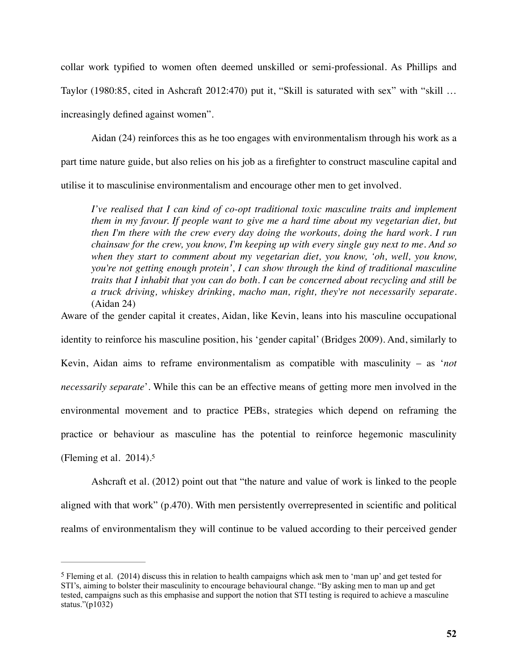collar work typified to women often deemed unskilled or semi-professional. As Phillips and Taylor (1980:85, cited in Ashcraft 2012:470) put it, "Skill is saturated with sex" with "skill … increasingly defined against women".

Aidan (24) reinforces this as he too engages with environmentalism through his work as a part time nature guide, but also relies on his job as a firefighter to construct masculine capital and utilise it to masculinise environmentalism and encourage other men to get involved.

*I've realised that I can kind of co-opt traditional toxic masculine traits and implement them in my favour. If people want to give me a hard time about my vegetarian diet, but then I'm there with the crew every day doing the workouts, doing the hard work. I run chainsaw for the crew, you know, I'm keeping up with every single guy next to me. And so when they start to comment about my vegetarian diet, you know, 'oh, well, you know, you're not getting enough protein', I can show through the kind of traditional masculine traits that I inhabit that you can do both. I can be concerned about recycling and still be a truck driving, whiskey drinking, macho man, right, they're not necessarily separate.*  (Aidan 24)

Aware of the gender capital it creates, Aidan, like Kevin, leans into his masculine occupational

identity to reinforce his masculine position, his 'gender capital' (Bridges 2009). And, similarly to Kevin, Aidan aims to reframe environmentalism as compatible with masculinity – as '*not necessarily separate*'. While this can be an effective means of getting more men involved in the environmental movement and to practice PEBs, strategies which depend on reframing the practice or behaviour as masculine has the potential to reinforce hegemonic masculinity (Fleming et al. 2014)[.5](#page-52-0)

<span id="page-52-1"></span>Ashcraft et al. (2012) point out that "the nature and value of work is linked to the people aligned with that work" (p.470). With men persistently overrepresented in scientific and political realms of environmentalism they will continue to be valued according to their perceived gender

<span id="page-52-0"></span> $5$  Fleming et al. (2014) discuss this in relation to health campaigns which ask men to 'man up' and get tested for STI's, aiming to bolster their masculinity to encourage behavioural change. "By asking men to man up and get tested, campaigns such as this emphasise and support the notion that STI testing is required to achieve a masculine status." $(p1032)$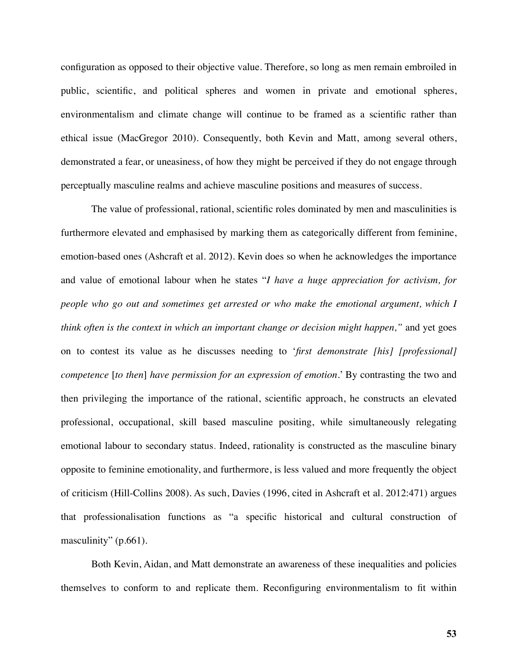configuration as opposed to their objective value. Therefore, so long as men remain embroiled in public, scientific, and political spheres and women in private and emotional spheres, environmentalism and climate change will continue to be framed as a scientific rather than ethical issue (MacGregor 2010). Consequently, both Kevin and Matt, among several others, demonstrated a fear, or uneasiness, of how they might be perceived if they do not engage through perceptually masculine realms and achieve masculine positions and measures of success.

The value of professional, rational, scientific roles dominated by men and masculinities is furthermore elevated and emphasised by marking them as categorically different from feminine, emotion-based ones (Ashcraft et al. 2012). Kevin does so when he acknowledges the importance and value of emotional labour when he states "*I have a huge appreciation for activism, for people who go out and sometimes get arrested or who make the emotional argument, which I think often is the context in which an important change or decision might happen,"* and yet goes on to contest its value as he discusses needing to '*first demonstrate [his] [professional] competence* [*to then*] *have permission for an expression of emotion.*' By contrasting the two and then privileging the importance of the rational, scientific approach, he constructs an elevated professional, occupational, skill based masculine positing, while simultaneously relegating emotional labour to secondary status. Indeed, rationality is constructed as the masculine binary opposite to feminine emotionality, and furthermore, is less valued and more frequently the object of criticism (Hill-Collins 2008). As such, Davies (1996, cited in Ashcraft et al. 2012:471) argues that professionalisation functions as "a specific historical and cultural construction of masculinity" (p.661).

Both Kevin, Aidan, and Matt demonstrate an awareness of these inequalities and policies themselves to conform to and replicate them. Reconfiguring environmentalism to fit within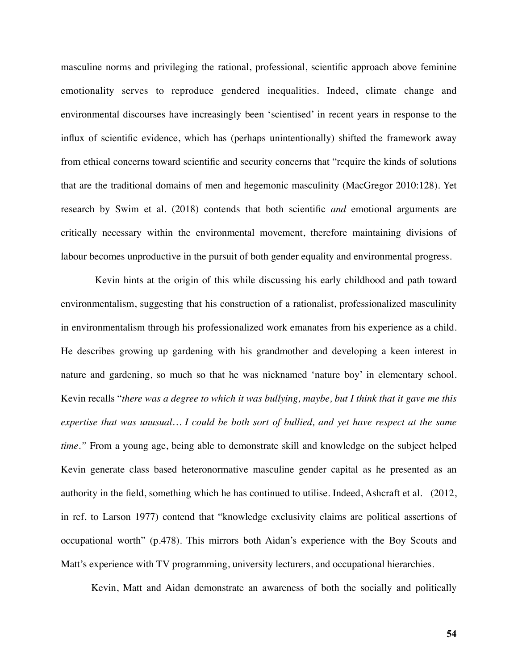masculine norms and privileging the rational, professional, scientific approach above feminine emotionality serves to reproduce gendered inequalities. Indeed, climate change and environmental discourses have increasingly been 'scientised' in recent years in response to the influx of scientific evidence, which has (perhaps unintentionally) shifted the framework away from ethical concerns toward scientific and security concerns that "require the kinds of solutions that are the traditional domains of men and hegemonic masculinity (MacGregor 2010:128). Yet research by Swim et al. (2018) contends that both scientific *and* emotional arguments are critically necessary within the environmental movement, therefore maintaining divisions of labour becomes unproductive in the pursuit of both gender equality and environmental progress.

 Kevin hints at the origin of this while discussing his early childhood and path toward environmentalism, suggesting that his construction of a rationalist, professionalized masculinity in environmentalism through his professionalized work emanates from his experience as a child. He describes growing up gardening with his grandmother and developing a keen interest in nature and gardening, so much so that he was nicknamed 'nature boy' in elementary school. Kevin recalls "*there was a degree to which it was bullying, maybe, but I think that it gave me this expertise that was unusual… I could be both sort of bullied, and yet have respect at the same time."* From a young age, being able to demonstrate skill and knowledge on the subject helped Kevin generate class based heteronormative masculine gender capital as he presented as an authority in the field, something which he has continued to utilise. Indeed, Ashcraft et al. (2012, in ref. to Larson 1977) contend that "knowledge exclusivity claims are political assertions of occupational worth" (p.478). This mirrors both Aidan's experience with the Boy Scouts and Matt's experience with TV programming, university lecturers, and occupational hierarchies.

Kevin, Matt and Aidan demonstrate an awareness of both the socially and politically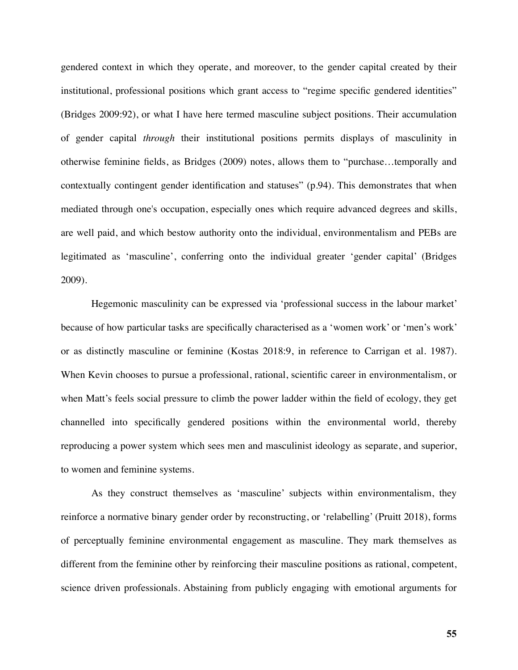gendered context in which they operate, and moreover, to the gender capital created by their institutional, professional positions which grant access to "regime specific gendered identities" (Bridges 2009:92), or what I have here termed masculine subject positions. Their accumulation of gender capital *through* their institutional positions permits displays of masculinity in otherwise feminine fields, as Bridges (2009) notes, allows them to "purchase…temporally and contextually contingent gender identification and statuses" (p.94). This demonstrates that when mediated through one's occupation, especially ones which require advanced degrees and skills, are well paid, and which bestow authority onto the individual, environmentalism and PEBs are legitimated as 'masculine', conferring onto the individual greater 'gender capital' (Bridges 2009).

Hegemonic masculinity can be expressed via 'professional success in the labour market' because of how particular tasks are specifically characterised as a 'women work' or 'men's work' or as distinctly masculine or feminine (Kostas 2018:9, in reference to Carrigan et al. 1987). When Kevin chooses to pursue a professional, rational, scientific career in environmentalism, or when Matt's feels social pressure to climb the power ladder within the field of ecology, they get channelled into specifically gendered positions within the environmental world, thereby reproducing a power system which sees men and masculinist ideology as separate, and superior, to women and feminine systems.

As they construct themselves as 'masculine' subjects within environmentalism, they reinforce a normative binary gender order by reconstructing, or 'relabelling' (Pruitt 2018), forms of perceptually feminine environmental engagement as masculine. They mark themselves as different from the feminine other by reinforcing their masculine positions as rational, competent, science driven professionals. Abstaining from publicly engaging with emotional arguments for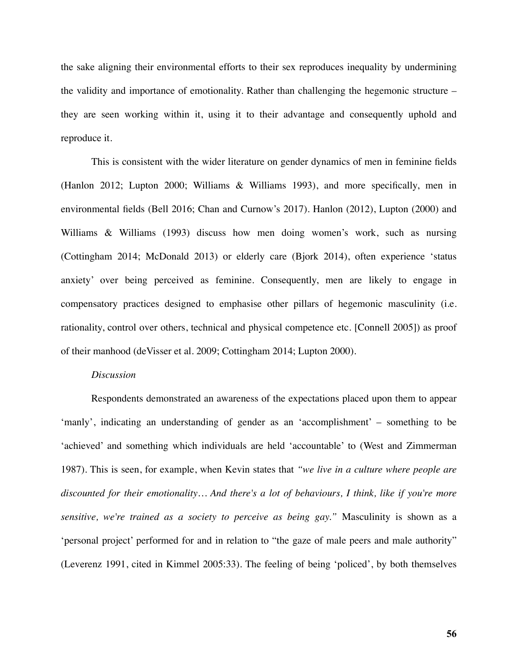the sake aligning their environmental efforts to their sex reproduces inequality by undermining the validity and importance of emotionality. Rather than challenging the hegemonic structure – they are seen working within it, using it to their advantage and consequently uphold and reproduce it.

This is consistent with the wider literature on gender dynamics of men in feminine fields (Hanlon 2012; Lupton 2000; Williams & Williams 1993), and more specifically, men in environmental fields (Bell 2016; Chan and Curnow's 2017). Hanlon (2012), Lupton (2000) and Williams & Williams (1993) discuss how men doing women's work, such as nursing (Cottingham 2014; McDonald 2013) or elderly care (Bjork 2014), often experience 'status anxiety' over being perceived as feminine. Consequently, men are likely to engage in compensatory practices designed to emphasise other pillars of hegemonic masculinity (i.e. rationality, control over others, technical and physical competence etc. [Connell 2005]) as proof of their manhood (deVisser et al. 2009; Cottingham 2014; Lupton 2000).

### *Discussion*

Respondents demonstrated an awareness of the expectations placed upon them to appear 'manly', indicating an understanding of gender as an 'accomplishment' – something to be 'achieved' and something which individuals are held 'accountable' to (West and Zimmerman 1987). This is seen, for example, when Kevin states that *"we live in a culture where people are discounted for their emotionality… And there's a lot of behaviours, I think, like if you're more sensitive, we're trained as a society to perceive as being gay."* Masculinity is shown as a 'personal project' performed for and in relation to "the gaze of male peers and male authority" (Leverenz 1991, cited in Kimmel 2005:33). The feeling of being 'policed', by both themselves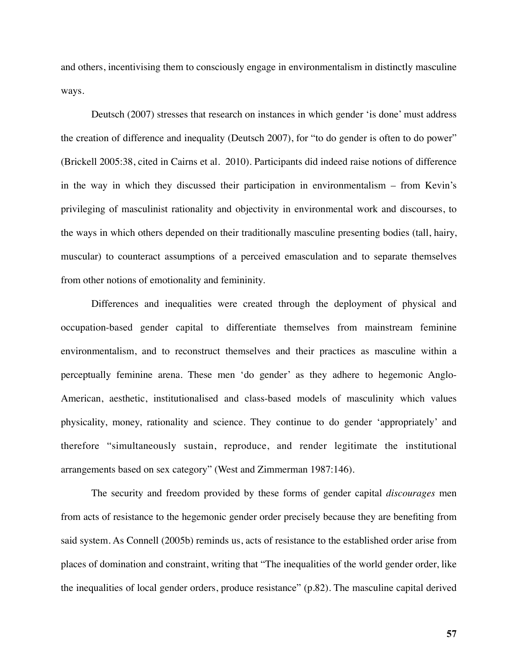and others, incentivising them to consciously engage in environmentalism in distinctly masculine ways.

Deutsch (2007) stresses that research on instances in which gender 'is done' must address the creation of difference and inequality (Deutsch 2007), for "to do gender is often to do power" (Brickell 2005:38, cited in Cairns et al. 2010). Participants did indeed raise notions of difference in the way in which they discussed their participation in environmentalism – from Kevin's privileging of masculinist rationality and objectivity in environmental work and discourses, to the ways in which others depended on their traditionally masculine presenting bodies (tall, hairy, muscular) to counteract assumptions of a perceived emasculation and to separate themselves from other notions of emotionality and femininity.

Differences and inequalities were created through the deployment of physical and occupation-based gender capital to differentiate themselves from mainstream feminine environmentalism, and to reconstruct themselves and their practices as masculine within a perceptually feminine arena. These men 'do gender' as they adhere to hegemonic Anglo-American, aesthetic, institutionalised and class-based models of masculinity which values physicality, money, rationality and science. They continue to do gender 'appropriately' and therefore "simultaneously sustain, reproduce, and render legitimate the institutional arrangements based on sex category" (West and Zimmerman 1987:146).

The security and freedom provided by these forms of gender capital *discourages* men from acts of resistance to the hegemonic gender order precisely because they are benefiting from said system. As Connell (2005b) reminds us, acts of resistance to the established order arise from places of domination and constraint, writing that "The inequalities of the world gender order, like the inequalities of local gender orders, produce resistance" (p.82). The masculine capital derived

**57**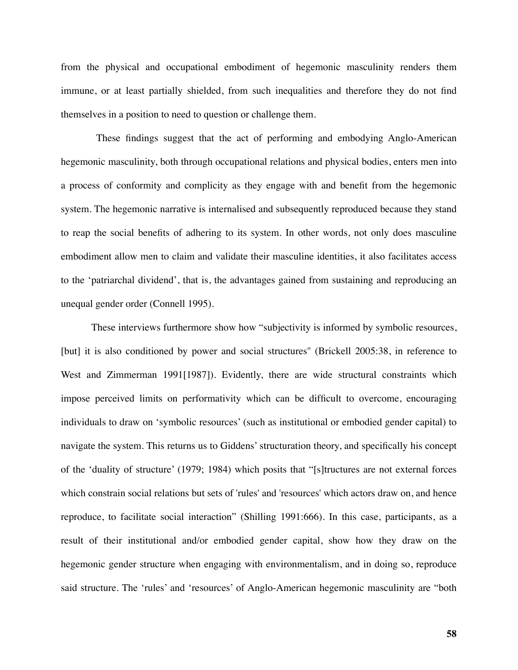from the physical and occupational embodiment of hegemonic masculinity renders them immune, or at least partially shielded, from such inequalities and therefore they do not find themselves in a position to need to question or challenge them.

 These findings suggest that the act of performing and embodying Anglo-American hegemonic masculinity, both through occupational relations and physical bodies, enters men into a process of conformity and complicity as they engage with and benefit from the hegemonic system. The hegemonic narrative is internalised and subsequently reproduced because they stand to reap the social benefits of adhering to its system. In other words, not only does masculine embodiment allow men to claim and validate their masculine identities, it also facilitates access to the 'patriarchal dividend', that is, the advantages gained from sustaining and reproducing an unequal gender order (Connell 1995).

These interviews furthermore show how "subjectivity is informed by symbolic resources, [but] it is also conditioned by power and social structures'' (Brickell 2005:38, in reference to West and Zimmerman 1991[1987]). Evidently, there are wide structural constraints which impose perceived limits on performativity which can be difficult to overcome, encouraging individuals to draw on 'symbolic resources' (such as institutional or embodied gender capital) to navigate the system. This returns us to Giddens' structuration theory, and specifically his concept of the 'duality of structure' (1979; 1984) which posits that "[s]tructures are not external forces which constrain social relations but sets of 'rules' and 'resources' which actors draw on, and hence reproduce, to facilitate social interaction" (Shilling 1991:666). In this case, participants, as a result of their institutional and/or embodied gender capital, show how they draw on the hegemonic gender structure when engaging with environmentalism, and in doing so, reproduce said structure. The 'rules' and 'resources' of Anglo-American hegemonic masculinity are "both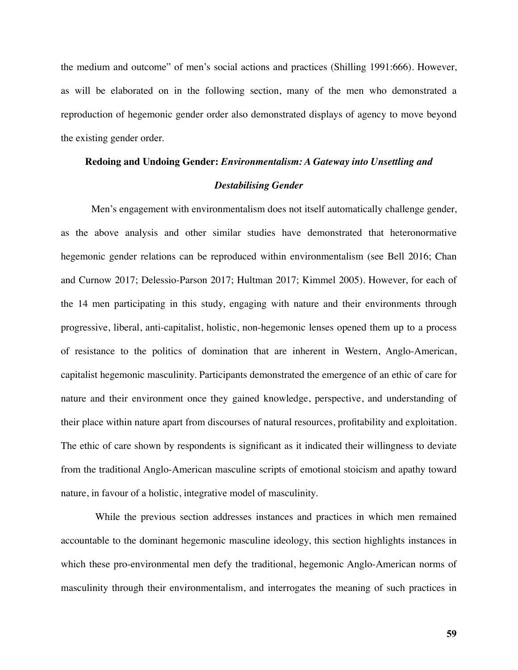the medium and outcome" of men's social actions and practices (Shilling 1991:666). However, as will be elaborated on in the following section, many of the men who demonstrated a reproduction of hegemonic gender order also demonstrated displays of agency to move beyond the existing gender order.

# **Redoing and Undoing Gender:** *Environmentalism: A Gateway into Unsettling and*

### *Destabilising Gender*

Men's engagement with environmentalism does not itself automatically challenge gender, as the above analysis and other similar studies have demonstrated that heteronormative hegemonic gender relations can be reproduced within environmentalism (see Bell 2016; Chan and Curnow 2017; Delessio-Parson 2017; Hultman 2017; Kimmel 2005). However, for each of the 14 men participating in this study, engaging with nature and their environments through progressive, liberal, anti-capitalist, holistic, non-hegemonic lenses opened them up to a process of resistance to the politics of domination that are inherent in Western, Anglo-American, capitalist hegemonic masculinity. Participants demonstrated the emergence of an ethic of care for nature and their environment once they gained knowledge, perspective, and understanding of their place within nature apart from discourses of natural resources, profitability and exploitation. The ethic of care shown by respondents is significant as it indicated their willingness to deviate from the traditional Anglo-American masculine scripts of emotional stoicism and apathy toward nature, in favour of a holistic, integrative model of masculinity.

 While the previous section addresses instances and practices in which men remained accountable to the dominant hegemonic masculine ideology, this section highlights instances in which these pro-environmental men defy the traditional, hegemonic Anglo-American norms of masculinity through their environmentalism, and interrogates the meaning of such practices in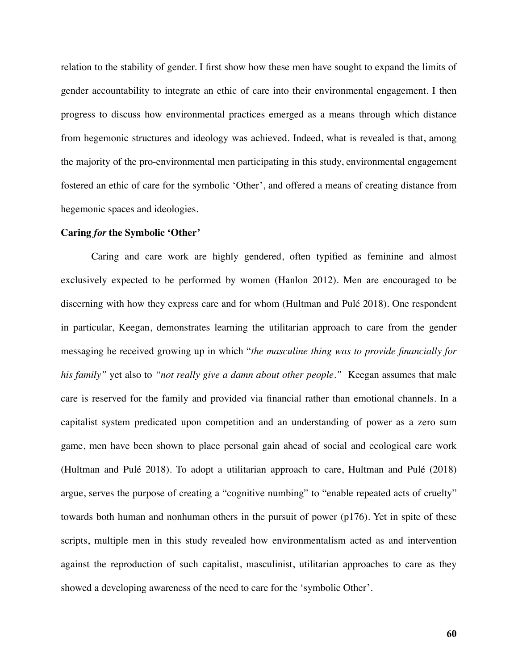relation to the stability of gender. I first show how these men have sought to expand the limits of gender accountability to integrate an ethic of care into their environmental engagement. I then progress to discuss how environmental practices emerged as a means through which distance from hegemonic structures and ideology was achieved. Indeed, what is revealed is that, among the majority of the pro-environmental men participating in this study, environmental engagement fostered an ethic of care for the symbolic 'Other', and offered a means of creating distance from hegemonic spaces and ideologies.

### **Caring** *for* **the Symbolic 'Other'**

Caring and care work are highly gendered, often typified as feminine and almost exclusively expected to be performed by women (Hanlon 2012). Men are encouraged to be discerning with how they express care and for whom (Hultman and Pulé 2018). One respondent in particular, Keegan, demonstrates learning the utilitarian approach to care from the gender messaging he received growing up in which "*the masculine thing was to provide financially for his family"* yet also to *"not really give a damn about other people."* Keegan assumes that male care is reserved for the family and provided via financial rather than emotional channels. In a capitalist system predicated upon competition and an understanding of power as a zero sum game, men have been shown to place personal gain ahead of social and ecological care work (Hultman and Pulé 2018). To adopt a utilitarian approach to care, Hultman and Pulé (2018) argue, serves the purpose of creating a "cognitive numbing" to "enable repeated acts of cruelty" towards both human and nonhuman others in the pursuit of power (p176). Yet in spite of these scripts, multiple men in this study revealed how environmentalism acted as and intervention against the reproduction of such capitalist, masculinist, utilitarian approaches to care as they showed a developing awareness of the need to care for the 'symbolic Other'.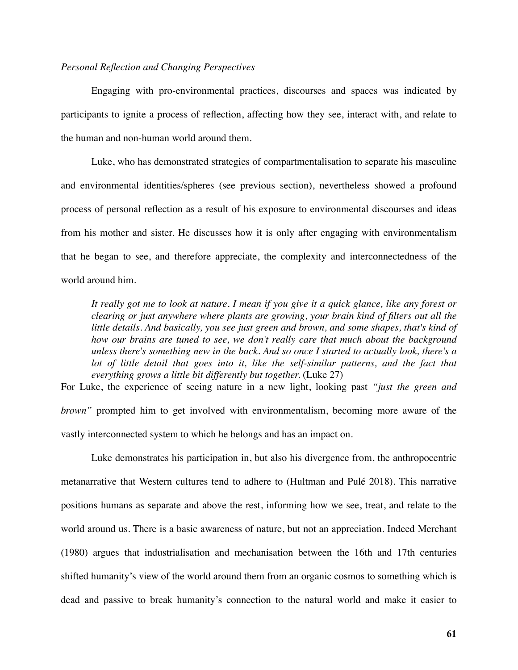## *Personal Reflection and Changing Perspectives*

Engaging with pro-environmental practices, discourses and spaces was indicated by participants to ignite a process of reflection, affecting how they see, interact with, and relate to the human and non-human world around them.

Luke, who has demonstrated strategies of compartmentalisation to separate his masculine and environmental identities/spheres (see previous section), nevertheless showed a profound process of personal reflection as a result of his exposure to environmental discourses and ideas from his mother and sister. He discusses how it is only after engaging with environmentalism that he began to see, and therefore appreciate, the complexity and interconnectedness of the world around him.

*It really got me to look at nature. I mean if you give it a quick glance, like any forest or clearing or just anywhere where plants are growing, your brain kind of filters out all the little details. And basically, you see just green and brown, and some shapes, that's kind of*  how our brains are tuned to see, we don't really care that much about the background *unless there's something new in the back. And so once I started to actually look, there's a*  lot of little detail that goes into it, like the self-similar patterns, and the fact that *everything grows a little bit differently but together.* (Luke 27)

For Luke, the experience of seeing nature in a new light, looking past *"just the green and brown"* prompted him to get involved with environmentalism, becoming more aware of the vastly interconnected system to which he belongs and has an impact on.

Luke demonstrates his participation in, but also his divergence from, the anthropocentric metanarrative that Western cultures tend to adhere to (Hultman and Pulé 2018). This narrative positions humans as separate and above the rest, informing how we see, treat, and relate to the world around us. There is a basic awareness of nature, but not an appreciation. Indeed Merchant (1980) argues that industrialisation and mechanisation between the 16th and 17th centuries shifted humanity's view of the world around them from an organic cosmos to something which is dead and passive to break humanity's connection to the natural world and make it easier to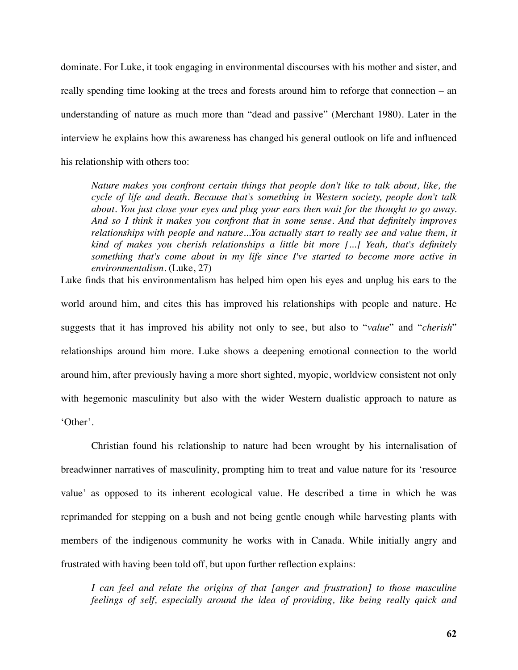dominate. For Luke, it took engaging in environmental discourses with his mother and sister, and really spending time looking at the trees and forests around him to reforge that connection – an understanding of nature as much more than "dead and passive" (Merchant 1980). Later in the interview he explains how this awareness has changed his general outlook on life and influenced his relationship with others too:

*Nature makes you confront certain things that people don't like to talk about, like, the cycle of life and death. Because that's something in Western society, people don't talk about. You just close your eyes and plug your ears then wait for the thought to go away. And so I think it makes you confront that in some sense. And that definitely improves*  relationships with people and nature...You actually start to really see and value them, it *kind of makes you cherish relationships a little bit more [...] Yeah, that's definitely something that's come about in my life since I've started to become more active in environmentalism*. (Luke, 27)

Luke finds that his environmentalism has helped him open his eyes and unplug his ears to the world around him, and cites this has improved his relationships with people and nature. He suggests that it has improved his ability not only to see, but also to "*value*" and "*cherish*" relationships around him more. Luke shows a deepening emotional connection to the world around him, after previously having a more short sighted, myopic, worldview consistent not only with hegemonic masculinity but also with the wider Western dualistic approach to nature as 'Other'.

Christian found his relationship to nature had been wrought by his internalisation of breadwinner narratives of masculinity, prompting him to treat and value nature for its 'resource value' as opposed to its inherent ecological value. He described a time in which he was reprimanded for stepping on a bush and not being gentle enough while harvesting plants with members of the indigenous community he works with in Canada. While initially angry and frustrated with having been told off, but upon further reflection explains:

*I* can feel and relate the origins of that [anger and frustration] to those masculine *feelings of self, especially around the idea of providing, like being really quick and*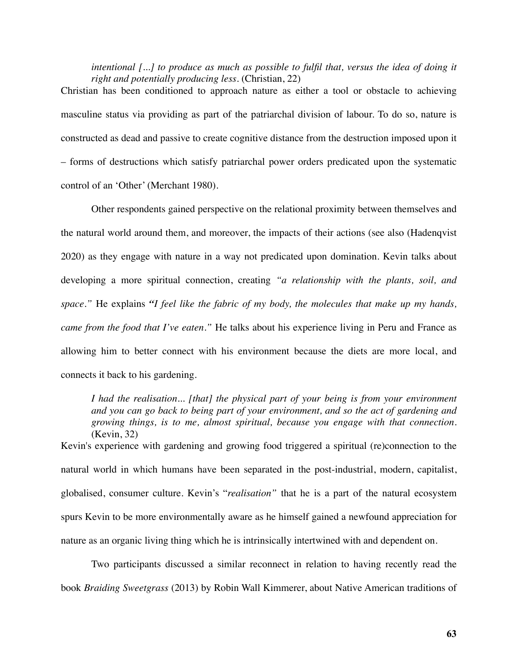intentional [...] to produce as much as possible to fulfil that, versus the idea of doing it *right and potentially producing less.* (Christian, 22)

Christian has been conditioned to approach nature as either a tool or obstacle to achieving masculine status via providing as part of the patriarchal division of labour. To do so, nature is constructed as dead and passive to create cognitive distance from the destruction imposed upon it – forms of destructions which satisfy patriarchal power orders predicated upon the systematic control of an 'Other' (Merchant 1980).

Other respondents gained perspective on the relational proximity between themselves and the natural world around them, and moreover, the impacts of their actions (see also (Hadenqvist 2020) as they engage with nature in a way not predicated upon domination. Kevin talks about developing a more spiritual connection, creating *"a relationship with the plants, soil, and space."* He explains *"I feel like the fabric of my body, the molecules that make up my hands, came from the food that I've eaten."* He talks about his experience living in Peru and France as allowing him to better connect with his environment because the diets are more local, and connects it back to his gardening.

*I had the realisation... [that] the physical part of your being is from your environment and you can go back to being part of your environment, and so the act of gardening and growing things, is to me, almost spiritual, because you engage with that connection.*  (Kevin, 32)

Kevin's experience with gardening and growing food triggered a spiritual (re)connection to the natural world in which humans have been separated in the post-industrial, modern, capitalist, globalised, consumer culture. Kevin's "*realisation"* that he is a part of the natural ecosystem spurs Kevin to be more environmentally aware as he himself gained a newfound appreciation for nature as an organic living thing which he is intrinsically intertwined with and dependent on.

Two participants discussed a similar reconnect in relation to having recently read the book *Braiding Sweetgrass* (2013) by Robin Wall Kimmerer, about Native American traditions of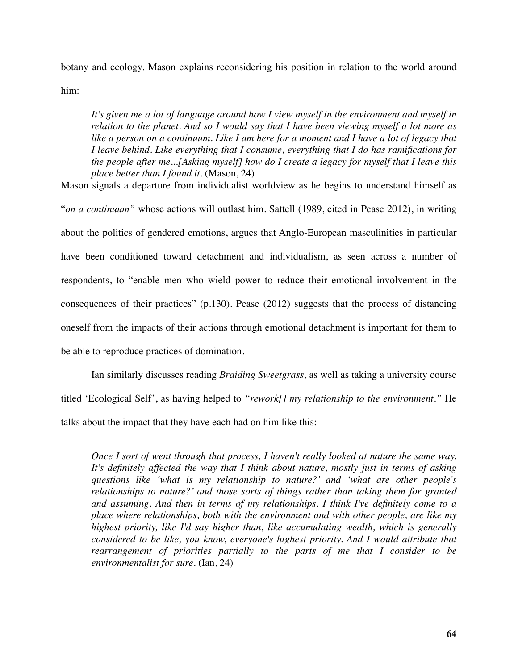botany and ecology. Mason explains reconsidering his position in relation to the world around him:

*It's given me a lot of language around how I view myself in the environment and myself in relation to the planet. And so I would say that I have been viewing myself a lot more as*  like a person on a continuum. Like I am here for a moment and I have a lot of legacy that *I leave behind. Like everything that I consume, everything that I do has ramifications for the people after me...[Asking myself] how do I create a legacy for myself that I leave this place better than I found it.* (Mason, 24)

Mason signals a departure from individualist worldview as he begins to understand himself as "*on a continuum"* whose actions will outlast him. Sattell (1989, cited in Pease 2012), in writing about the politics of gendered emotions, argues that Anglo-European masculinities in particular have been conditioned toward detachment and individualism, as seen across a number of respondents, to "enable men who wield power to reduce their emotional involvement in the consequences of their practices" (p.130). Pease (2012) suggests that the process of distancing oneself from the impacts of their actions through emotional detachment is important for them to be able to reproduce practices of domination.

Ian similarly discusses reading *Braiding Sweetgrass*, as well as taking a university course titled 'Ecological Self', as having helped to *"rework[] my relationship to the environment."* He talks about the impact that they have each had on him like this:

*Once I sort of went through that process, I haven't really looked at nature the same way. It's definitely affected the way that I think about nature, mostly just in terms of asking questions like 'what is my relationship to nature?' and 'what are other people's relationships to nature?' and those sorts of things rather than taking them for granted and assuming. And then in terms of my relationships, I think I've definitely come to a place where relationships, both with the environment and with other people, are like my highest priority, like I'd say higher than, like accumulating wealth, which is generally considered to be like, you know, everyone's highest priority. And I would attribute that rearrangement of priorities partially to the parts of me that I consider to be environmentalist for sure.* (Ian, 24)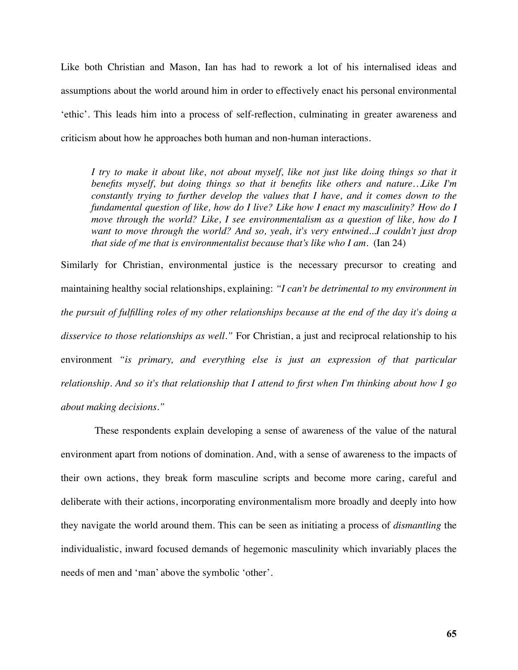Like both Christian and Mason, Ian has had to rework a lot of his internalised ideas and assumptions about the world around him in order to effectively enact his personal environmental 'ethic'. This leads him into a process of self-reflection, culminating in greater awareness and criticism about how he approaches both human and non-human interactions.

*I try to make it about like, not about myself, like not just like doing things so that it benefits myself, but doing things so that it benefits like others and nature…Like I'm constantly trying to further develop the values that I have, and it comes down to the fundamental question of like, how do I live? Like how I enact my masculinity? How do I move through the world? Like, I see environmentalism as a question of like, how do I want to move through the world? And so, yeah, it's very entwined...I couldn't just drop that side of me that is environmentalist because that's like who I am.* (Ian 24)

Similarly for Christian, environmental justice is the necessary precursor to creating and maintaining healthy social relationships, explaining: *"I can't be detrimental to my environment in the pursuit of fulfilling roles of my other relationships because at the end of the day it's doing a disservice to those relationships as well."* For Christian, a just and reciprocal relationship to his environment *"is primary, and everything else is just an expression of that particular relationship. And so it's that relationship that I attend to first when I'm thinking about how I go about making decisions."* 

 These respondents explain developing a sense of awareness of the value of the natural environment apart from notions of domination. And, with a sense of awareness to the impacts of their own actions, they break form masculine scripts and become more caring, careful and deliberate with their actions, incorporating environmentalism more broadly and deeply into how they navigate the world around them. This can be seen as initiating a process of *dismantling* the individualistic, inward focused demands of hegemonic masculinity which invariably places the needs of men and 'man' above the symbolic 'other'.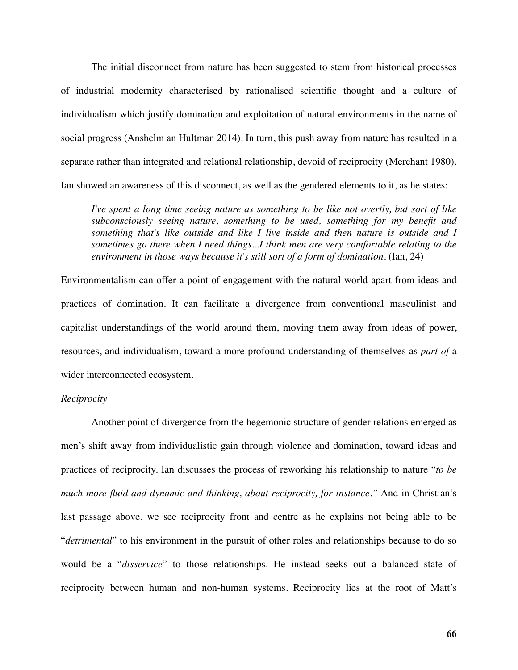The initial disconnect from nature has been suggested to stem from historical processes of industrial modernity characterised by rationalised scientific thought and a culture of individualism which justify domination and exploitation of natural environments in the name of social progress (Anshelm an Hultman 2014). In turn, this push away from nature has resulted in a separate rather than integrated and relational relationship, devoid of reciprocity (Merchant 1980). Ian showed an awareness of this disconnect, as well as the gendered elements to it, as he states:

*I've spent a long time seeing nature as something to be like not overtly, but sort of like subconsciously seeing nature, something to be used, something for my benefit and something that's like outside and like I live inside and then nature is outside and I sometimes go there when I need things...I think men are very comfortable relating to the environment in those ways because it's still sort of a form of domination.* (Ian, 24)

Environmentalism can offer a point of engagement with the natural world apart from ideas and practices of domination. It can facilitate a divergence from conventional masculinist and capitalist understandings of the world around them, moving them away from ideas of power, resources, and individualism, toward a more profound understanding of themselves as *part of* a wider interconnected ecosystem.

#### *Reciprocity*

Another point of divergence from the hegemonic structure of gender relations emerged as men's shift away from individualistic gain through violence and domination, toward ideas and practices of reciprocity. Ian discusses the process of reworking his relationship to nature "*to be much more fluid and dynamic and thinking, about reciprocity, for instance."* And in Christian's last passage above, we see reciprocity front and centre as he explains not being able to be "*detrimental*" to his environment in the pursuit of other roles and relationships because to do so would be a "*disservice*" to those relationships. He instead seeks out a balanced state of reciprocity between human and non-human systems. Reciprocity lies at the root of Matt's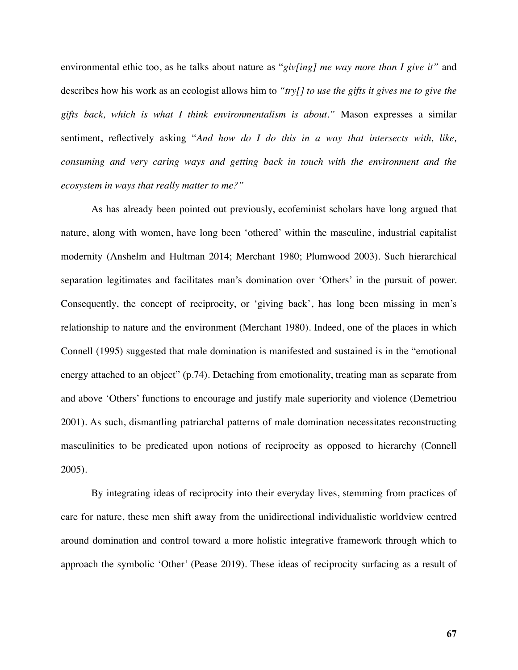environmental ethic too, as he talks about nature as "*giv[ing] me way more than I give it"* and describes how his work as an ecologist allows him to *"try[] to use the gifts it gives me to give the gifts back, which is what I think environmentalism is about."* Mason expresses a similar sentiment, reflectively asking "*And how do I do this in a way that intersects with, like, consuming and very caring ways and getting back in touch with the environment and the ecosystem in ways that really matter to me?"* 

As has already been pointed out previously, ecofeminist scholars have long argued that nature, along with women, have long been 'othered' within the masculine, industrial capitalist modernity (Anshelm and Hultman 2014; Merchant 1980; Plumwood 2003). Such hierarchical separation legitimates and facilitates man's domination over 'Others' in the pursuit of power. Consequently, the concept of reciprocity, or 'giving back', has long been missing in men's relationship to nature and the environment (Merchant 1980). Indeed, one of the places in which Connell (1995) suggested that male domination is manifested and sustained is in the "emotional energy attached to an object" (p.74). Detaching from emotionality, treating man as separate from and above 'Others' functions to encourage and justify male superiority and violence (Demetriou 2001). As such, dismantling patriarchal patterns of male domination necessitates reconstructing masculinities to be predicated upon notions of reciprocity as opposed to hierarchy (Connell 2005).

By integrating ideas of reciprocity into their everyday lives, stemming from practices of care for nature, these men shift away from the unidirectional individualistic worldview centred around domination and control toward a more holistic integrative framework through which to approach the symbolic 'Other' (Pease 2019). These ideas of reciprocity surfacing as a result of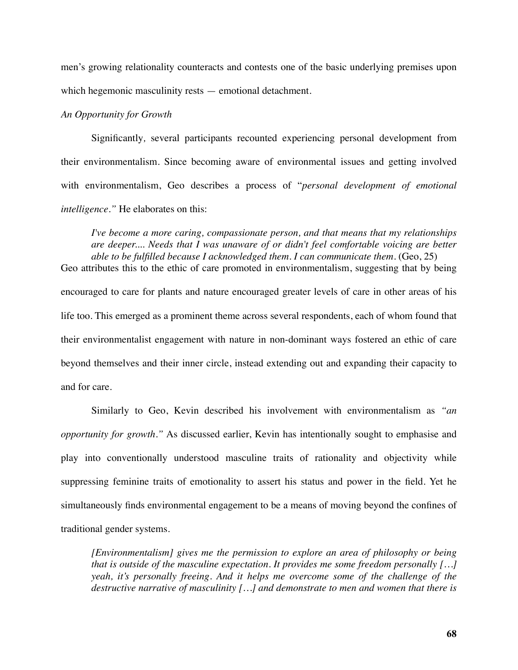men's growing relationality counteracts and contests one of the basic underlying premises upon which hegemonic masculinity rests — emotional detachment.

### *An Opportunity for Growth*

Significantly*,* several participants recounted experiencing personal development from their environmentalism. Since becoming aware of environmental issues and getting involved with environmentalism, Geo describes a process of "*personal development of emotional intelligence."* He elaborates on this:

*I've become a more caring, compassionate person, and that means that my relationships are deeper.... Needs that I was unaware of or didn't feel comfortable voicing are better able to be fulfilled because I acknowledged them. I can communicate them.* (Geo, 25)

Geo attributes this to the ethic of care promoted in environmentalism, suggesting that by being encouraged to care for plants and nature encouraged greater levels of care in other areas of his life too. This emerged as a prominent theme across several respondents, each of whom found that their environmentalist engagement with nature in non-dominant ways fostered an ethic of care beyond themselves and their inner circle, instead extending out and expanding their capacity to and for care.

Similarly to Geo, Kevin described his involvement with environmentalism as *"an opportunity for growth."* As discussed earlier, Kevin has intentionally sought to emphasise and play into conventionally understood masculine traits of rationality and objectivity while suppressing feminine traits of emotionality to assert his status and power in the field. Yet he simultaneously finds environmental engagement to be a means of moving beyond the confines of traditional gender systems.

*[Environmentalism] gives me the permission to explore an area of philosophy or being that is outside of the masculine expectation. It provides me some freedom personally […] yeah, it's personally freeing. And it helps me overcome some of the challenge of the destructive narrative of masculinity […] and demonstrate to men and women that there is*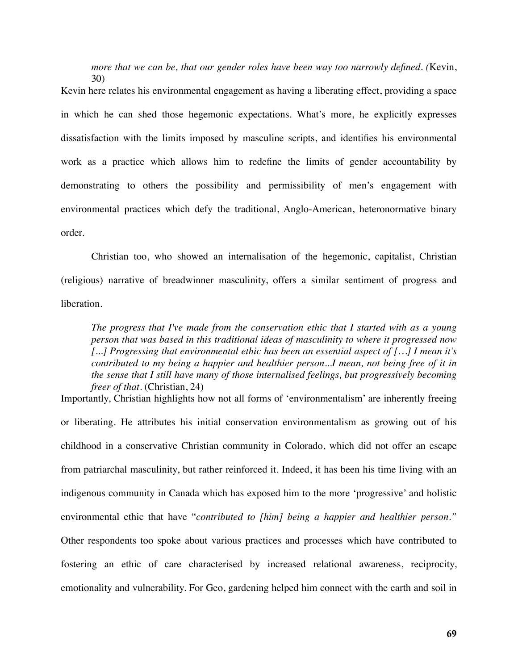*more that we can be, that our gender roles have been way too narrowly defined. (*Kevin, 30)

Kevin here relates his environmental engagement as having a liberating effect, providing a space in which he can shed those hegemonic expectations. What's more, he explicitly expresses dissatisfaction with the limits imposed by masculine scripts, and identifies his environmental work as a practice which allows him to redefine the limits of gender accountability by demonstrating to others the possibility and permissibility of men's engagement with environmental practices which defy the traditional, Anglo-American, heteronormative binary order.

Christian too, who showed an internalisation of the hegemonic, capitalist, Christian (religious) narrative of breadwinner masculinity, offers a similar sentiment of progress and liberation.

*The progress that I've made from the conservation ethic that I started with as a young person that was based in this traditional ideas of masculinity to where it progressed now [...] Progressing that environmental ethic has been an essential aspect of […] I mean it's contributed to my being a happier and healthier person...I mean, not being free of it in the sense that I still have many of those internalised feelings, but progressively becoming freer of that.* (Christian, 24)

Importantly, Christian highlights how not all forms of 'environmentalism' are inherently freeing or liberating. He attributes his initial conservation environmentalism as growing out of his childhood in a conservative Christian community in Colorado, which did not offer an escape from patriarchal masculinity, but rather reinforced it. Indeed, it has been his time living with an indigenous community in Canada which has exposed him to the more 'progressive' and holistic environmental ethic that have "*contributed to [him] being a happier and healthier person."* Other respondents too spoke about various practices and processes which have contributed to fostering an ethic of care characterised by increased relational awareness, reciprocity, emotionality and vulnerability. For Geo, gardening helped him connect with the earth and soil in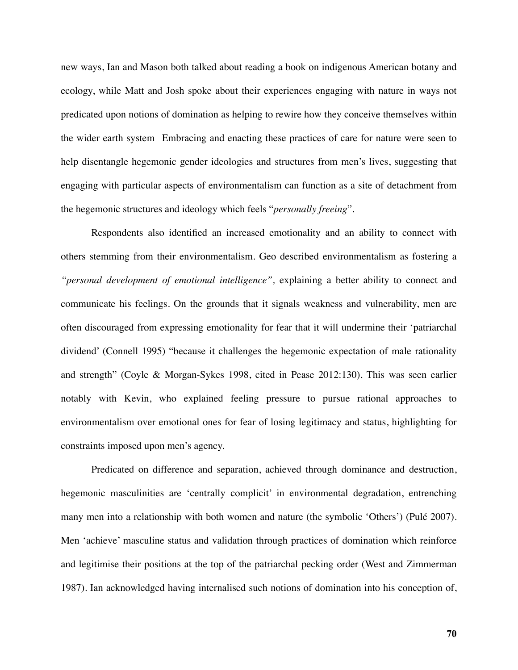new ways, Ian and Mason both talked about reading a book on indigenous American botany and ecology, while Matt and Josh spoke about their experiences engaging with nature in ways not predicated upon notions of domination as helping to rewire how they conceive themselves within the wider earth system Embracing and enacting these practices of care for nature were seen to help disentangle hegemonic gender ideologies and structures from men's lives, suggesting that engaging with particular aspects of environmentalism can function as a site of detachment from the hegemonic structures and ideology which feels "*personally freeing*".

Respondents also identified an increased emotionality and an ability to connect with others stemming from their environmentalism. Geo described environmentalism as fostering a *"personal development of emotional intelligence",* explaining a better ability to connect and communicate his feelings. On the grounds that it signals weakness and vulnerability, men are often discouraged from expressing emotionality for fear that it will undermine their 'patriarchal dividend' (Connell 1995) "because it challenges the hegemonic expectation of male rationality and strength" (Coyle & Morgan-Sykes 1998, cited in Pease 2012:130). This was seen earlier notably with Kevin, who explained feeling pressure to pursue rational approaches to environmentalism over emotional ones for fear of losing legitimacy and status, highlighting for constraints imposed upon men's agency.

Predicated on difference and separation, achieved through dominance and destruction, hegemonic masculinities are 'centrally complicit' in environmental degradation, entrenching many men into a relationship with both women and nature (the symbolic 'Others') (Pulé 2007). Men 'achieve' masculine status and validation through practices of domination which reinforce and legitimise their positions at the top of the patriarchal pecking order (West and Zimmerman 1987). Ian acknowledged having internalised such notions of domination into his conception of,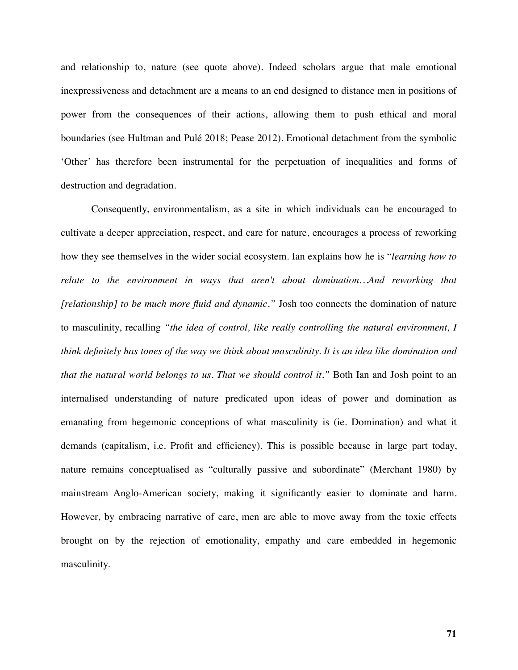and relationship to, nature (see quote above). Indeed scholars argue that male emotional inexpressiveness and detachment are a means to an end designed to distance men in positions of power from the consequences of their actions, allowing them to push ethical and moral boundaries (see Hultman and Pulé 2018; Pease 2012). Emotional detachment from the symbolic 'Other' has therefore been instrumental for the perpetuation of inequalities and forms of destruction and degradation.

Consequently, environmentalism, as a site in which individuals can be encouraged to cultivate a deeper appreciation, respect, and care for nature, encourages a process of reworking how they see themselves in the wider social ecosystem. Ian explains how he is "*learning how to relate to the environment in ways that aren't about domination…And reworking that [relationship] to be much more fluid and dynamic."* Josh too connects the domination of nature to masculinity, recalling *"the idea of control, like really controlling the natural environment, I think definitely has tones of the way we think about masculinity. It is an idea like domination and that the natural world belongs to us. That we should control it."* Both Ian and Josh point to an internalised understanding of nature predicated upon ideas of power and domination as emanating from hegemonic conceptions of what masculinity is (ie. Domination) and what it demands (capitalism, i.e. Profit and efficiency). This is possible because in large part today, nature remains conceptualised as "culturally passive and subordinate" (Merchant 1980) by mainstream Anglo-American society, making it significantly easier to dominate and harm. However, by embracing narrative of care, men are able to move away from the toxic effects brought on by the rejection of emotionality, empathy and care embedded in hegemonic masculinity.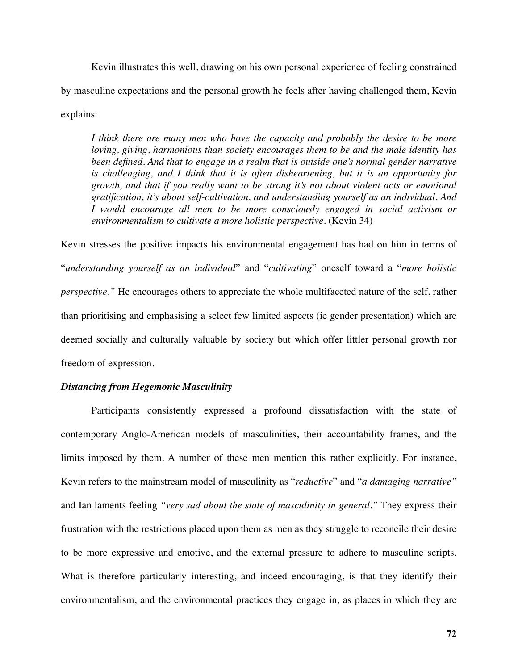Kevin illustrates this well, drawing on his own personal experience of feeling constrained by masculine expectations and the personal growth he feels after having challenged them, Kevin explains:

*I think there are many men who have the capacity and probably the desire to be more loving, giving, harmonious than society encourages them to be and the male identity has been defined. And that to engage in a realm that is outside one's normal gender narrative is challenging, and I think that it is often disheartening, but it is an opportunity for growth, and that if you really want to be strong it's not about violent acts or emotional gratification, it's about self-cultivation, and understanding yourself as an individual. And I would encourage all men to be more consciously engaged in social activism or environmentalism to cultivate a more holistic perspective.* (Kevin 34)

Kevin stresses the positive impacts his environmental engagement has had on him in terms of "*understanding yourself as an individual*" and "*cultivating*" oneself toward a "*more holistic perspective."* He encourages others to appreciate the whole multifaceted nature of the self, rather than prioritising and emphasising a select few limited aspects (ie gender presentation) which are deemed socially and culturally valuable by society but which offer littler personal growth nor freedom of expression.

### *Distancing from Hegemonic Masculinity*

Participants consistently expressed a profound dissatisfaction with the state of contemporary Anglo-American models of masculinities, their accountability frames, and the limits imposed by them. A number of these men mention this rather explicitly. For instance, Kevin refers to the mainstream model of masculinity as "*reductive*" and "*a damaging narrative"*  and Ian laments feeling *"very sad about the state of masculinity in general."* They express their frustration with the restrictions placed upon them as men as they struggle to reconcile their desire to be more expressive and emotive, and the external pressure to adhere to masculine scripts. What is therefore particularly interesting, and indeed encouraging, is that they identify their environmentalism, and the environmental practices they engage in, as places in which they are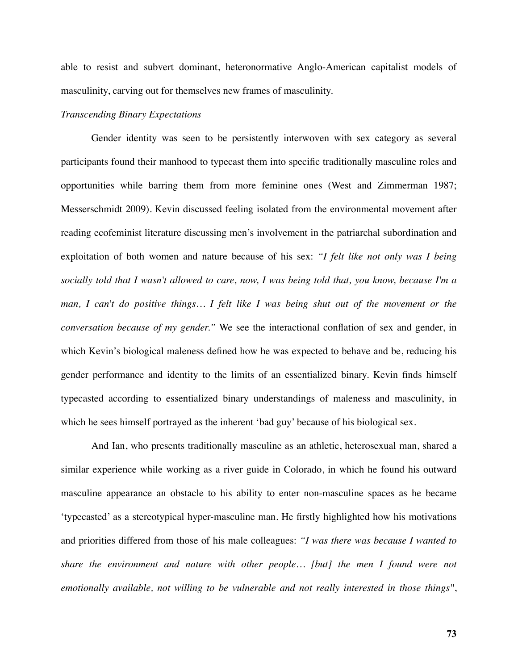able to resist and subvert dominant, heteronormative Anglo-American capitalist models of masculinity, carving out for themselves new frames of masculinity.

#### *Transcending Binary Expectations*

Gender identity was seen to be persistently interwoven with sex category as several participants found their manhood to typecast them into specific traditionally masculine roles and opportunities while barring them from more feminine ones (West and Zimmerman 1987; Messerschmidt 2009). Kevin discussed feeling isolated from the environmental movement after reading ecofeminist literature discussing men's involvement in the patriarchal subordination and exploitation of both women and nature because of his sex: *"I felt like not only was I being socially told that I wasn't allowed to care, now, I was being told that, you know, because I'm a man, I can't do positive things... I felt like I was being shut out of the movement or the conversation because of my gender."* We see the interactional conflation of sex and gender, in which Kevin's biological maleness defined how he was expected to behave and be, reducing his gender performance and identity to the limits of an essentialized binary. Kevin finds himself typecasted according to essentialized binary understandings of maleness and masculinity, in which he sees himself portrayed as the inherent 'bad guy' because of his biological sex.

And Ian, who presents traditionally masculine as an athletic, heterosexual man, shared a similar experience while working as a river guide in Colorado, in which he found his outward masculine appearance an obstacle to his ability to enter non-masculine spaces as he became 'typecasted' as a stereotypical hyper-masculine man. He firstly highlighted how his motivations and priorities differed from those of his male colleagues: *"I was there was because I wanted to share the environment and nature with other people… [but] the men I found were not emotionally available, not willing to be vulnerable and not really interested in those things''*,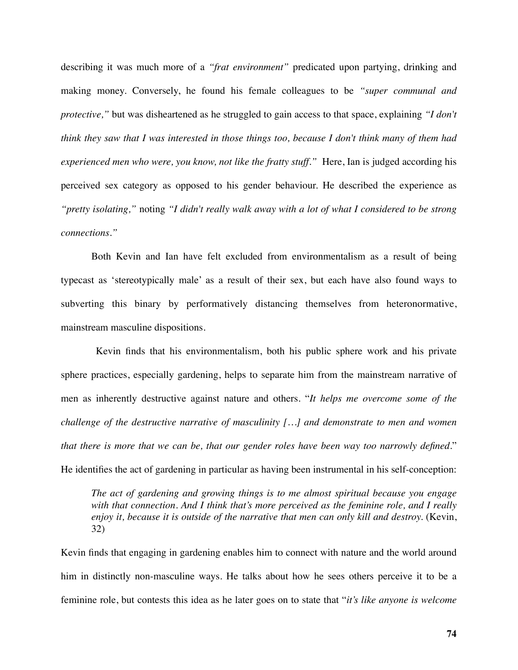describing it was much more of a *"frat environment"* predicated upon partying, drinking and making money. Conversely, he found his female colleagues to be *"super communal and protective,"* but was disheartened as he struggled to gain access to that space, explaining *"I don't think they saw that I was interested in those things too, because I don't think many of them had experienced men who were, you know, not like the fratty stuff.*" Here, Ian is judged according his perceived sex category as opposed to his gender behaviour. He described the experience as *"pretty isolating,"* noting *"I didn't really walk away with a lot of what I considered to be strong connections."* 

Both Kevin and Ian have felt excluded from environmentalism as a result of being typecast as 'stereotypically male' as a result of their sex, but each have also found ways to subverting this binary by performatively distancing themselves from heteronormative, mainstream masculine dispositions.

 Kevin finds that his environmentalism, both his public sphere work and his private sphere practices, especially gardening, helps to separate him from the mainstream narrative of men as inherently destructive against nature and others. "*It helps me overcome some of the challenge of the destructive narrative of masculinity […] and demonstrate to men and women that there is more that we can be, that our gender roles have been way too narrowly defined.*" He identifies the act of gardening in particular as having been instrumental in his self-conception:

*The act of gardening and growing things is to me almost spiritual because you engage with that connection. And I think that's more perceived as the feminine role, and I really*  enjoy it, because it is outside of the narrative that men can only kill and destroy. (Kevin, 32)

Kevin finds that engaging in gardening enables him to connect with nature and the world around him in distinctly non-masculine ways. He talks about how he sees others perceive it to be a feminine role, but contests this idea as he later goes on to state that "*it's like anyone is welcome*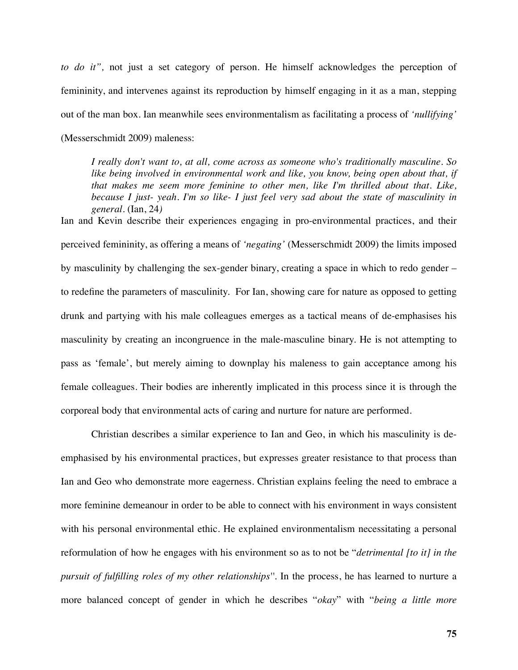*to do it",* not just a set category of person. He himself acknowledges the perception of femininity, and intervenes against its reproduction by himself engaging in it as a man, stepping out of the man box. Ian meanwhile sees environmentalism as facilitating a process of *'nullifying'* (Messerschmidt 2009) maleness:

*I really don't want to, at all, come across as someone who's traditionally masculine. So like being involved in environmental work and like, you know, being open about that, if that makes me seem more feminine to other men, like I'm thrilled about that. Like, because I just- yeah. I'm so like- I just feel very sad about the state of masculinity in general.* (Ian, 24*)* 

Ian and Kevin describe their experiences engaging in pro-environmental practices, and their perceived femininity, as offering a means of *'negating'* (Messerschmidt 2009) the limits imposed by masculinity by challenging the sex-gender binary, creating a space in which to redo gender – to redefine the parameters of masculinity. For Ian, showing care for nature as opposed to getting drunk and partying with his male colleagues emerges as a tactical means of de-emphasises his masculinity by creating an incongruence in the male-masculine binary. He is not attempting to pass as 'female', but merely aiming to downplay his maleness to gain acceptance among his female colleagues. Their bodies are inherently implicated in this process since it is through the corporeal body that environmental acts of caring and nurture for nature are performed.

Christian describes a similar experience to Ian and Geo, in which his masculinity is deemphasised by his environmental practices, but expresses greater resistance to that process than Ian and Geo who demonstrate more eagerness. Christian explains feeling the need to embrace a more feminine demeanour in order to be able to connect with his environment in ways consistent with his personal environmental ethic. He explained environmentalism necessitating a personal reformulation of how he engages with his environment so as to not be "*detrimental [to it] in the pursuit of fulfilling roles of my other relationships''*. In the process, he has learned to nurture a more balanced concept of gender in which he describes "*okay*" with "*being a little more*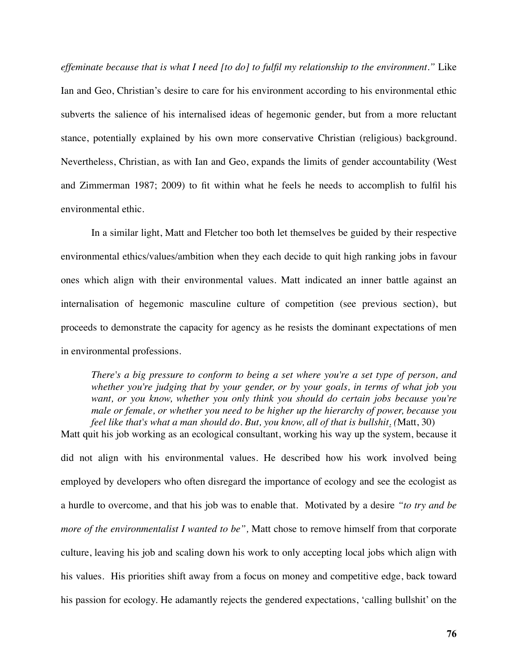*effeminate because that is what I need [to do] to fulfil my relationship to the environment."* Like Ian and Geo, Christian's desire to care for his environment according to his environmental ethic subverts the salience of his internalised ideas of hegemonic gender, but from a more reluctant stance, potentially explained by his own more conservative Christian (religious) background. Nevertheless, Christian, as with Ian and Geo, expands the limits of gender accountability (West and Zimmerman 1987; 2009) to fit within what he feels he needs to accomplish to fulfil his environmental ethic.

In a similar light, Matt and Fletcher too both let themselves be guided by their respective environmental ethics/values/ambition when they each decide to quit high ranking jobs in favour ones which align with their environmental values. Matt indicated an inner battle against an internalisation of hegemonic masculine culture of competition (see previous section), but proceeds to demonstrate the capacity for agency as he resists the dominant expectations of men in environmental professions.

*There's a big pressure to conform to being a set where you're a set type of person, and whether you're judging that by your gender, or by your goals, in terms of what job you want, or you know, whether you only think you should do certain jobs because you're male or female, or whether you need to be higher up the hierarchy of power, because you feel like that's what a man should do. But, you know, all of that is bullshit. (*Matt, 30)

Matt quit his job working as an ecological consultant, working his way up the system, because it did not align with his environmental values. He described how his work involved being employed by developers who often disregard the importance of ecology and see the ecologist as a hurdle to overcome, and that his job was to enable that. Motivated by a desire *"to try and be more of the environmentalist I wanted to be",* Matt chose to remove himself from that corporate culture, leaving his job and scaling down his work to only accepting local jobs which align with his values. His priorities shift away from a focus on money and competitive edge, back toward his passion for ecology. He adamantly rejects the gendered expectations, 'calling bullshit' on the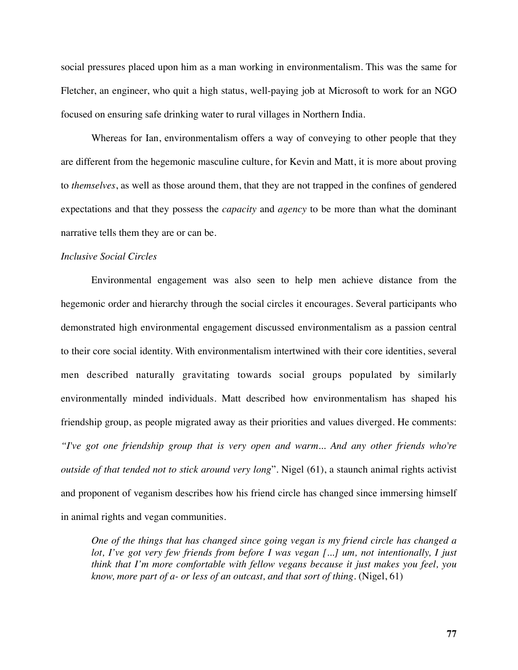social pressures placed upon him as a man working in environmentalism. This was the same for Fletcher, an engineer, who quit a high status, well-paying job at Microsoft to work for an NGO focused on ensuring safe drinking water to rural villages in Northern India.

Whereas for Ian, environmentalism offers a way of conveying to other people that they are different from the hegemonic masculine culture, for Kevin and Matt, it is more about proving to *themselves*, as well as those around them, that they are not trapped in the confines of gendered expectations and that they possess the *capacity* and *agency* to be more than what the dominant narrative tells them they are or can be.

### *Inclusive Social Circles*

Environmental engagement was also seen to help men achieve distance from the hegemonic order and hierarchy through the social circles it encourages. Several participants who demonstrated high environmental engagement discussed environmentalism as a passion central to their core social identity. With environmentalism intertwined with their core identities, several men described naturally gravitating towards social groups populated by similarly environmentally minded individuals. Matt described how environmentalism has shaped his friendship group, as people migrated away as their priorities and values diverged. He comments: *"I've got one friendship group that is very open and warm... And any other friends who're outside of that tended not to stick around very long*". Nigel (61), a staunch animal rights activist and proponent of veganism describes how his friend circle has changed since immersing himself in animal rights and vegan communities.

*One of the things that has changed since going vegan is my friend circle has changed a lot, I've got very few friends from before I was vegan [...] um, not intentionally, I just think that I'm more comfortable with fellow vegans because it just makes you feel, you know, more part of a- or less of an outcast, and that sort of thing.* (Nigel, 61)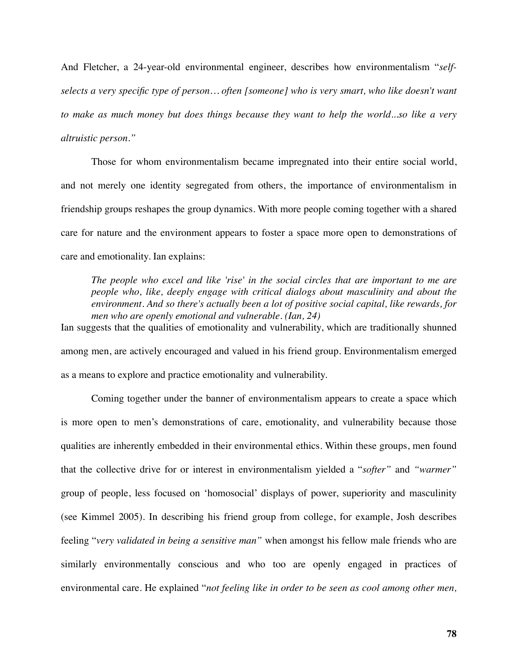And Fletcher, a 24-year-old environmental engineer, describes how environmentalism "*selfselects a very specific type of person… often [someone] who is very smart, who like doesn't want to make as much money but does things because they want to help the world...so like a very altruistic person."*

Those for whom environmentalism became impregnated into their entire social world, and not merely one identity segregated from others, the importance of environmentalism in friendship groups reshapes the group dynamics. With more people coming together with a shared care for nature and the environment appears to foster a space more open to demonstrations of care and emotionality. Ian explains:

*The people who excel and like 'rise' in the social circles that are important to me are people who, like, deeply engage with critical dialogs about masculinity and about the environment. And so there's actually been a lot of positive social capital, like rewards, for men who are openly emotional and vulnerable. (Ian, 24)* 

Ian suggests that the qualities of emotionality and vulnerability, which are traditionally shunned among men, are actively encouraged and valued in his friend group. Environmentalism emerged as a means to explore and practice emotionality and vulnerability.

Coming together under the banner of environmentalism appears to create a space which is more open to men's demonstrations of care, emotionality, and vulnerability because those qualities are inherently embedded in their environmental ethics. Within these groups, men found that the collective drive for or interest in environmentalism yielded a "*softer"* and *"warmer"*  group of people, less focused on 'homosocial' displays of power, superiority and masculinity (see Kimmel 2005). In describing his friend group from college, for example, Josh describes feeling "*very validated in being a sensitive man"* when amongst his fellow male friends who are similarly environmentally conscious and who too are openly engaged in practices of environmental care. He explained "*not feeling like in order to be seen as cool among other men,*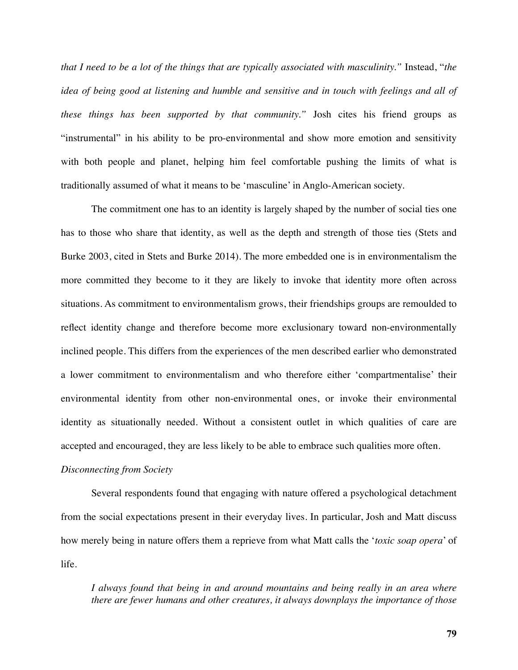*that I need to be a lot of the things that are typically associated with masculinity."* Instead, "*the idea of being good at listening and humble and sensitive and in touch with feelings and all of these things has been supported by that community."* Josh cites his friend groups as "instrumental" in his ability to be pro-environmental and show more emotion and sensitivity with both people and planet, helping him feel comfortable pushing the limits of what is traditionally assumed of what it means to be 'masculine' in Anglo-American society.

The commitment one has to an identity is largely shaped by the number of social ties one has to those who share that identity, as well as the depth and strength of those ties (Stets and Burke 2003, cited in Stets and Burke 2014). The more embedded one is in environmentalism the more committed they become to it they are likely to invoke that identity more often across situations. As commitment to environmentalism grows, their friendships groups are remoulded to reflect identity change and therefore become more exclusionary toward non-environmentally inclined people. This differs from the experiences of the men described earlier who demonstrated a lower commitment to environmentalism and who therefore either 'compartmentalise' their environmental identity from other non-environmental ones, or invoke their environmental identity as situationally needed. Without a consistent outlet in which qualities of care are accepted and encouraged, they are less likely to be able to embrace such qualities more often.

#### *Disconnecting from Society*

Several respondents found that engaging with nature offered a psychological detachment from the social expectations present in their everyday lives. In particular, Josh and Matt discuss how merely being in nature offers them a reprieve from what Matt calls the '*toxic soap opera*' of life.

*I always found that being in and around mountains and being really in an area where there are fewer humans and other creatures, it always downplays the importance of those*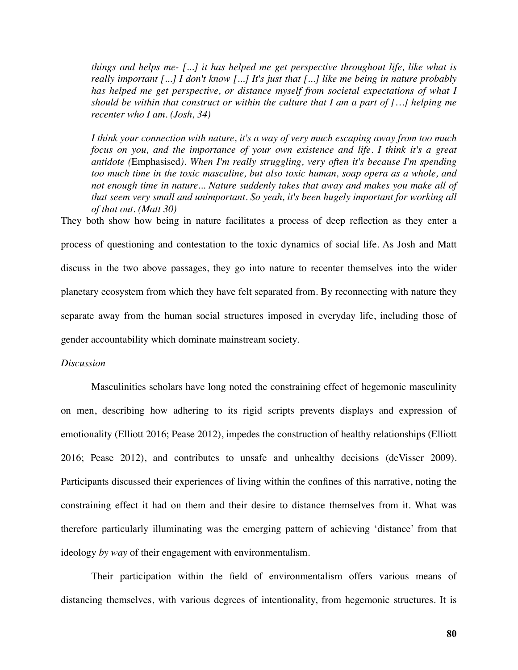*things and helps me- [...] it has helped me get perspective throughout life, like what is really important [...] I don't know [...] It's just that [...] like me being in nature probably has helped me get perspective, or distance myself from societal expectations of what I should be within that construct or within the culture that I am a part of […] helping me recenter who I am. (Josh, 34)*

*I think your connection with nature, it's a way of very much escaping away from too much focus on you, and the importance of your own existence and life. I think it's a great antidote (*Emphasised*). When I'm really struggling, very often it's because I'm spending too much time in the toxic masculine, but also toxic human, soap opera as a whole, and not enough time in nature... Nature suddenly takes that away and makes you make all of that seem very small and unimportant. So yeah, it's been hugely important for working all of that out. (Matt 30)*

They both show how being in nature facilitates a process of deep reflection as they enter a process of questioning and contestation to the toxic dynamics of social life. As Josh and Matt discuss in the two above passages, they go into nature to recenter themselves into the wider planetary ecosystem from which they have felt separated from. By reconnecting with nature they separate away from the human social structures imposed in everyday life, including those of gender accountability which dominate mainstream society.

### *Discussion*

Masculinities scholars have long noted the constraining effect of hegemonic masculinity on men, describing how adhering to its rigid scripts prevents displays and expression of emotionality (Elliott 2016; Pease 2012), impedes the construction of healthy relationships (Elliott 2016; Pease 2012), and contributes to unsafe and unhealthy decisions (deVisser 2009). Participants discussed their experiences of living within the confines of this narrative, noting the constraining effect it had on them and their desire to distance themselves from it. What was therefore particularly illuminating was the emerging pattern of achieving 'distance' from that ideology *by way* of their engagement with environmentalism.

Their participation within the field of environmentalism offers various means of distancing themselves, with various degrees of intentionality, from hegemonic structures. It is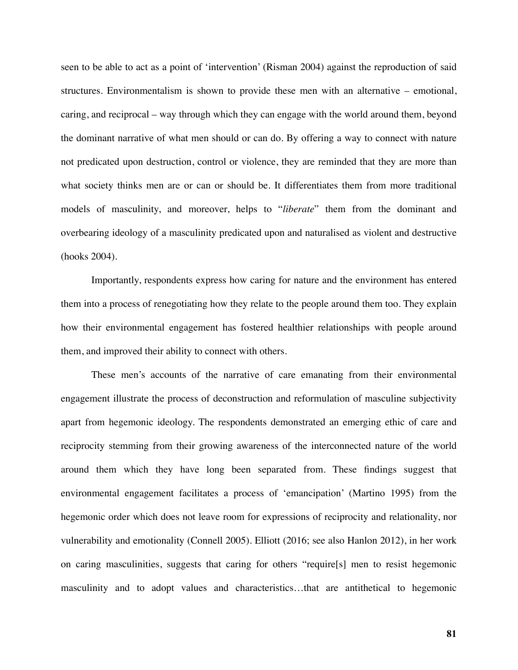seen to be able to act as a point of 'intervention' (Risman 2004) against the reproduction of said structures. Environmentalism is shown to provide these men with an alternative – emotional, caring, and reciprocal – way through which they can engage with the world around them, beyond the dominant narrative of what men should or can do. By offering a way to connect with nature not predicated upon destruction, control or violence, they are reminded that they are more than what society thinks men are or can or should be. It differentiates them from more traditional models of masculinity, and moreover, helps to "*liberate*" them from the dominant and overbearing ideology of a masculinity predicated upon and naturalised as violent and destructive (hooks 2004).

Importantly, respondents express how caring for nature and the environment has entered them into a process of renegotiating how they relate to the people around them too. They explain how their environmental engagement has fostered healthier relationships with people around them, and improved their ability to connect with others.

These men's accounts of the narrative of care emanating from their environmental engagement illustrate the process of deconstruction and reformulation of masculine subjectivity apart from hegemonic ideology. The respondents demonstrated an emerging ethic of care and reciprocity stemming from their growing awareness of the interconnected nature of the world around them which they have long been separated from. These findings suggest that environmental engagement facilitates a process of 'emancipation' (Martino 1995) from the hegemonic order which does not leave room for expressions of reciprocity and relationality, nor vulnerability and emotionality (Connell 2005). Elliott (2016; see also Hanlon 2012), in her work on caring masculinities, suggests that caring for others "require[s] men to resist hegemonic masculinity and to adopt values and characteristics…that are antithetical to hegemonic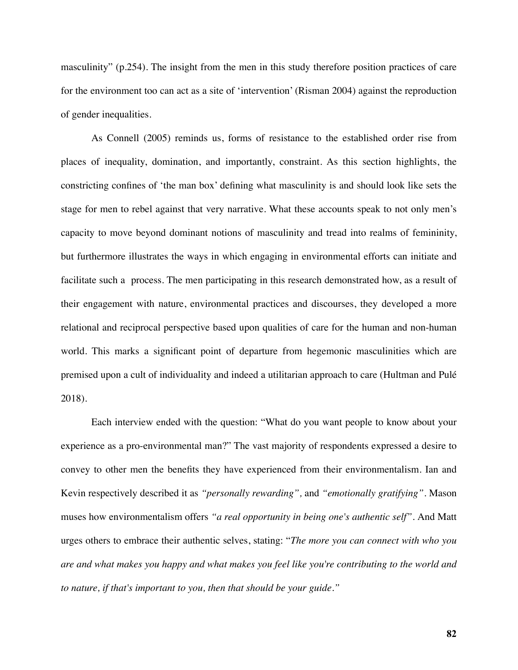masculinity" (p.254). The insight from the men in this study therefore position practices of care for the environment too can act as a site of 'intervention' (Risman 2004) against the reproduction of gender inequalities.

As Connell (2005) reminds us, forms of resistance to the established order rise from places of inequality, domination, and importantly, constraint. As this section highlights, the constricting confines of 'the man box' defining what masculinity is and should look like sets the stage for men to rebel against that very narrative. What these accounts speak to not only men's capacity to move beyond dominant notions of masculinity and tread into realms of femininity, but furthermore illustrates the ways in which engaging in environmental efforts can initiate and facilitate such a process. The men participating in this research demonstrated how, as a result of their engagement with nature, environmental practices and discourses, they developed a more relational and reciprocal perspective based upon qualities of care for the human and non-human world. This marks a significant point of departure from hegemonic masculinities which are premised upon a cult of individuality and indeed a utilitarian approach to care (Hultman and Pulé 2018).

Each interview ended with the question: "What do you want people to know about your experience as a pro-environmental man?" The vast majority of respondents expressed a desire to convey to other men the benefits they have experienced from their environmentalism. Ian and Kevin respectively described it as *"personally rewarding",* and *"emotionally gratifying"*. Mason muses how environmentalism offers *"a real opportunity in being one's authentic self".* And Matt urges others to embrace their authentic selves, stating: "*The more you can connect with who you are and what makes you happy and what makes you feel like you're contributing to the world and to nature, if that's important to you, then that should be your guide."*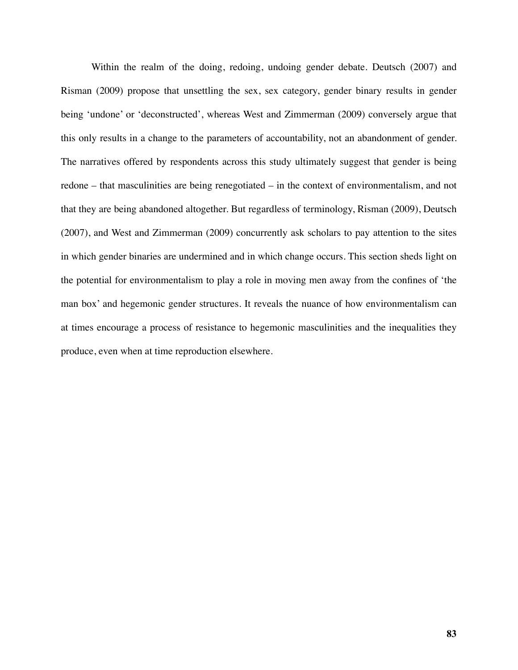Within the realm of the doing, redoing, undoing gender debate. Deutsch (2007) and Risman (2009) propose that unsettling the sex, sex category, gender binary results in gender being 'undone' or 'deconstructed', whereas West and Zimmerman (2009) conversely argue that this only results in a change to the parameters of accountability, not an abandonment of gender. The narratives offered by respondents across this study ultimately suggest that gender is being redone – that masculinities are being renegotiated – in the context of environmentalism, and not that they are being abandoned altogether. But regardless of terminology, Risman (2009), Deutsch (2007), and West and Zimmerman (2009) concurrently ask scholars to pay attention to the sites in which gender binaries are undermined and in which change occurs. This section sheds light on the potential for environmentalism to play a role in moving men away from the confines of 'the man box' and hegemonic gender structures. It reveals the nuance of how environmentalism can at times encourage a process of resistance to hegemonic masculinities and the inequalities they produce, even when at time reproduction elsewhere.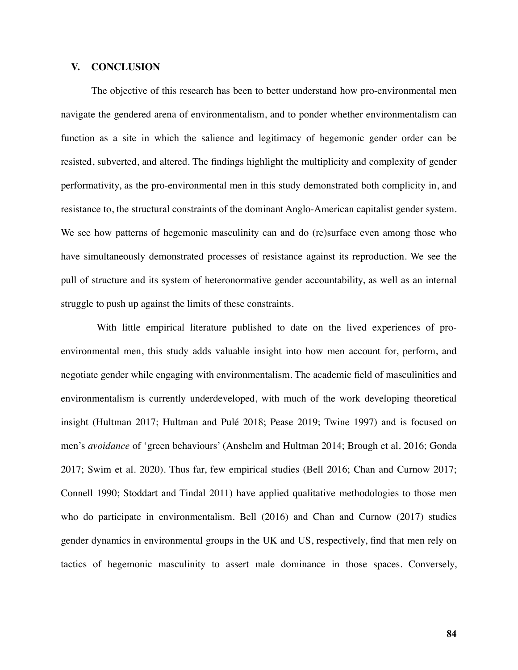#### **V. CONCLUSION**

The objective of this research has been to better understand how pro-environmental men navigate the gendered arena of environmentalism, and to ponder whether environmentalism can function as a site in which the salience and legitimacy of hegemonic gender order can be resisted, subverted, and altered. The findings highlight the multiplicity and complexity of gender performativity, as the pro-environmental men in this study demonstrated both complicity in, and resistance to, the structural constraints of the dominant Anglo-American capitalist gender system. We see how patterns of hegemonic masculinity can and do (re)surface even among those who have simultaneously demonstrated processes of resistance against its reproduction. We see the pull of structure and its system of heteronormative gender accountability, as well as an internal struggle to push up against the limits of these constraints.

 With little empirical literature published to date on the lived experiences of proenvironmental men, this study adds valuable insight into how men account for, perform, and negotiate gender while engaging with environmentalism. The academic field of masculinities and environmentalism is currently underdeveloped, with much of the work developing theoretical insight (Hultman 2017; Hultman and Pulé 2018; Pease 2019; Twine 1997) and is focused on men's *avoidance* of 'green behaviours' (Anshelm and Hultman 2014; Brough et al. 2016; Gonda 2017; Swim et al. 2020). Thus far, few empirical studies (Bell 2016; Chan and Curnow 2017; Connell 1990; Stoddart and Tindal 2011) have applied qualitative methodologies to those men who do participate in environmentalism. Bell (2016) and Chan and Curnow (2017) studies gender dynamics in environmental groups in the UK and US, respectively, find that men rely on tactics of hegemonic masculinity to assert male dominance in those spaces. Conversely,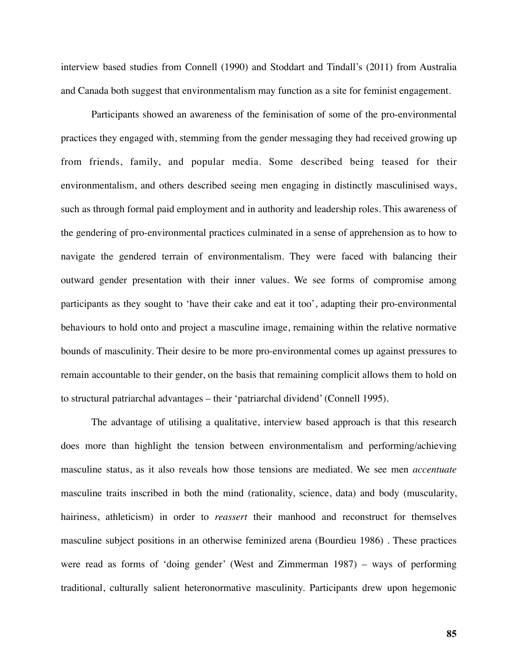interview based studies from Connell (1990) and Stoddart and Tindall's (2011) from Australia and Canada both suggest that environmentalism may function as a site for feminist engagement.

Participants showed an awareness of the feminisation of some of the pro-environmental practices they engaged with, stemming from the gender messaging they had received growing up from friends, family, and popular media. Some described being teased for their environmentalism, and others described seeing men engaging in distinctly masculinised ways, such as through formal paid employment and in authority and leadership roles. This awareness of the gendering of pro-environmental practices culminated in a sense of apprehension as to how to navigate the gendered terrain of environmentalism. They were faced with balancing their outward gender presentation with their inner values. We see forms of compromise among participants as they sought to 'have their cake and eat it too', adapting their pro-environmental behaviours to hold onto and project a masculine image, remaining within the relative normative bounds of masculinity. Their desire to be more pro-environmental comes up against pressures to remain accountable to their gender, on the basis that remaining complicit allows them to hold on to structural patriarchal advantages – their 'patriarchal dividend' (Connell 1995).

The advantage of utilising a qualitative, interview based approach is that this research does more than highlight the tension between environmentalism and performing/achieving masculine status, as it also reveals how those tensions are mediated. We see men *accentuate* masculine traits inscribed in both the mind (rationality, science, data) and body (muscularity, hairiness, athleticism) in order to *reassert* their manhood and reconstruct for themselves masculine subject positions in an otherwise feminized arena (Bourdieu 1986) . These practices were read as forms of 'doing gender' (West and Zimmerman 1987) – ways of performing traditional, culturally salient heteronormative masculinity. Participants drew upon hegemonic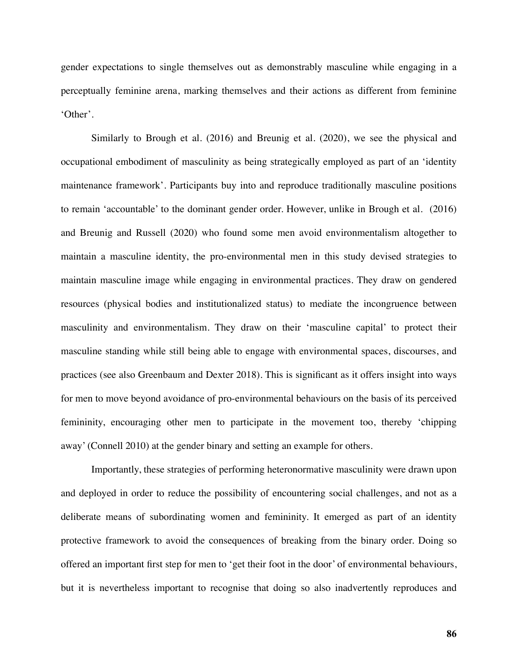gender expectations to single themselves out as demonstrably masculine while engaging in a perceptually feminine arena, marking themselves and their actions as different from feminine 'Other'.

Similarly to Brough et al. (2016) and Breunig et al. (2020), we see the physical and occupational embodiment of masculinity as being strategically employed as part of an 'identity maintenance framework'. Participants buy into and reproduce traditionally masculine positions to remain 'accountable' to the dominant gender order. However, unlike in Brough et al. (2016) and Breunig and Russell (2020) who found some men avoid environmentalism altogether to maintain a masculine identity, the pro-environmental men in this study devised strategies to maintain masculine image while engaging in environmental practices. They draw on gendered resources (physical bodies and institutionalized status) to mediate the incongruence between masculinity and environmentalism. They draw on their 'masculine capital' to protect their masculine standing while still being able to engage with environmental spaces, discourses, and practices (see also Greenbaum and Dexter 2018). This is significant as it offers insight into ways for men to move beyond avoidance of pro-environmental behaviours on the basis of its perceived femininity, encouraging other men to participate in the movement too, thereby 'chipping away' (Connell 2010) at the gender binary and setting an example for others.

Importantly, these strategies of performing heteronormative masculinity were drawn upon and deployed in order to reduce the possibility of encountering social challenges, and not as a deliberate means of subordinating women and femininity. It emerged as part of an identity protective framework to avoid the consequences of breaking from the binary order. Doing so offered an important first step for men to 'get their foot in the door' of environmental behaviours, but it is nevertheless important to recognise that doing so also inadvertently reproduces and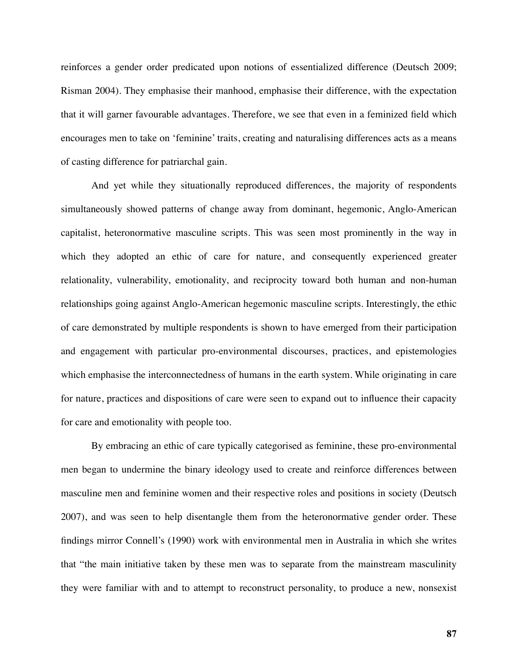reinforces a gender order predicated upon notions of essentialized difference (Deutsch 2009; Risman 2004). They emphasise their manhood, emphasise their difference, with the expectation that it will garner favourable advantages. Therefore, we see that even in a feminized field which encourages men to take on 'feminine' traits, creating and naturalising differences acts as a means of casting difference for patriarchal gain.

And yet while they situationally reproduced differences, the majority of respondents simultaneously showed patterns of change away from dominant, hegemonic, Anglo-American capitalist, heteronormative masculine scripts. This was seen most prominently in the way in which they adopted an ethic of care for nature, and consequently experienced greater relationality, vulnerability, emotionality, and reciprocity toward both human and non-human relationships going against Anglo-American hegemonic masculine scripts. Interestingly, the ethic of care demonstrated by multiple respondents is shown to have emerged from their participation and engagement with particular pro-environmental discourses, practices, and epistemologies which emphasise the interconnectedness of humans in the earth system. While originating in care for nature, practices and dispositions of care were seen to expand out to influence their capacity for care and emotionality with people too.

By embracing an ethic of care typically categorised as feminine, these pro-environmental men began to undermine the binary ideology used to create and reinforce differences between masculine men and feminine women and their respective roles and positions in society (Deutsch 2007), and was seen to help disentangle them from the heteronormative gender order. These findings mirror Connell's (1990) work with environmental men in Australia in which she writes that "the main initiative taken by these men was to separate from the mainstream masculinity they were familiar with and to attempt to reconstruct personality, to produce a new, nonsexist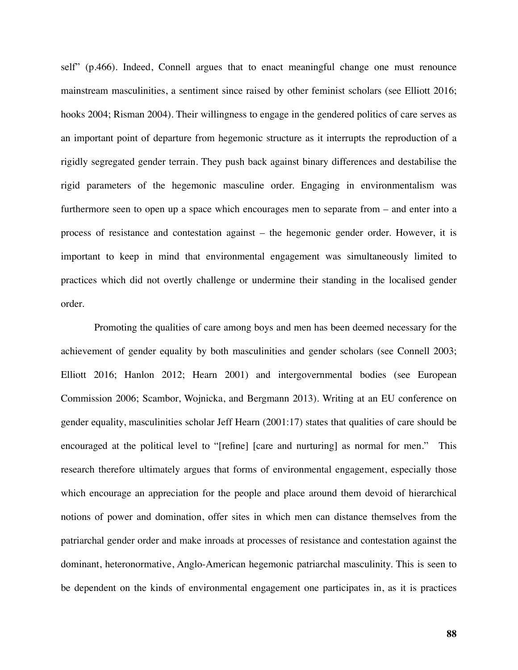self" (p.466). Indeed, Connell argues that to enact meaningful change one must renounce mainstream masculinities, a sentiment since raised by other feminist scholars (see Elliott 2016; hooks 2004; Risman 2004). Their willingness to engage in the gendered politics of care serves as an important point of departure from hegemonic structure as it interrupts the reproduction of a rigidly segregated gender terrain. They push back against binary differences and destabilise the rigid parameters of the hegemonic masculine order. Engaging in environmentalism was furthermore seen to open up a space which encourages men to separate from – and enter into a process of resistance and contestation against – the hegemonic gender order. However, it is important to keep in mind that environmental engagement was simultaneously limited to practices which did not overtly challenge or undermine their standing in the localised gender order.

 Promoting the qualities of care among boys and men has been deemed necessary for the achievement of gender equality by both masculinities and gender scholars (see Connell 2003; Elliott 2016; Hanlon 2012; Hearn 2001) and intergovernmental bodies (see European Commission 2006; Scambor, Wojnicka, and Bergmann 2013). Writing at an EU conference on gender equality, masculinities scholar Jeff Hearn (2001:17) states that qualities of care should be encouraged at the political level to "[refine] [care and nurturing] as normal for men." This research therefore ultimately argues that forms of environmental engagement, especially those which encourage an appreciation for the people and place around them devoid of hierarchical notions of power and domination, offer sites in which men can distance themselves from the patriarchal gender order and make inroads at processes of resistance and contestation against the dominant, heteronormative, Anglo-American hegemonic patriarchal masculinity. This is seen to be dependent on the kinds of environmental engagement one participates in, as it is practices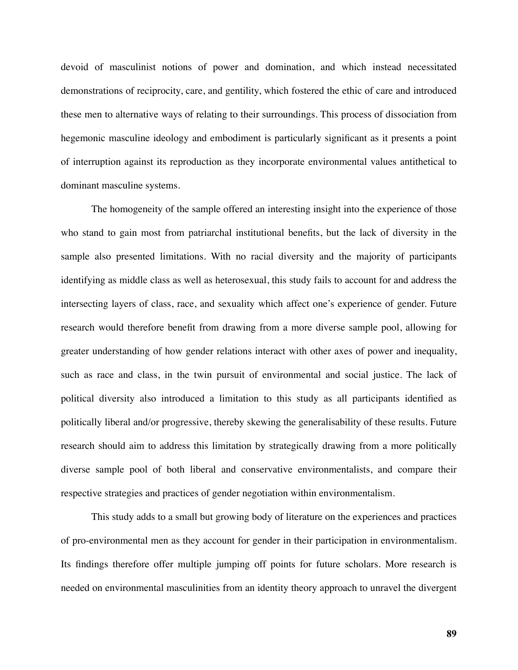devoid of masculinist notions of power and domination, and which instead necessitated demonstrations of reciprocity, care, and gentility, which fostered the ethic of care and introduced these men to alternative ways of relating to their surroundings. This process of dissociation from hegemonic masculine ideology and embodiment is particularly significant as it presents a point of interruption against its reproduction as they incorporate environmental values antithetical to dominant masculine systems.

The homogeneity of the sample offered an interesting insight into the experience of those who stand to gain most from patriarchal institutional benefits, but the lack of diversity in the sample also presented limitations. With no racial diversity and the majority of participants identifying as middle class as well as heterosexual, this study fails to account for and address the intersecting layers of class, race, and sexuality which affect one's experience of gender. Future research would therefore benefit from drawing from a more diverse sample pool, allowing for greater understanding of how gender relations interact with other axes of power and inequality, such as race and class, in the twin pursuit of environmental and social justice. The lack of political diversity also introduced a limitation to this study as all participants identified as politically liberal and/or progressive, thereby skewing the generalisability of these results. Future research should aim to address this limitation by strategically drawing from a more politically diverse sample pool of both liberal and conservative environmentalists, and compare their respective strategies and practices of gender negotiation within environmentalism.

This study adds to a small but growing body of literature on the experiences and practices of pro-environmental men as they account for gender in their participation in environmentalism. Its findings therefore offer multiple jumping off points for future scholars. More research is needed on environmental masculinities from an identity theory approach to unravel the divergent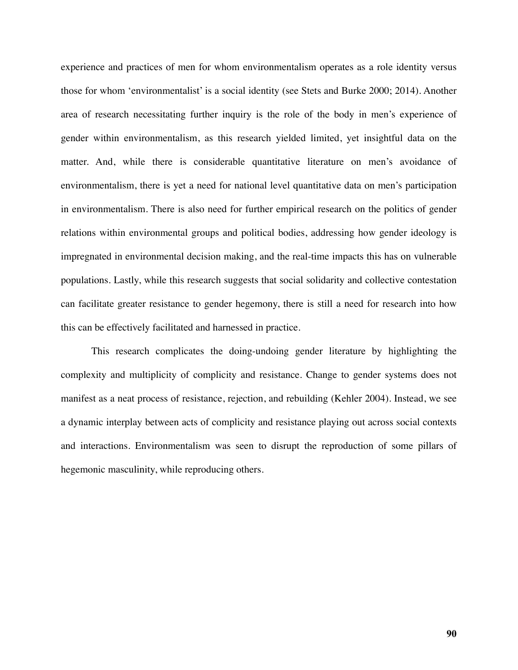experience and practices of men for whom environmentalism operates as a role identity versus those for whom 'environmentalist' is a social identity (see Stets and Burke 2000; 2014). Another area of research necessitating further inquiry is the role of the body in men's experience of gender within environmentalism, as this research yielded limited, yet insightful data on the matter. And, while there is considerable quantitative literature on men's avoidance of environmentalism, there is yet a need for national level quantitative data on men's participation in environmentalism. There is also need for further empirical research on the politics of gender relations within environmental groups and political bodies, addressing how gender ideology is impregnated in environmental decision making, and the real-time impacts this has on vulnerable populations. Lastly, while this research suggests that social solidarity and collective contestation can facilitate greater resistance to gender hegemony, there is still a need for research into how this can be effectively facilitated and harnessed in practice.

This research complicates the doing-undoing gender literature by highlighting the complexity and multiplicity of complicity and resistance. Change to gender systems does not manifest as a neat process of resistance, rejection, and rebuilding (Kehler 2004). Instead, we see a dynamic interplay between acts of complicity and resistance playing out across social contexts and interactions. Environmentalism was seen to disrupt the reproduction of some pillars of hegemonic masculinity, while reproducing others.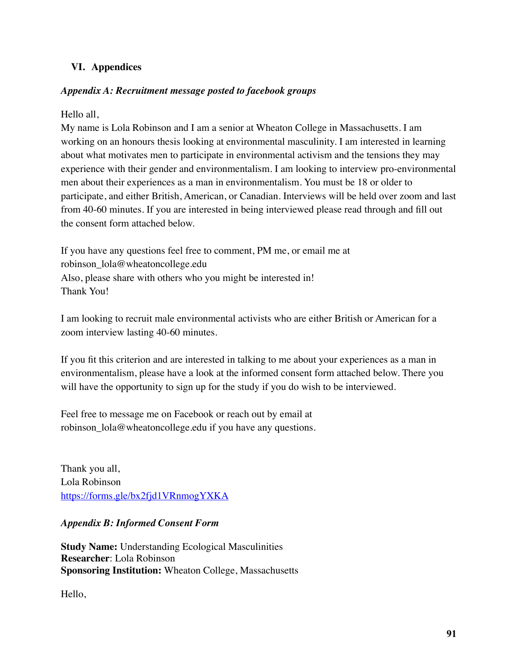## **VI. Appendices**

## *Appendix A: Recruitment message posted to facebook groups*

Hello all,

My name is Lola Robinson and I am a senior at Wheaton College in Massachusetts. I am working on an honours thesis looking at environmental masculinity. I am interested in learning about what motivates men to participate in environmental activism and the tensions they may experience with their gender and environmentalism. I am looking to interview pro-environmental men about their experiences as a man in environmentalism. You must be 18 or older to participate, and either British, American, or Canadian. Interviews will be held over zoom and last from 40-60 minutes. If you are interested in being interviewed please read through and fill out the consent form attached below.

If you have any questions feel free to comment, PM me, or email me at robinson\_lola@wheatoncollege.edu Also, please share with others who you might be interested in! Thank You!

I am looking to recruit male environmental activists who are either British or American for a zoom interview lasting 40-60 minutes.

If you fit this criterion and are interested in talking to me about your experiences as a man in environmentalism, please have a look at the informed consent form attached below. There you will have the opportunity to sign up for the study if you do wish to be interviewed.

Feel free to message me on Facebook or reach out by email at robinson\_lola@wheatoncollege.edu if you have any questions.

Thank you all, Lola Robinson <https://forms.gle/bx2fjd1VRnmogYXKA>

## *Appendix B: Informed Consent Form*

**Study Name:** Understanding Ecological Masculinities **Researcher**: Lola Robinson **Sponsoring Institution:** Wheaton College, Massachusetts

Hello,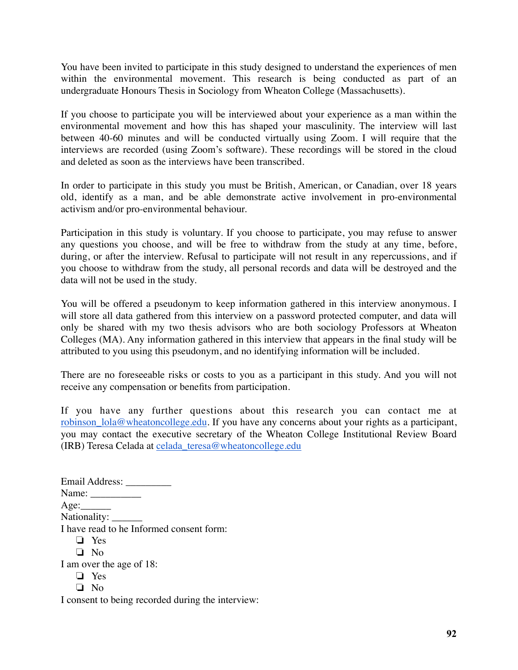You have been invited to participate in this study designed to understand the experiences of men within the environmental movement. This research is being conducted as part of an undergraduate Honours Thesis in Sociology from Wheaton College (Massachusetts).

If you choose to participate you will be interviewed about your experience as a man within the environmental movement and how this has shaped your masculinity. The interview will last between 40-60 minutes and will be conducted virtually using Zoom. I will require that the interviews are recorded (using Zoom's software). These recordings will be stored in the cloud and deleted as soon as the interviews have been transcribed.

In order to participate in this study you must be British, American, or Canadian, over 18 years old, identify as a man, and be able demonstrate active involvement in pro-environmental activism and/or pro-environmental behaviour.

Participation in this study is voluntary. If you choose to participate, you may refuse to answer any questions you choose, and will be free to withdraw from the study at any time, before, during, or after the interview. Refusal to participate will not result in any repercussions, and if you choose to withdraw from the study, all personal records and data will be destroyed and the data will not be used in the study.

You will be offered a pseudonym to keep information gathered in this interview anonymous. I will store all data gathered from this interview on a password protected computer, and data will only be shared with my two thesis advisors who are both sociology Professors at Wheaton Colleges (MA). Any information gathered in this interview that appears in the final study will be attributed to you using this pseudonym, and no identifying information will be included.

There are no foreseeable risks or costs to you as a participant in this study. And you will not receive any compensation or benefits from participation.

If you have any further questions about this research you can contact me at [robinson\\_lola@wheatoncollege.edu.](mailto:robinson_lola@wheatoncollege.edu) If you have any concerns about your rights as a participant, you may contact the executive secretary of the Wheaton College Institutional Review Board (IRB) Teresa Celada at [celada\\_teresa@wheatoncollege.edu](mailto:celada_teresa@wheatoncollege.edu)

Email Address: \_\_\_\_\_\_\_\_\_ Name: \_\_\_\_\_\_\_\_\_\_  $Age:$ Nationality: I have read to he Informed consent form: ❏ Yes ❏ No I am over the age of 18: ❏ Yes ❏ No

I consent to being recorded during the interview: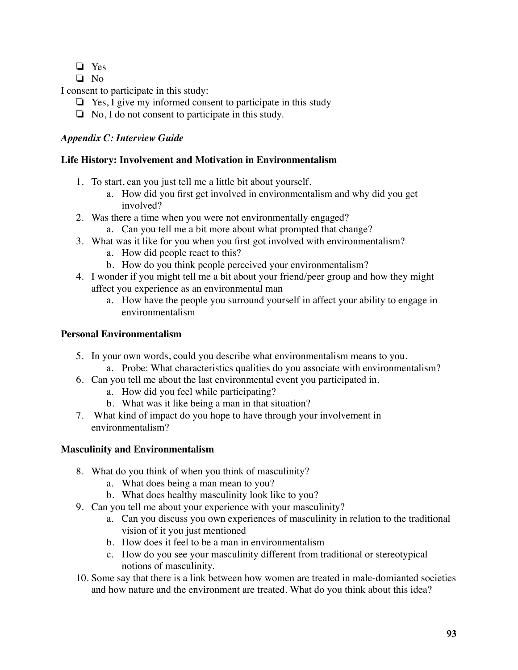- ❏ Yes
- ❏ No

I consent to participate in this study:

- ❏ Yes, I give my informed consent to participate in this study
- $\Box$  No, I do not consent to participate in this study.

# *Appendix C: Interview Guide*

## **Life History: Involvement and Motivation in Environmentalism**

- 1. To start, can you just tell me a little bit about yourself.
	- a. How did you first get involved in environmentalism and why did you get involved?
- 2. Was there a time when you were not environmentally engaged?
	- a. Can you tell me a bit more about what prompted that change?
- 3. What was it like for you when you first got involved with environmentalism?
	- a. How did people react to this?
	- b. How do you think people perceived your environmentalism?
- 4. I wonder if you might tell me a bit about your friend/peer group and how they might affect you experience as an environmental man
	- a. How have the people you surround yourself in affect your ability to engage in environmentalism

# **Personal Environmentalism**

- 5. In your own words, could you describe what environmentalism means to you.
	- a. Probe: What characteristics qualities do you associate with environmentalism?
- 6. Can you tell me about the last environmental event you participated in.
	- a. How did you feel while participating?
	- b. What was it like being a man in that situation?
- 7. What kind of impact do you hope to have through your involvement in environmentalism?

# **Masculinity and Environmentalism**

- 8. What do you think of when you think of masculinity?
	- a. What does being a man mean to you?
	- b. What does healthy masculinity look like to you?
- 9. Can you tell me about your experience with your masculinity?
	- a. Can you discuss you own experiences of masculinity in relation to the traditional vision of it you just mentioned
	- b. How does it feel to be a man in environmentalism
	- c. How do you see your masculinity different from traditional or stereotypical notions of masculinity.
- 10. Some say that there is a link between how women are treated in male-domianted societies and how nature and the environment are treated. What do you think about this idea?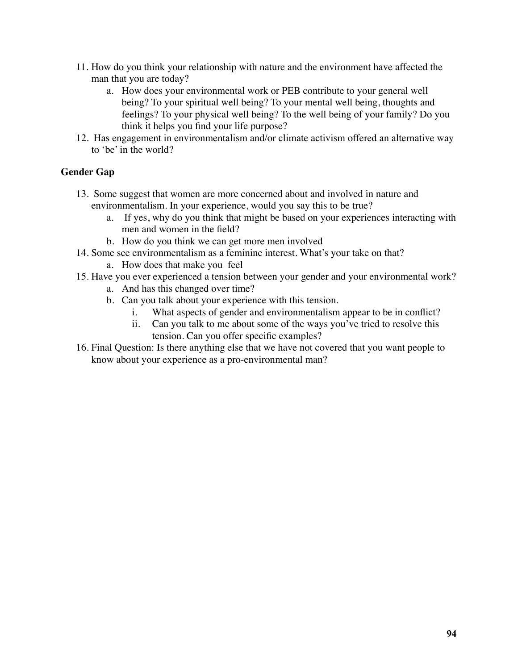- 11. How do you think your relationship with nature and the environment have affected the man that you are today?
	- a. How does your environmental work or PEB contribute to your general well being? To your spiritual well being? To your mental well being, thoughts and feelings? To your physical well being? To the well being of your family? Do you think it helps you find your life purpose?
- 12. Has engagement in environmentalism and/or climate activism offered an alternative way to 'be' in the world?

## **Gender Gap**

- 13. Some suggest that women are more concerned about and involved in nature and environmentalism. In your experience, would you say this to be true?
	- a. If yes, why do you think that might be based on your experiences interacting with men and women in the field?
	- b. How do you think we can get more men involved
- 14. Some see environmentalism as a feminine interest. What's your take on that?
	- a. How does that make you feel
- 15. Have you ever experienced a tension between your gender and your environmental work? a. And has this changed over time?
	- b. Can you talk about your experience with this tension.
		- i. What aspects of gender and environmentalism appear to be in conflict?
		- ii. Can you talk to me about some of the ways you've tried to resolve this tension. Can you offer specific examples?
- 16. Final Question: Is there anything else that we have not covered that you want people to know about your experience as a pro-environmental man?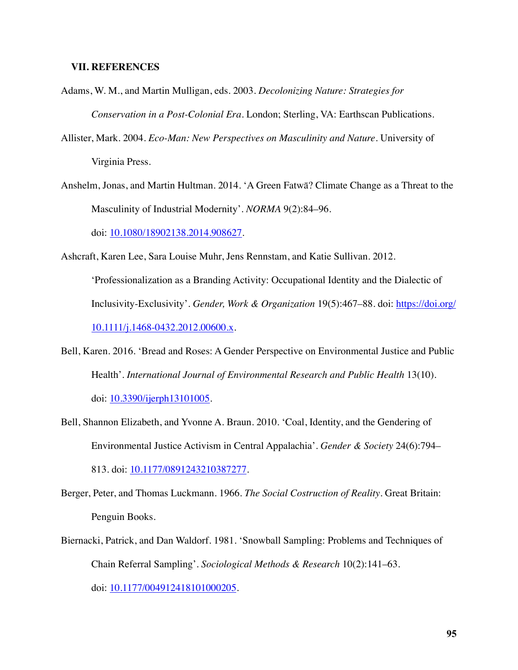#### **VII. REFERENCES**

- Adams, W. M., and Martin Mulligan, eds. 2003. *Decolonizing Nature: Strategies for Conservation in a Post-Colonial Era*. London; Sterling, VA: Earthscan Publications.
- Allister, Mark. 2004. *Eco-Man: New Perspectives on Masculinity and Nature*. University of Virginia Press.
- Anshelm, Jonas, and Martin Hultman. 2014. 'A Green Fatwā? Climate Change as a Threat to the Masculinity of Industrial Modernity'. *NORMA* 9(2):84–96. doi: [10.1080/18902138.2014.908627](https://doi.org/10.1080/18902138.2014.908627).

Ashcraft, Karen Lee, Sara Louise Muhr, Jens Rennstam, and Katie Sullivan. 2012. 'Professionalization as a Branding Activity: Occupational Identity and the Dialectic of Inclusivity-Exclusivity'. *Gender, Work & Organization* 19(5):467–88. doi: [https://doi.org/](https://doi.org/10.1111/j.1468-0432.2012.00600.x) [10.1111/j.1468-0432.2012.00600.x](https://doi.org/10.1111/j.1468-0432.2012.00600.x).

- Bell, Karen. 2016. 'Bread and Roses: A Gender Perspective on Environmental Justice and Public Health'. *International Journal of Environmental Research and Public Health* 13(10). doi: [10.3390/ijerph13101005.](https://doi.org/10.3390/ijerph13101005)
- Bell, Shannon Elizabeth, and Yvonne A. Braun. 2010. 'Coal, Identity, and the Gendering of Environmental Justice Activism in Central Appalachia'. *Gender & Society* 24(6):794– 813. doi: [10.1177/0891243210387277.](https://doi.org/10.1177/0891243210387277)

Berger, Peter, and Thomas Luckmann. 1966. *The Social Costruction of Reality*. Great Britain: Penguin Books.

Biernacki, Patrick, and Dan Waldorf. 1981. 'Snowball Sampling: Problems and Techniques of Chain Referral Sampling'. *Sociological Methods & Research* 10(2):141–63. doi: [10.1177/004912418101000205.](https://doi.org/10.1177/004912418101000205)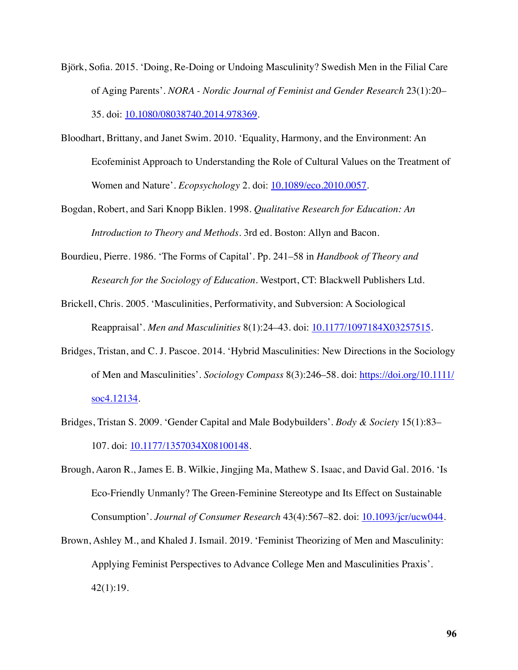- Björk, Sofia. 2015. 'Doing, Re-Doing or Undoing Masculinity? Swedish Men in the Filial Care of Aging Parents'. *NORA - Nordic Journal of Feminist and Gender Research* 23(1):20– 35. doi: [10.1080/08038740.2014.978369](https://doi.org/10.1080/08038740.2014.978369).
- Bloodhart, Brittany, and Janet Swim. 2010. 'Equality, Harmony, and the Environment: An Ecofeminist Approach to Understanding the Role of Cultural Values on the Treatment of Women and Nature'. *Ecopsychology* 2. doi: [10.1089/eco.2010.0057](https://doi.org/10.1089/eco.2010.0057).
- Bogdan, Robert, and Sari Knopp Biklen. 1998. *Qualitative Research for Education: An Introduction to Theory and Methods*. 3rd ed. Boston: Allyn and Bacon.
- Bourdieu, Pierre. 1986. 'The Forms of Capital'. Pp. 241–58 in *Handbook of Theory and Research for the Sociology of Education*. Westport, CT: Blackwell Publishers Ltd.
- Brickell, Chris. 2005. 'Masculinities, Performativity, and Subversion: A Sociological Reappraisal'. *Men and Masculinities* 8(1):24–43. doi: [10.1177/1097184X03257515](https://doi.org/10.1177/1097184X03257515).
- Bridges, Tristan, and C. J. Pascoe. 2014. 'Hybrid Masculinities: New Directions in the Sociology of Men and Masculinities'. *Sociology Compass* 8(3):246–58. doi: [https://doi.org/10.1111/](https://doi.org/10.1111/soc4.12134) [soc4.12134.](https://doi.org/10.1111/soc4.12134)
- Bridges, Tristan S. 2009. 'Gender Capital and Male Bodybuilders'. *Body & Society* 15(1):83– 107. doi: [10.1177/1357034X08100148](https://doi.org/10.1177/1357034X08100148).
- Brough, Aaron R., James E. B. Wilkie, Jingjing Ma, Mathew S. Isaac, and David Gal. 2016. 'Is Eco-Friendly Unmanly? The Green-Feminine Stereotype and Its Effect on Sustainable Consumption'. *Journal of Consumer Research* 43(4):567–82. doi: [10.1093/jcr/ucw044](https://doi.org/10.1093/jcr/ucw044).
- Brown, Ashley M., and Khaled J. Ismail. 2019. 'Feminist Theorizing of Men and Masculinity: Applying Feminist Perspectives to Advance College Men and Masculinities Praxis'. 42(1):19.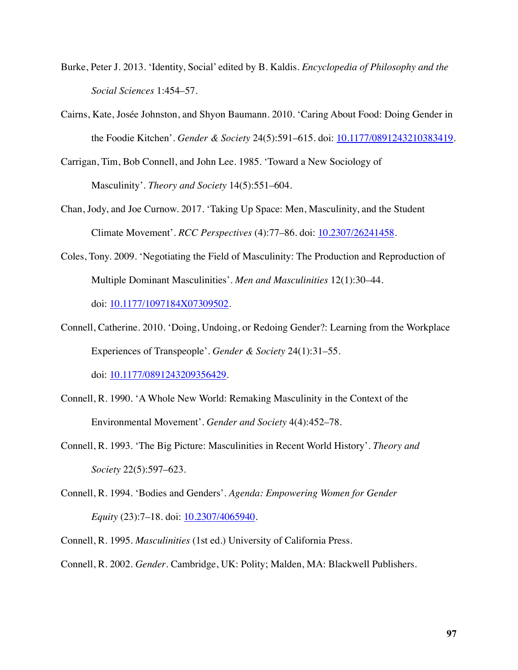- Burke, Peter J. 2013. 'Identity, Social' edited by B. Kaldis. *Encyclopedia of Philosophy and the Social Sciences* 1:454–57.
- Cairns, Kate, Josée Johnston, and Shyon Baumann. 2010. 'Caring About Food: Doing Gender in the Foodie Kitchen'. *Gender & Society* 24(5):591–615. doi: [10.1177/0891243210383419.](https://doi.org/10.1177/0891243210383419)
- Carrigan, Tim, Bob Connell, and John Lee. 1985. 'Toward a New Sociology of Masculinity'. *Theory and Society* 14(5):551–604.
- Chan, Jody, and Joe Curnow. 2017. 'Taking Up Space: Men, Masculinity, and the Student Climate Movement'. *RCC Perspectives* (4):77–86. doi: [10.2307/26241458](https://doi.org/10.2307/26241458).
- Coles, Tony. 2009. 'Negotiating the Field of Masculinity: The Production and Reproduction of Multiple Dominant Masculinities'. *Men and Masculinities* 12(1):30–44. doi: [10.1177/1097184X07309502](https://doi.org/10.1177/1097184X07309502).
- Connell, Catherine. 2010. 'Doing, Undoing, or Redoing Gender?: Learning from the Workplace Experiences of Transpeople'. *Gender & Society* 24(1):31–55.

doi: [10.1177/0891243209356429.](https://doi.org/10.1177/0891243209356429) 

- Connell, R. 1990. 'A Whole New World: Remaking Masculinity in the Context of the Environmental Movement'. *Gender and Society* 4(4):452–78.
- Connell, R. 1993. 'The Big Picture: Masculinities in Recent World History'. *Theory and Society* 22(5):597–623.
- Connell, R. 1994. 'Bodies and Genders'. *Agenda: Empowering Women for Gender Equity* (23):7–18. doi: [10.2307/4065940.](https://doi.org/10.2307/4065940)
- Connell, R. 1995. *Masculinities* (1st ed.) University of California Press.
- Connell, R. 2002. *Gender*. Cambridge, UK: Polity; Malden, MA: Blackwell Publishers.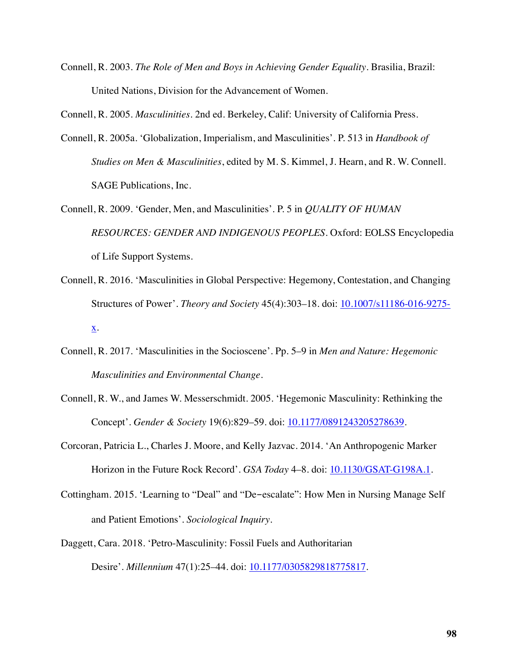Connell, R. 2003. *The Role of Men and Boys in Achieving Gender Equality*. Brasilia, Brazil: United Nations, Division for the Advancement of Women.

Connell, R. 2005. *Masculinities*. 2nd ed. Berkeley, Calif: University of California Press.

- Connell, R. 2005a. 'Globalization, Imperialism, and Masculinities'. P. 513 in *Handbook of Studies on Men & Masculinities*, edited by M. S. Kimmel, J. Hearn, and R. W. Connell. SAGE Publications, Inc.
- Connell, R. 2009. 'Gender, Men, and Masculinities'. P. 5 in *QUALITY OF HUMAN RESOURCES: GENDER AND INDIGENOUS PEOPLES*. Oxford: EOLSS Encyclopedia of Life Support Systems.
- Connell, R. 2016. 'Masculinities in Global Perspective: Hegemony, Contestation, and Changing Structures of Power'. *Theory and Society* 45(4):303–18. doi: [10.1007/s11186-016-9275](https://doi.org/10.1007/s11186-016-9275-x) [x](https://doi.org/10.1007/s11186-016-9275-x).
- Connell, R. 2017. 'Masculinities in the Socioscene'. Pp. 5–9 in *Men and Nature: Hegemonic Masculinities and Environmental Change*.
- Connell, R. W., and James W. Messerschmidt. 2005. 'Hegemonic Masculinity: Rethinking the Concept'. *Gender & Society* 19(6):829–59. doi: [10.1177/0891243205278639.](https://doi.org/10.1177/0891243205278639)
- Corcoran, Patricia L., Charles J. Moore, and Kelly Jazvac. 2014. 'An Anthropogenic Marker Horizon in the Future Rock Record'. *GSA Today* 4–8. doi: **[10.1130/GSAT-G198A.1](https://doi.org/10.1130/GSAT-G198A.1)**.
- Cottingham. 2015. 'Learning to "Deal" and "De-escalate": How Men in Nursing Manage Self and Patient Emotions'. *Sociological Inquiry*.
- Daggett, Cara. 2018. 'Petro-Masculinity: Fossil Fuels and Authoritarian Desire'. *Millennium* 47(1):25–44. doi: **10.1177/0305829818775817**.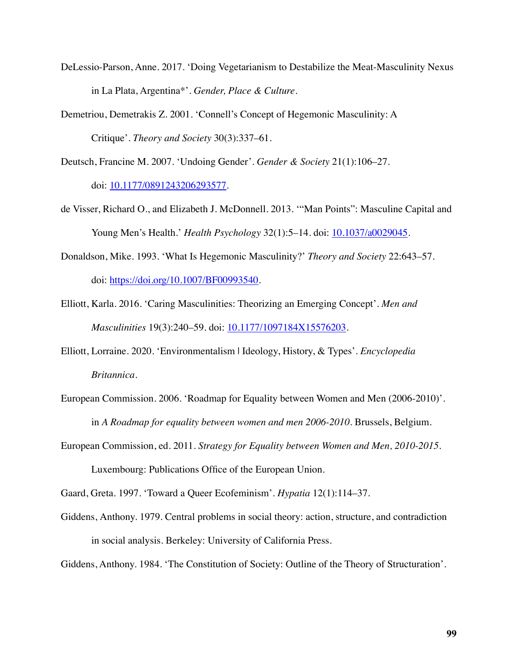- DeLessio-Parson, Anne. 2017. 'Doing Vegetarianism to Destabilize the Meat-Masculinity Nexus in La Plata, Argentina\*'. *Gender, Place & Culture*.
- Demetriou, Demetrakis Z. 2001. 'Connell's Concept of Hegemonic Masculinity: A Critique'. *Theory and Society* 30(3):337–61.

Deutsch, Francine M. 2007. 'Undoing Gender'. *Gender & Society* 21(1):106–27. doi: [10.1177/0891243206293577.](https://doi.org/10.1177/0891243206293577) 

- de Visser, Richard O., and Elizabeth J. McDonnell. 2013. '"Man Points": Masculine Capital and Young Men's Health.' *Health Psychology* 32(1):5–14. doi: [10.1037/a0029045](https://doi.org/10.1037/a0029045).
- Donaldson, Mike. 1993. 'What Is Hegemonic Masculinity?' *Theory and Society* 22:643–57. doi: <https://doi.org/10.1007/BF00993540>.
- Elliott, Karla. 2016. 'Caring Masculinities: Theorizing an Emerging Concept'. *Men and Masculinities* 19(3):240–59. doi: [10.1177/1097184X15576203](https://doi.org/10.1177/1097184X15576203).
- Elliott, Lorraine. 2020. 'Environmentalism | Ideology, History, & Types'. *Encyclopedia Britannica*.
- European Commission. 2006. 'Roadmap for Equality between Women and Men (2006-2010)'. in *A Roadmap for equality between women and men 2006-2010*. Brussels, Belgium.
- European Commission, ed. 2011. *Strategy for Equality between Women and Men, 2010-2015*. Luxembourg: Publications Office of the European Union.

Gaard, Greta. 1997. 'Toward a Queer Ecofeminism'. *Hypatia* 12(1):114–37.

Giddens, Anthony. 1979. Central problems in social theory: action, structure, and contradiction in social analysis. Berkeley: University of California Press.

Giddens, Anthony. 1984. 'The Constitution of Society: Outline of the Theory of Structuration'.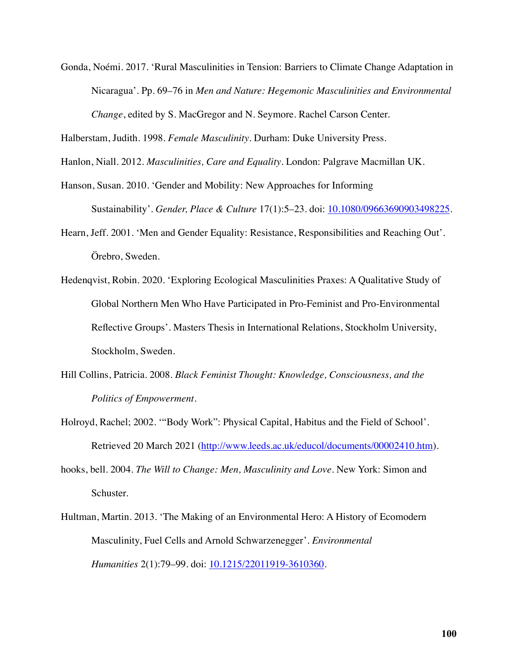Gonda, Noémi. 2017. 'Rural Masculinities in Tension: Barriers to Climate Change Adaptation in Nicaragua'. Pp. 69–76 in *Men and Nature: Hegemonic Masculinities and Environmental Change*, edited by S. MacGregor and N. Seymore. Rachel Carson Center.

Halberstam, Judith. 1998. *Female Masculinity*. Durham: Duke University Press.

Hanlon, Niall. 2012. *Masculinities, Care and Equality*. London: Palgrave Macmillan UK.

- Hanson, Susan. 2010. 'Gender and Mobility: New Approaches for Informing Sustainability'. *Gender, Place & Culture* 17(1):5–23. doi: [10.1080/09663690903498225.](https://doi.org/10.1080/09663690903498225)
- Hearn, Jeff. 2001. 'Men and Gender Equality: Resistance, Responsibilities and Reaching Out'. Örebro, Sweden.
- Hedenqvist, Robin. 2020. 'Exploring Ecological Masculinities Praxes: A Qualitative Study of Global Northern Men Who Have Participated in Pro-Feminist and Pro-Environmental Reflective Groups'. Masters Thesis in International Relations, Stockholm University, Stockholm, Sweden.
- Hill Collins, Patricia. 2008. *Black Feminist Thought: Knowledge, Consciousness, and the Politics of Empowerment*.
- Holroyd, Rachel; 2002. '"Body Work": Physical Capital, Habitus and the Field of School'. Retrieved 20 March 2021 ([http://www.leeds.ac.uk/educol/documents/00002410.htm\)](http://www.leeds.ac.uk/educol/documents/00002410.htm).
- hooks, bell. 2004. *The Will to Change: Men, Masculinity and Love*. New York: Simon and Schuster.
- Hultman, Martin. 2013. 'The Making of an Environmental Hero: A History of Ecomodern Masculinity, Fuel Cells and Arnold Schwarzenegger'. *Environmental Humanities* 2(1):79–99. doi: [10.1215/22011919-3610360](https://doi.org/10.1215/22011919-3610360).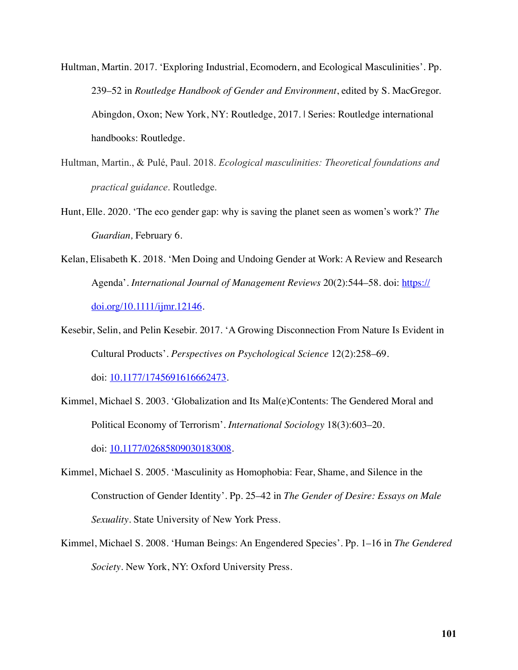Hultman, Martin. 2017. 'Exploring Industrial, Ecomodern, and Ecological Masculinities'. Pp. 239–52 in *Routledge Handbook of Gender and Environment*, edited by S. MacGregor. Abingdon, Oxon; New York, NY: Routledge, 2017. | Series: Routledge international handbooks: Routledge.

- Hultman, Martin., & Pulé, Paul. 2018. *Ecological masculinities: Theoretical foundations and practical guidance*. Routledge.
- Hunt, Elle. 2020. 'The eco gender gap: why is saving the planet seen as women's work?' *The Guardian,* February 6.
- Kelan, Elisabeth K. 2018. 'Men Doing and Undoing Gender at Work: A Review and Research Agenda'. *International Journal of Management Reviews* 20(2):544–58. doi: [https://](https://doi.org/10.1111/ijmr.12146) [doi.org/10.1111/ijmr.12146.](https://doi.org/10.1111/ijmr.12146)
- Kesebir, Selin, and Pelin Kesebir. 2017. 'A Growing Disconnection From Nature Is Evident in Cultural Products'. *Perspectives on Psychological Science* 12(2):258–69.

doi: [10.1177/1745691616662473.](https://doi.org/10.1177/1745691616662473) 

- Kimmel, Michael S. 2003. 'Globalization and Its Mal(e)Contents: The Gendered Moral and Political Economy of Terrorism'. *International Sociology* 18(3):603–20. doi: 10.1177/02685809030183008.
- Kimmel, Michael S. 2005. 'Masculinity as Homophobia: Fear, Shame, and Silence in the Construction of Gender Identity'. Pp. 25–42 in *The Gender of Desire: Essays on Male Sexuality*. State University of New York Press.
- Kimmel, Michael S. 2008. 'Human Beings: An Engendered Species'. Pp. 1–16 in *The Gendered Society*. New York, NY: Oxford University Press.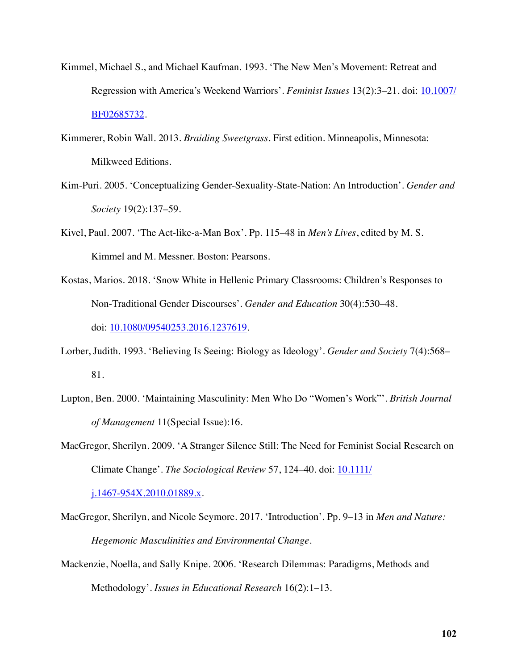- Kimmel, Michael S., and Michael Kaufman. 1993. 'The New Men's Movement: Retreat and Regression with America's Weekend Warriors'. *Feminist Issues* 13(2):3–21. doi: [10.1007/](https://doi.org/10.1007/BF02685732) [BF02685732.](https://doi.org/10.1007/BF02685732)
- Kimmerer, Robin Wall. 2013. *Braiding Sweetgrass*. First edition. Minneapolis, Minnesota: Milkweed Editions.
- Kim-Puri. 2005. 'Conceptualizing Gender-Sexuality-State-Nation: An Introduction'. *Gender and Society* 19(2):137–59.
- Kivel, Paul. 2007. 'The Act-like-a-Man Box'. Pp. 115–48 in *Men's Lives*, edited by M. S. Kimmel and M. Messner. Boston: Pearsons.
- Kostas, Marios. 2018. 'Snow White in Hellenic Primary Classrooms: Children's Responses to Non-Traditional Gender Discourses'. *Gender and Education* 30(4):530–48. doi: [10.1080/09540253.2016.1237619](https://doi.org/10.1080/09540253.2016.1237619).
- Lorber, Judith. 1993. 'Believing Is Seeing: Biology as Ideology'. *Gender and Society* 7(4):568– 81.
- Lupton, Ben. 2000. 'Maintaining Masculinity: Men Who Do "Women's Work"'. *British Journal of Management* 11(Special Issue):16.
- MacGregor, Sherilyn. 2009. 'A Stranger Silence Still: The Need for Feminist Social Research on Climate Change'. *The Sociological Review* 57, 124–40. doi: **[10.1111/](https://doi.org/10.1111/j.1467-954X.2010.01889.x)**

[j.1467-954X.2010.01889.x.](https://doi.org/10.1111/j.1467-954X.2010.01889.x) 

- MacGregor, Sherilyn, and Nicole Seymore. 2017. 'Introduction'. Pp. 9–13 in *Men and Nature: Hegemonic Masculinities and Environmental Change*.
- Mackenzie, Noella, and Sally Knipe. 2006. 'Research Dilemmas: Paradigms, Methods and Methodology'. *Issues in Educational Research* 16(2):1–13.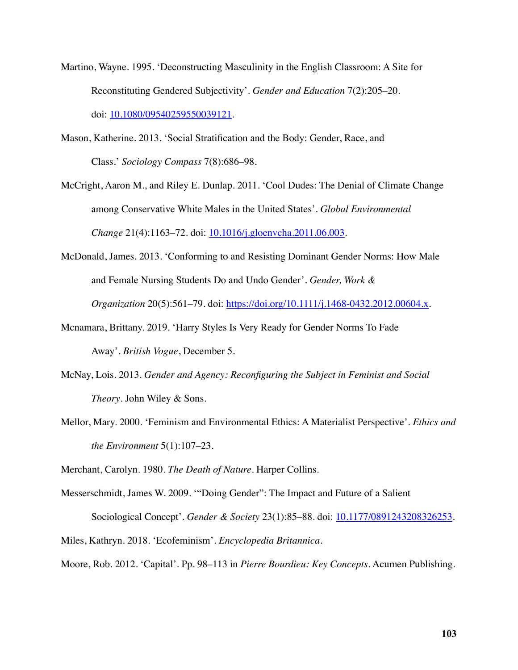- Martino, Wayne. 1995. 'Deconstructing Masculinity in the English Classroom: A Site for Reconstituting Gendered Subjectivity'. *Gender and Education* 7(2):205–20. doi: [10.1080/09540259550039121](https://doi.org/10.1080/09540259550039121).
- Mason, Katherine. 2013. 'Social Stratification and the Body: Gender, Race, and Class.' *Sociology Compass* 7(8):686–98.
- McCright, Aaron M., and Riley E. Dunlap. 2011. 'Cool Dudes: The Denial of Climate Change among Conservative White Males in the United States'. *Global Environmental Change* 21(4):1163–72. doi: [10.1016/j.gloenvcha.2011.06.003](https://doi.org/10.1016/j.gloenvcha.2011.06.003).
- McDonald, James. 2013. 'Conforming to and Resisting Dominant Gender Norms: How Male and Female Nursing Students Do and Undo Gender'. *Gender, Work & Organization* 20(5):561–79. doi: [https://doi.org/10.1111/j.1468-0432.2012.00604.x.](https://doi.org/10.1111/j.1468-0432.2012.00604.x)
- Mcnamara, Brittany. 2019. 'Harry Styles Is Very Ready for Gender Norms To Fade Away'. *British Vogue*, December 5.
- McNay, Lois. 2013. *Gender and Agency: Reconfiguring the Subject in Feminist and Social Theory*. John Wiley & Sons.
- Mellor, Mary. 2000. 'Feminism and Environmental Ethics: A Materialist Perspective'. *Ethics and the Environment* 5(1):107–23.

Merchant, Carolyn. 1980. *The Death of Nature*. Harper Collins.

- Messerschmidt, James W. 2009. '"Doing Gender": The Impact and Future of a Salient Sociological Concept'. *Gender & Society* 23(1):85–88. doi: [10.1177/0891243208326253.](https://doi.org/10.1177/0891243208326253)  Miles, Kathryn. 2018. 'Ecofeminism'. *Encyclopedia Britannica*.
- Moore, Rob. 2012. 'Capital'. Pp. 98–113 in *Pierre Bourdieu: Key Concepts*. Acumen Publishing.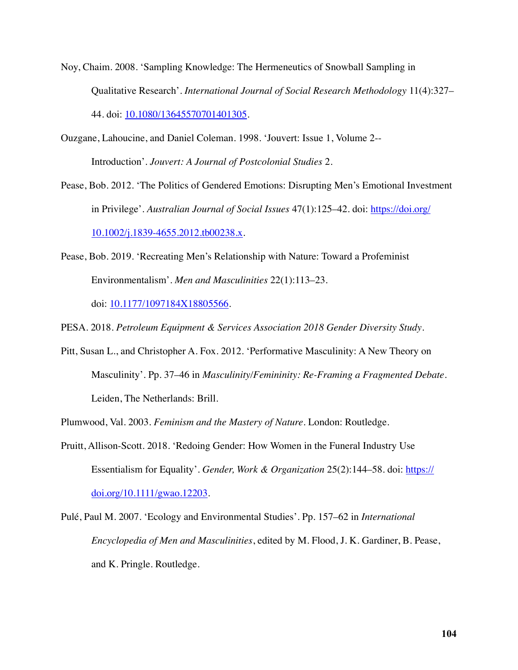- Noy, Chaim. 2008. 'Sampling Knowledge: The Hermeneutics of Snowball Sampling in Qualitative Research'. *International Journal of Social Research Methodology* 11(4):327– 44. doi: [10.1080/13645570701401305](https://doi.org/10.1080/13645570701401305).
- Ouzgane, Lahoucine, and Daniel Coleman. 1998. 'Jouvert: Issue 1, Volume 2-- Introduction'. *Jouvert: A Journal of Postcolonial Studies* 2.
- Pease, Bob. 2012. 'The Politics of Gendered Emotions: Disrupting Men's Emotional Investment in Privilege'. *Australian Journal of Social Issues* 47(1):125–42. doi: [https://doi.org/](https://doi.org/10.1002/j.1839-4655.2012.tb00238.x) [10.1002/j.1839-4655.2012.tb00238.x.](https://doi.org/10.1002/j.1839-4655.2012.tb00238.x)
- Pease, Bob. 2019. 'Recreating Men's Relationship with Nature: Toward a Profeminist Environmentalism'. *Men and Masculinities* 22(1):113–23. doi: [10.1177/1097184X18805566](https://doi.org/10.1177/1097184X18805566).

PESA. 2018. *Petroleum Equipment & Services Association 2018 Gender Diversity Study*.

Pitt, Susan L., and Christopher A. Fox. 2012. 'Performative Masculinity: A New Theory on Masculinity'. Pp. 37–46 in *Masculinity/Femininity: Re-Framing a Fragmented Debate*. Leiden, The Netherlands: Brill.

Plumwood, Val. 2003. *Feminism and the Mastery of Nature*. London: Routledge.

- Pruitt, Allison-Scott. 2018. 'Redoing Gender: How Women in the Funeral Industry Use Essentialism for Equality'. *Gender, Work & Organization* 25(2):144–58. doi: [https://](https://doi.org/10.1111/gwao.12203) [doi.org/10.1111/gwao.12203](https://doi.org/10.1111/gwao.12203).
- Pulé, Paul M. 2007. 'Ecology and Environmental Studies'. Pp. 157–62 in *International Encyclopedia of Men and Masculinities*, edited by M. Flood, J. K. Gardiner, B. Pease, and K. Pringle. Routledge.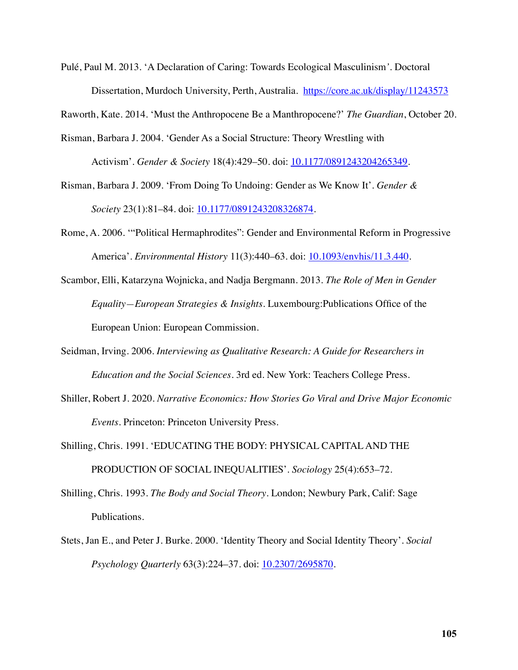Pulé, Paul M. 2013. 'A Declaration of Caring: Towards Ecological Masculinism*'.* Doctoral Dissertation, Murdoch University, Perth, Australia. <https://core.ac.uk/display/11243573>

Raworth, Kate. 2014. 'Must the Anthropocene Be a Manthropocene?' *The Guardian*, October 20.

- Risman, Barbara J. 2004. 'Gender As a Social Structure: Theory Wrestling with Activism'. *Gender & Society* 18(4):429–50. doi: [10.1177/0891243204265349.](https://doi.org/10.1177/0891243204265349)
- Risman, Barbara J. 2009. 'From Doing To Undoing: Gender as We Know It'. *Gender & Society* 23(1):81–84. doi: [10.1177/0891243208326874.](https://doi.org/10.1177/0891243208326874)
- Rome, A. 2006. '"Political Hermaphrodites": Gender and Environmental Reform in Progressive America'. *Environmental History* 11(3):440–63. doi: [10.1093/envhis/11.3.440](https://doi.org/10.1093/envhis/11.3.440).
- Scambor, Elli, Katarzyna Wojnicka, and Nadja Bergmann. 2013. *The Role of Men in Gender Equality—European Strategies & Insights*. Luxembourg:Publications Office of the European Union: European Commission.
- Seidman, Irving. 2006. *Interviewing as Qualitative Research: A Guide for Researchers in Education and the Social Sciences*. 3rd ed. New York: Teachers College Press.
- Shiller, Robert J. 2020. *Narrative Economics: How Stories Go Viral and Drive Major Economic Events*. Princeton: Princeton University Press.
- Shilling, Chris. 1991. 'EDUCATING THE BODY: PHYSICAL CAPITAL AND THE PRODUCTION OF SOCIAL INEQUALITIES'. *Sociology* 25(4):653–72.
- Shilling, Chris. 1993. *The Body and Social Theory*. London; Newbury Park, Calif: Sage Publications.
- Stets, Jan E., and Peter J. Burke. 2000. 'Identity Theory and Social Identity Theory'. *Social Psychology Quarterly* 63(3):224–37. doi: [10.2307/2695870.](https://doi.org/10.2307/2695870)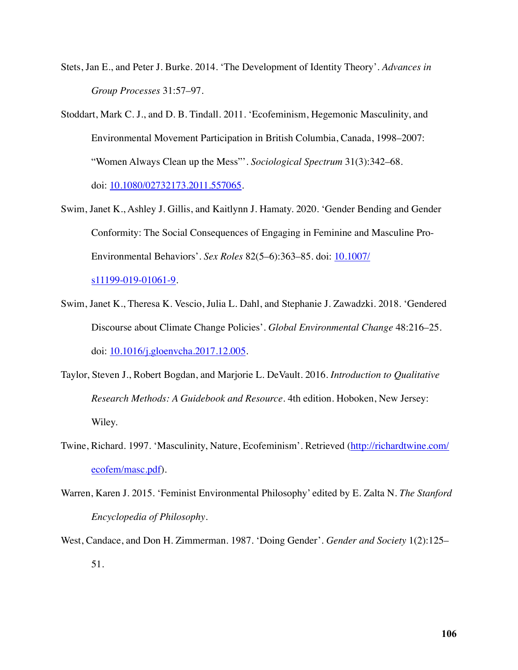- Stets, Jan E., and Peter J. Burke. 2014. 'The Development of Identity Theory'. *Advances in Group Processes* 31:57–97.
- Stoddart, Mark C. J., and D. B. Tindall. 2011. 'Ecofeminism, Hegemonic Masculinity, and Environmental Movement Participation in British Columbia, Canada, 1998–2007: "Women Always Clean up the Mess"'. *Sociological Spectrum* 31(3):342–68. doi: 10.1080/02732173.2011.557065.
- Swim, Janet K., Ashley J. Gillis, and Kaitlynn J. Hamaty. 2020. 'Gender Bending and Gender Conformity: The Social Consequences of Engaging in Feminine and Masculine Pro-Environmental Behaviors'. *Sex Roles* 82(5–6):363–85. doi: [10.1007/](https://doi.org/10.1007/s11199-019-01061-9)

s<sub>11199</sub>-019-01061-9.

- Swim, Janet K., Theresa K. Vescio, Julia L. Dahl, and Stephanie J. Zawadzki. 2018. 'Gendered Discourse about Climate Change Policies'. *Global Environmental Change* 48:216–25. doi: [10.1016/j.gloenvcha.2017.12.005.](https://doi.org/10.1016/j.gloenvcha.2017.12.005)
- Taylor, Steven J., Robert Bogdan, and Marjorie L. DeVault. 2016. *Introduction to Qualitative Research Methods: A Guidebook and Resource*. 4th edition. Hoboken, New Jersey: Wiley.
- Twine, Richard. 1997. 'Masculinity, Nature, Ecofeminism'. Retrieved ([http://richardtwine.com/](http://richardtwine.com/ecofem/masc.pdf) [ecofem/masc.pdf](http://richardtwine.com/ecofem/masc.pdf)).
- Warren, Karen J. 2015. 'Feminist Environmental Philosophy' edited by E. Zalta N. *The Stanford Encyclopedia of Philosophy*.
- West, Candace, and Don H. Zimmerman. 1987. 'Doing Gender'. *Gender and Society* 1(2):125– 51.